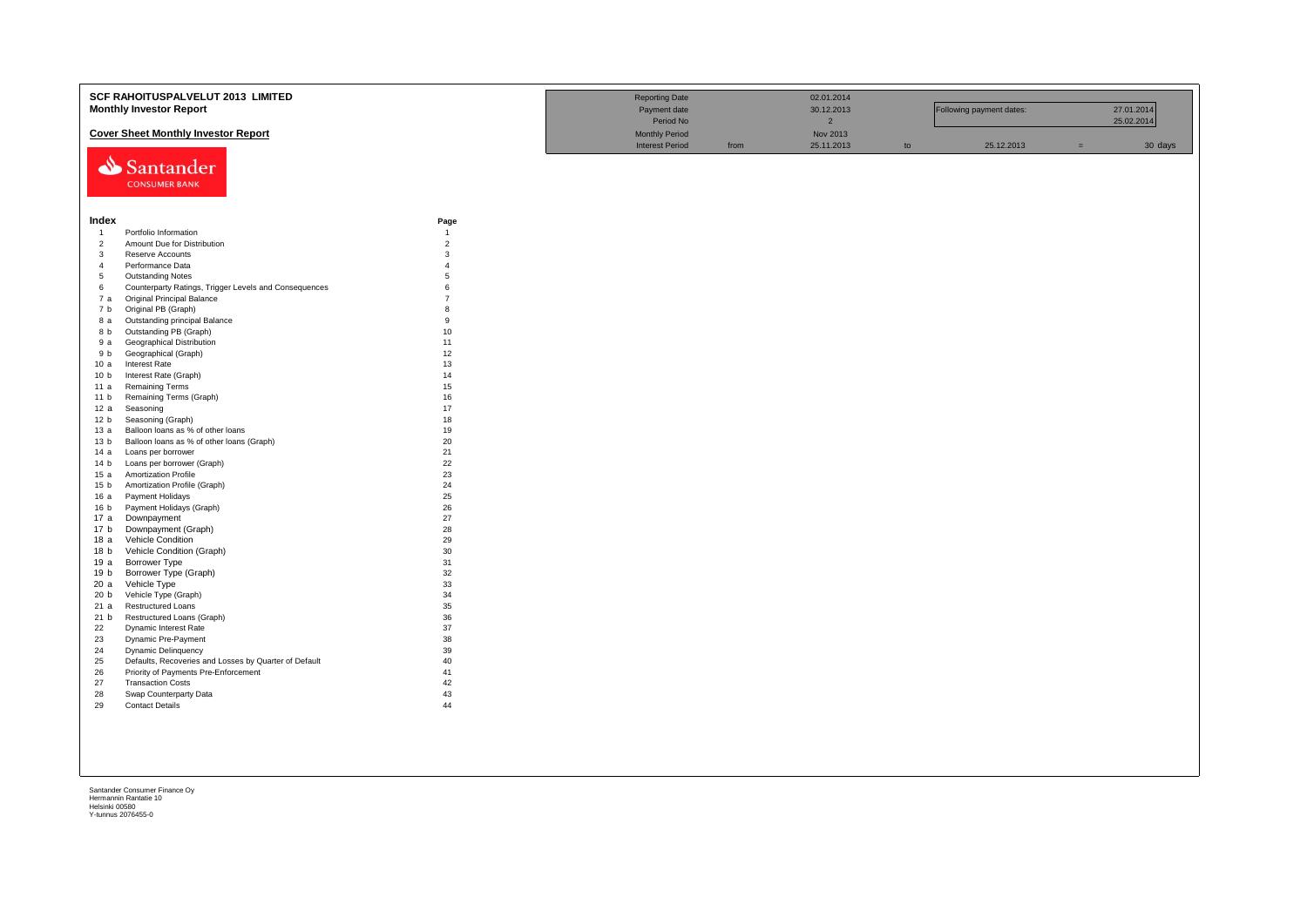|                         | SCF RAHOITUSPALVELUT 2013 LIMITED<br><b>Monthly Investor Report</b>               |                     | <b>Reporting Date</b><br>Payment date<br>Period No |      | 02.01.2014<br>30.12.2013<br>$\overline{2}$ |    | Following payment dates: |     | 27.01.2014<br>25.02.2014 |
|-------------------------|-----------------------------------------------------------------------------------|---------------------|----------------------------------------------------|------|--------------------------------------------|----|--------------------------|-----|--------------------------|
|                         | <b>Cover Sheet Monthly Investor Report</b>                                        |                     | <b>Monthly Period</b>                              |      | Nov 2013                                   |    |                          |     |                          |
|                         | Santander<br><b>CONSUMER BANK</b>                                                 |                     | <b>Interest Period</b>                             | from | 25.11.2013                                 | to | 25.12.2013               | $=$ | 30 days                  |
| Index                   |                                                                                   | Page                |                                                    |      |                                            |    |                          |     |                          |
| $\overline{1}$          | Portfolio Information                                                             | $\overline{1}$      |                                                    |      |                                            |    |                          |     |                          |
| $\overline{2}$          | Amount Due for Distribution                                                       | $\overline{c}$      |                                                    |      |                                            |    |                          |     |                          |
| $\overline{\mathbf{3}}$ | Reserve Accounts                                                                  | 3                   |                                                    |      |                                            |    |                          |     |                          |
| $\overline{4}$          | Performance Data                                                                  | $\overline{4}$<br>5 |                                                    |      |                                            |    |                          |     |                          |
| 5<br>6                  | <b>Outstanding Notes</b><br>Counterparty Ratings, Trigger Levels and Consequences | 6                   |                                                    |      |                                            |    |                          |     |                          |
| 7 а                     | <b>Original Principal Balance</b>                                                 | $\overline{7}$      |                                                    |      |                                            |    |                          |     |                          |
| 7 b                     | Original PB (Graph)                                                               | 8                   |                                                    |      |                                            |    |                          |     |                          |
| 8 a                     | Outstanding principal Balance                                                     | 9                   |                                                    |      |                                            |    |                          |     |                          |
| 8 b                     | Outstanding PB (Graph)                                                            | 10                  |                                                    |      |                                            |    |                          |     |                          |
| 9 a                     | Geographical Distribution                                                         | 11                  |                                                    |      |                                            |    |                          |     |                          |
| 9 b                     | Geographical (Graph)                                                              | 12                  |                                                    |      |                                            |    |                          |     |                          |
| 10a                     | <b>Interest Rate</b>                                                              | 13                  |                                                    |      |                                            |    |                          |     |                          |
| 10 <sub>b</sub>         | Interest Rate (Graph)                                                             | 14                  |                                                    |      |                                            |    |                          |     |                          |
| 11 a                    | <b>Remaining Terms</b>                                                            | 15                  |                                                    |      |                                            |    |                          |     |                          |
| 11 <sub>b</sub>         | Remaining Terms (Graph)                                                           | 16                  |                                                    |      |                                            |    |                          |     |                          |
| 12a                     | Seasoning                                                                         | 17                  |                                                    |      |                                            |    |                          |     |                          |
| 12 <sub>b</sub>         | Seasoning (Graph)                                                                 | 18                  |                                                    |      |                                            |    |                          |     |                          |
| 13a                     | Balloon loans as % of other loans                                                 | 19                  |                                                    |      |                                            |    |                          |     |                          |
| 13 <sub>b</sub>         | Balloon loans as % of other loans (Graph)                                         | 20                  |                                                    |      |                                            |    |                          |     |                          |
| 14 a                    | Loans per borrower                                                                | 21                  |                                                    |      |                                            |    |                          |     |                          |
| 14 b                    | Loans per borrower (Graph)                                                        | 22                  |                                                    |      |                                            |    |                          |     |                          |
| 15 a                    | <b>Amortization Profile</b>                                                       | 23                  |                                                    |      |                                            |    |                          |     |                          |
| 15 <sub>b</sub>         | Amortization Profile (Graph)                                                      | 24                  |                                                    |      |                                            |    |                          |     |                          |
| 16a                     | Payment Holidays                                                                  | 25<br>26            |                                                    |      |                                            |    |                          |     |                          |
| 16 b<br>17 a            | Payment Holidays (Graph)<br>Downpayment                                           | 27                  |                                                    |      |                                            |    |                          |     |                          |
| 17 <sub>b</sub>         | Downpayment (Graph)                                                               | 28                  |                                                    |      |                                            |    |                          |     |                          |
| 18 a                    | Vehicle Condition                                                                 | 29                  |                                                    |      |                                            |    |                          |     |                          |
| 18 b                    | Vehicle Condition (Graph)                                                         | 30                  |                                                    |      |                                            |    |                          |     |                          |
| 19 a                    | <b>Borrower Type</b>                                                              | 31                  |                                                    |      |                                            |    |                          |     |                          |
| 19 b                    | Borrower Type (Graph)                                                             | 32                  |                                                    |      |                                            |    |                          |     |                          |
| 20a                     | Vehicle Type                                                                      | 33                  |                                                    |      |                                            |    |                          |     |                          |
| 20 b                    | Vehicle Type (Graph)                                                              | 34                  |                                                    |      |                                            |    |                          |     |                          |
| 21 a                    | Restructured Loans                                                                | 35                  |                                                    |      |                                            |    |                          |     |                          |
| 21 b                    | Restructured Loans (Graph)                                                        | 36                  |                                                    |      |                                            |    |                          |     |                          |
| 22                      | Dynamic Interest Rate                                                             | 37                  |                                                    |      |                                            |    |                          |     |                          |
| 23                      | Dynamic Pre-Payment                                                               | 38                  |                                                    |      |                                            |    |                          |     |                          |
| 24                      | <b>Dynamic Delinquency</b>                                                        | 39                  |                                                    |      |                                            |    |                          |     |                          |
| 25                      | Defaults, Recoveries and Losses by Quarter of Default                             | 40                  |                                                    |      |                                            |    |                          |     |                          |
| 26                      | Priority of Payments Pre-Enforcement                                              | 41                  |                                                    |      |                                            |    |                          |     |                          |
| 27<br>28                | <b>Transaction Costs</b>                                                          | 42<br>43            |                                                    |      |                                            |    |                          |     |                          |
| 29                      | Swap Counterparty Data<br><b>Contact Details</b>                                  | 44                  |                                                    |      |                                            |    |                          |     |                          |
|                         |                                                                                   |                     |                                                    |      |                                            |    |                          |     |                          |
|                         |                                                                                   |                     |                                                    |      |                                            |    |                          |     |                          |
|                         |                                                                                   |                     |                                                    |      |                                            |    |                          |     |                          |
|                         |                                                                                   |                     |                                                    |      |                                            |    |                          |     |                          |
|                         |                                                                                   |                     |                                                    |      |                                            |    |                          |     |                          |
|                         |                                                                                   |                     |                                                    |      |                                            |    |                          |     |                          |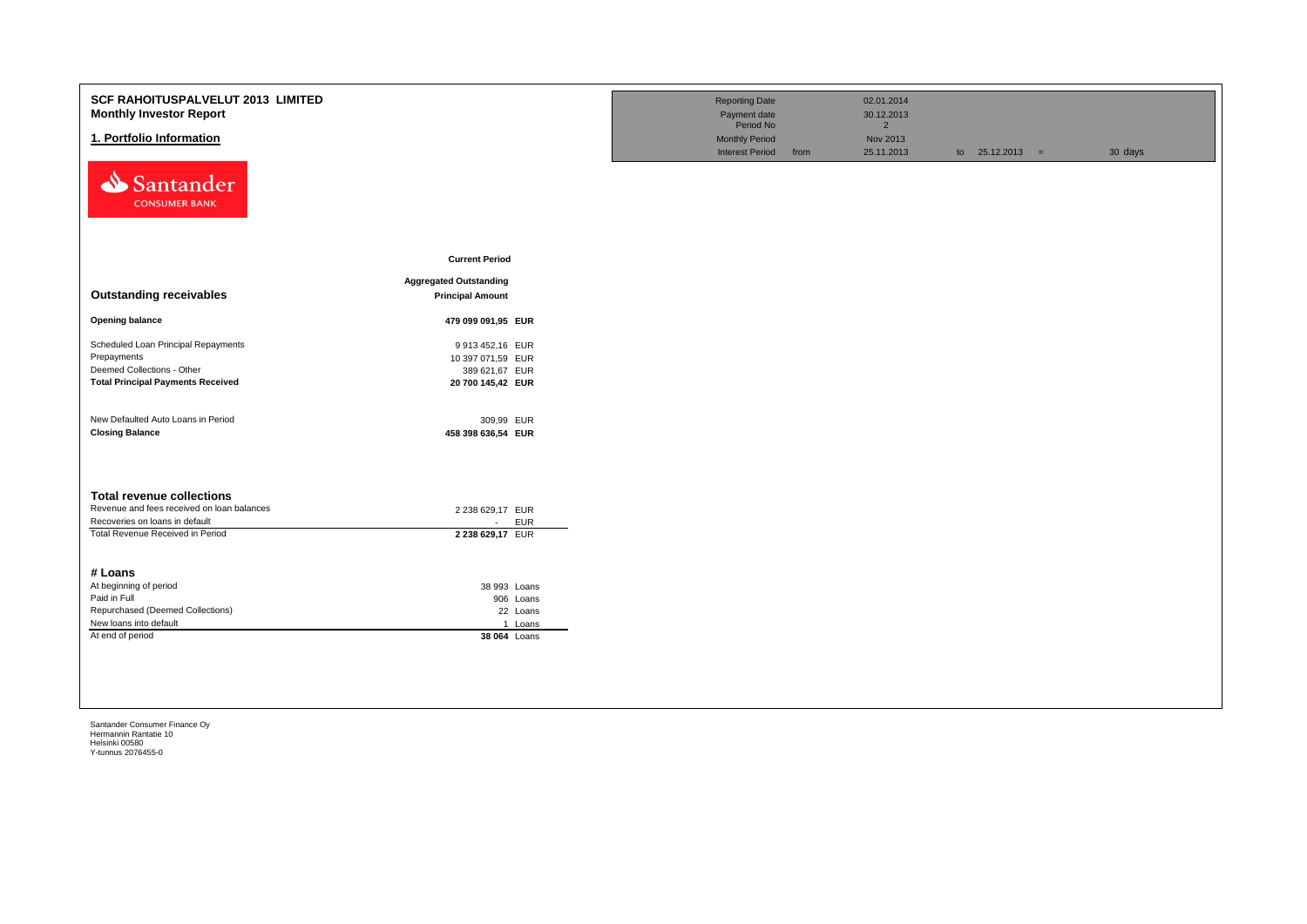| <b>SCF RAHOITUSPALVELUT 2013 LIMITED</b><br><b>Monthly Investor Report</b> |                                  | <b>Reporting Date</b><br>Payment date |      | 02.01.2014<br>30.12.2013 |                   |         |
|----------------------------------------------------------------------------|----------------------------------|---------------------------------------|------|--------------------------|-------------------|---------|
|                                                                            |                                  | Period No                             |      | $2^{\circ}$              |                   |         |
| 1. Portfolio Information                                                   |                                  | <b>Monthly Period</b>                 |      | Nov 2013                 |                   |         |
| Santander<br><b>CONSUMER BANK</b>                                          |                                  | <b>Interest Period</b>                | from | 25.11.2013               | to $25.12.2013 =$ | 30 days |
|                                                                            | <b>Current Period</b>            |                                       |      |                          |                   |         |
|                                                                            | <b>Aggregated Outstanding</b>    |                                       |      |                          |                   |         |
| <b>Outstanding receivables</b>                                             | <b>Principal Amount</b>          |                                       |      |                          |                   |         |
| <b>Opening balance</b>                                                     | 479 099 091,95 EUR               |                                       |      |                          |                   |         |
| Scheduled Loan Principal Repayments                                        | 9 913 452,16 EUR                 |                                       |      |                          |                   |         |
| Prepayments                                                                | 10 397 071,59 EUR                |                                       |      |                          |                   |         |
| Deemed Collections - Other                                                 | 389 621,67 EUR                   |                                       |      |                          |                   |         |
| <b>Total Principal Payments Received</b>                                   | 20 700 145,42 EUR                |                                       |      |                          |                   |         |
| New Defaulted Auto Loans in Period<br><b>Closing Balance</b>               | 309,99 EUR<br>458 398 636,54 EUR |                                       |      |                          |                   |         |
| <b>Total revenue collections</b>                                           |                                  |                                       |      |                          |                   |         |
| Revenue and fees received on loan balances                                 | 2 238 629,17 EUR                 |                                       |      |                          |                   |         |
| Recoveries on loans in default                                             | <b>EUR</b><br>$\sim$             |                                       |      |                          |                   |         |
| Total Revenue Received in Period                                           | 2 238 629,17 EUR                 |                                       |      |                          |                   |         |
| # Loans                                                                    |                                  |                                       |      |                          |                   |         |
| At beginning of period                                                     | 38 993 Loans                     |                                       |      |                          |                   |         |
| Paid in Full                                                               | 906 Loans                        |                                       |      |                          |                   |         |
| Repurchased (Deemed Collections)                                           | 22 Loans                         |                                       |      |                          |                   |         |
| New loans into default                                                     | 1 Loans                          |                                       |      |                          |                   |         |
| At end of period                                                           | 38 064 Loans                     |                                       |      |                          |                   |         |
|                                                                            |                                  |                                       |      |                          |                   |         |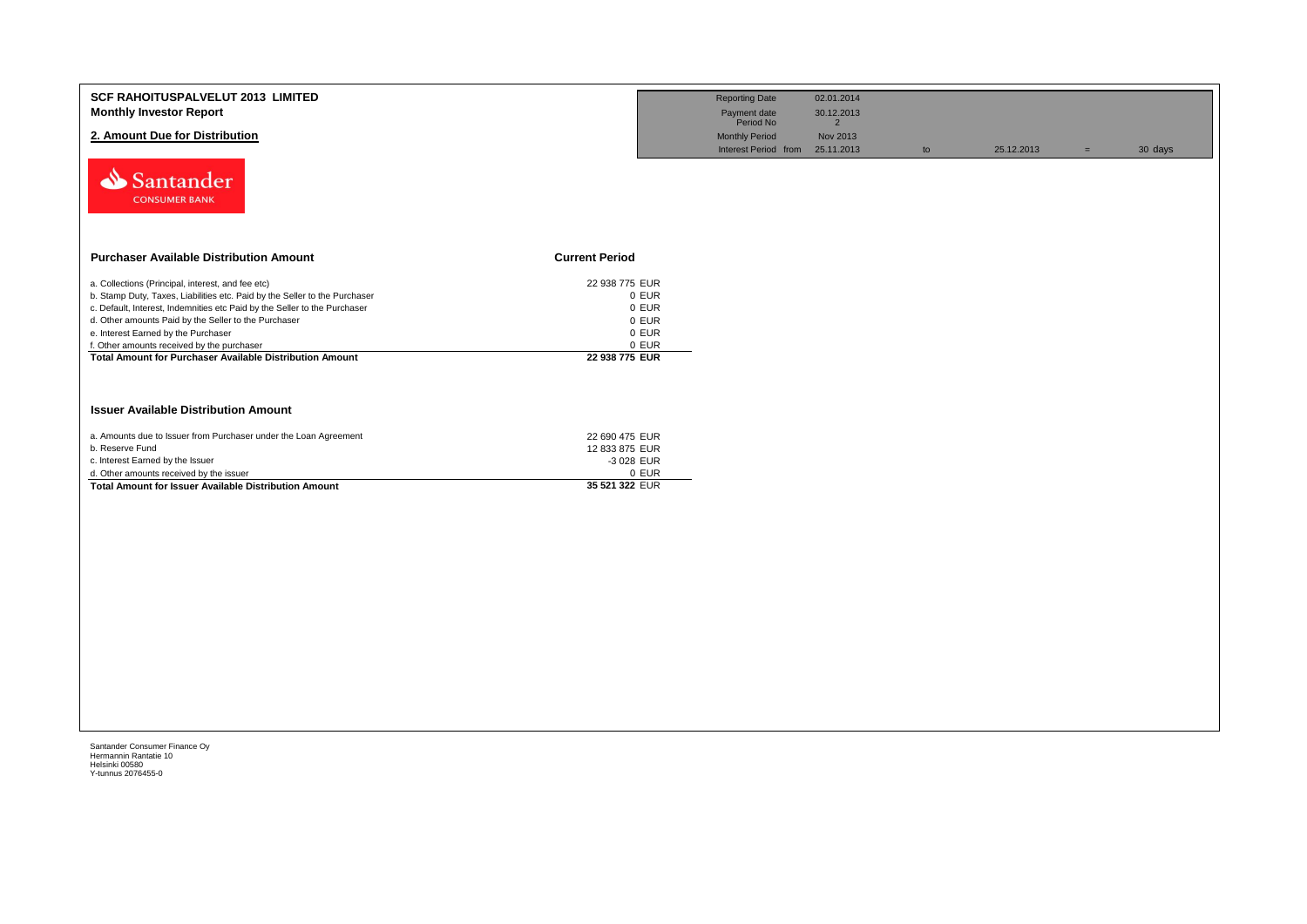| <b>Reporting Date</b>     |            |                                                               |            |     |         |
|---------------------------|------------|---------------------------------------------------------------|------------|-----|---------|
|                           | 02.01.2014 |                                                               |            |     |         |
| Payment date<br>Period No | 30.12.2013 |                                                               |            |     |         |
| <b>Monthly Period</b>     |            |                                                               |            |     |         |
|                           |            | to                                                            | 25.12.2013 | $=$ | 30 days |
|                           |            |                                                               |            |     |         |
|                           |            |                                                               |            |     |         |
|                           |            |                                                               |            |     |         |
|                           |            |                                                               |            |     |         |
|                           |            |                                                               |            |     |         |
|                           |            |                                                               |            |     |         |
|                           |            |                                                               |            |     |         |
|                           |            |                                                               |            |     |         |
|                           |            |                                                               |            |     |         |
|                           |            |                                                               |            |     |         |
|                           |            |                                                               |            |     |         |
|                           |            |                                                               |            |     |         |
|                           |            |                                                               |            |     |         |
|                           |            |                                                               |            |     |         |
|                           |            |                                                               |            |     |         |
|                           |            |                                                               |            |     |         |
|                           |            | $\overline{2}$<br>Nov 2013<br>Interest Period from 25.11.2013 |            |     |         |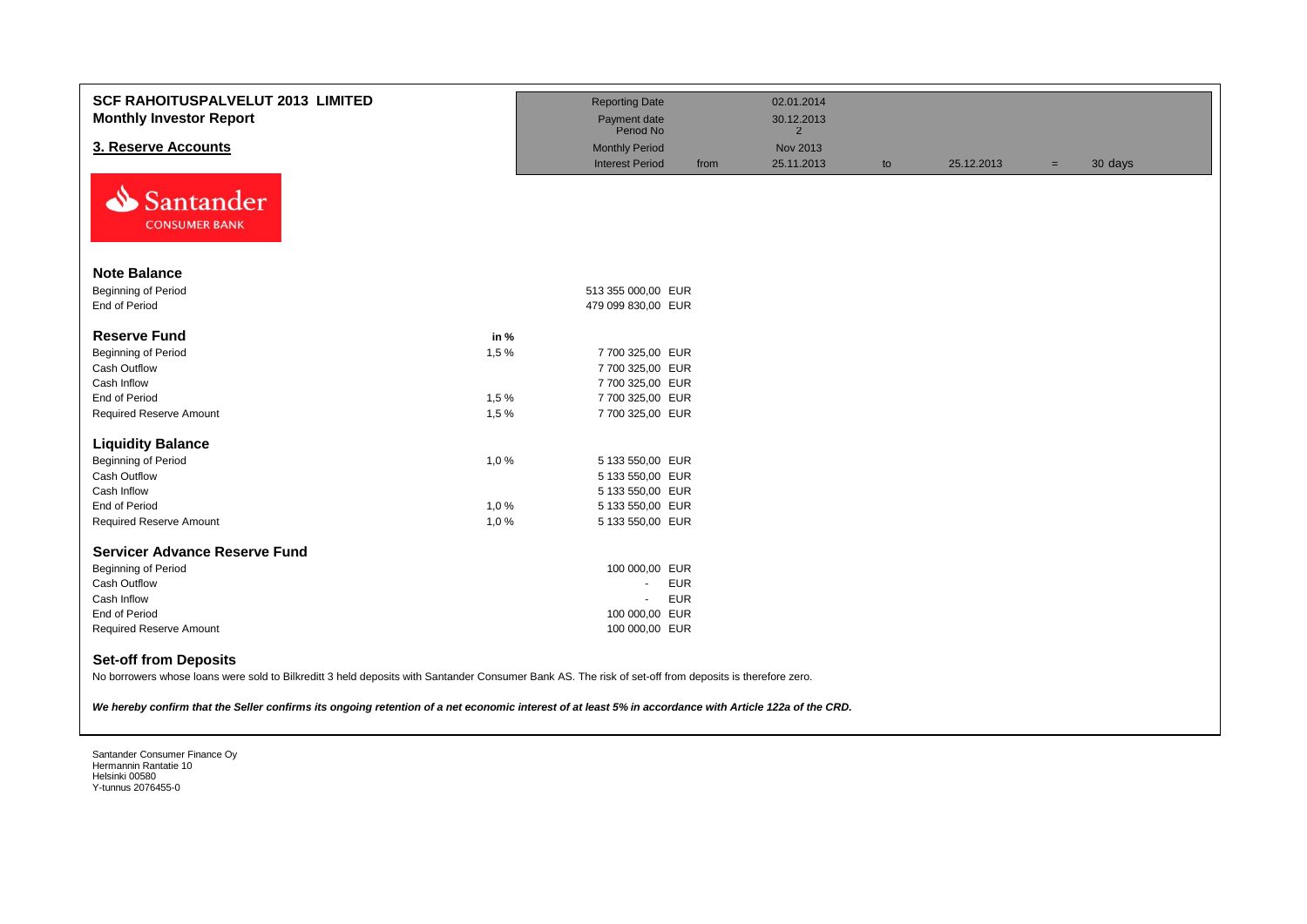| <b>SCF RAHOITUSPALVELUT 2013 LIMITED</b><br><b>Monthly Investor Report</b>                                                                                                             |      | <b>Reporting Date</b><br>Payment date<br>Period No |      | 02.01.2014<br>30.12.2013<br>$\overline{2}$ |    |            |                |
|----------------------------------------------------------------------------------------------------------------------------------------------------------------------------------------|------|----------------------------------------------------|------|--------------------------------------------|----|------------|----------------|
| 3. Reserve Accounts                                                                                                                                                                    |      | <b>Monthly Period</b>                              |      | Nov 2013                                   |    |            |                |
|                                                                                                                                                                                        |      | <b>Interest Period</b>                             | from | 25.11.2013                                 | to | 25.12.2013 | 30 days<br>$=$ |
| Santander<br><b>CONSUMER BANK</b>                                                                                                                                                      |      |                                                    |      |                                            |    |            |                |
| <b>Note Balance</b>                                                                                                                                                                    |      |                                                    |      |                                            |    |            |                |
| <b>Beginning of Period</b>                                                                                                                                                             |      | 513 355 000,00 EUR                                 |      |                                            |    |            |                |
| End of Period                                                                                                                                                                          |      | 479 099 830,00 EUR                                 |      |                                            |    |            |                |
| <b>Reserve Fund</b>                                                                                                                                                                    | in % |                                                    |      |                                            |    |            |                |
| <b>Beginning of Period</b>                                                                                                                                                             | 1,5% | 7 700 325,00 EUR                                   |      |                                            |    |            |                |
| <b>Cash Outflow</b>                                                                                                                                                                    |      | 7 700 325,00 EUR                                   |      |                                            |    |            |                |
| Cash Inflow                                                                                                                                                                            |      | 7 700 325,00 EUR                                   |      |                                            |    |            |                |
| End of Period                                                                                                                                                                          | 1,5% | 7 700 325,00 EUR                                   |      |                                            |    |            |                |
| Required Reserve Amount                                                                                                                                                                | 1,5% | 7 700 325,00 EUR                                   |      |                                            |    |            |                |
| <b>Liquidity Balance</b>                                                                                                                                                               |      |                                                    |      |                                            |    |            |                |
| <b>Beginning of Period</b>                                                                                                                                                             | 1,0% | 5 133 550,00 EUR                                   |      |                                            |    |            |                |
| Cash Outflow                                                                                                                                                                           |      | 5 133 550,00 EUR                                   |      |                                            |    |            |                |
| Cash Inflow                                                                                                                                                                            |      | 5 133 550,00 EUR                                   |      |                                            |    |            |                |
| End of Period                                                                                                                                                                          | 1,0% | 5 133 550,00 EUR                                   |      |                                            |    |            |                |
| <b>Required Reserve Amount</b>                                                                                                                                                         | 1,0% | 5 133 550,00 EUR                                   |      |                                            |    |            |                |
| <b>Servicer Advance Reserve Fund</b>                                                                                                                                                   |      |                                                    |      |                                            |    |            |                |
| <b>Beginning of Period</b>                                                                                                                                                             |      | 100 000,00 EUR                                     |      |                                            |    |            |                |
| Cash Outflow                                                                                                                                                                           |      | <b>EUR</b><br>$\blacksquare$                       |      |                                            |    |            |                |
| Cash Inflow                                                                                                                                                                            |      | <b>EUR</b><br>$\mathbf{r}$                         |      |                                            |    |            |                |
| End of Period                                                                                                                                                                          |      | 100 000,00 EUR                                     |      |                                            |    |            |                |
| Required Reserve Amount                                                                                                                                                                |      | 100 000,00 EUR                                     |      |                                            |    |            |                |
| <b>Set-off from Deposits</b><br>No borrowers whose loans were sold to Bilkreditt 3 held deposits with Santander Consumer Bank AS. The risk of set-off from deposits is therefore zero. |      |                                                    |      |                                            |    |            |                |
| We hereby confirm that the Seller confirms its ongoing retention of a net economic interest of at least 5% in accordance with Article 122a of the CRD.                                 |      |                                                    |      |                                            |    |            |                |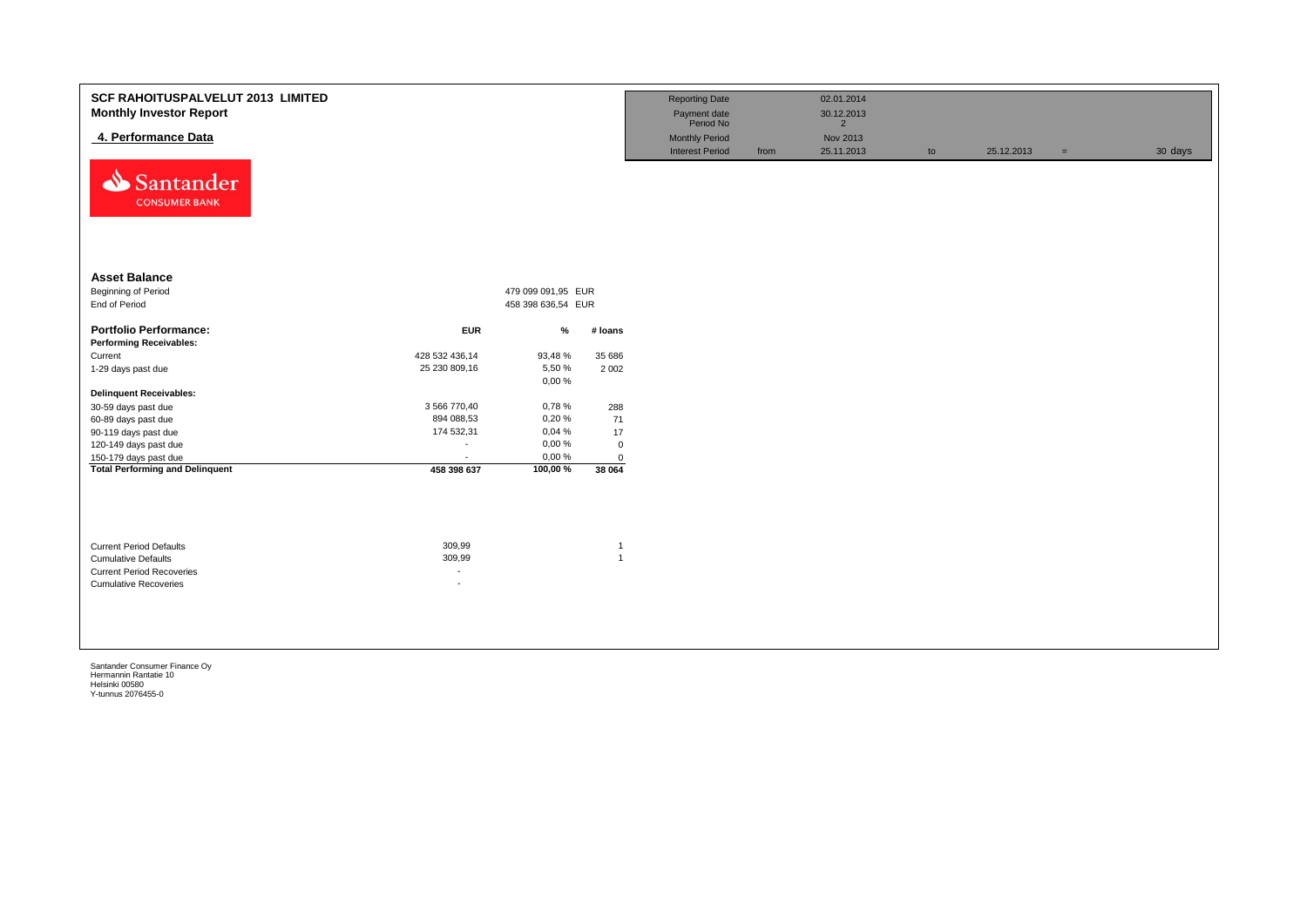| <b>SCF RAHOITUSPALVELUT 2013 LIMITED</b><br><b>Monthly Investor Report</b><br>4. Performance Data<br>Santander<br><b>CONSUMER BANK</b> |                                            |                                          |                                | <b>Reporting Date</b><br>Payment date<br>Period No<br><b>Monthly Period</b><br><b>Interest Period</b> | from | 02.01.2014<br>30.12.2013<br>$2^{\circ}$<br>Nov 2013<br>25.11.2013 | to | 25.12.2013 | $=$ | 30 days |
|----------------------------------------------------------------------------------------------------------------------------------------|--------------------------------------------|------------------------------------------|--------------------------------|-------------------------------------------------------------------------------------------------------|------|-------------------------------------------------------------------|----|------------|-----|---------|
| <b>Asset Balance</b><br>Beginning of Period<br>End of Period                                                                           |                                            | 479 099 091,95 EUR<br>458 398 636,54 EUR |                                |                                                                                                       |      |                                                                   |    |            |     |         |
| <b>Portfolio Performance:</b><br><b>Performing Receivables:</b>                                                                        | <b>EUR</b>                                 | $\%$                                     | # loans                        |                                                                                                       |      |                                                                   |    |            |     |         |
| Current                                                                                                                                | 428 532 436,14                             | 93,48%                                   | 35 686                         |                                                                                                       |      |                                                                   |    |            |     |         |
| 1-29 days past due                                                                                                                     | 25 230 809,16                              | 5,50 %                                   | 2 0 0 2                        |                                                                                                       |      |                                                                   |    |            |     |         |
|                                                                                                                                        |                                            | 0,00%                                    |                                |                                                                                                       |      |                                                                   |    |            |     |         |
| <b>Delinquent Receivables:</b>                                                                                                         |                                            |                                          |                                |                                                                                                       |      |                                                                   |    |            |     |         |
| 30-59 days past due                                                                                                                    | 3 566 770,40                               | 0,78%                                    | 288                            |                                                                                                       |      |                                                                   |    |            |     |         |
| 60-89 days past due                                                                                                                    | 894 088,53                                 | 0,20%                                    | 71                             |                                                                                                       |      |                                                                   |    |            |     |         |
| 90-119 days past due                                                                                                                   | 174 532,31                                 | 0,04%<br>0,00%                           | $17$                           |                                                                                                       |      |                                                                   |    |            |     |         |
| 120-149 days past due                                                                                                                  | $\blacksquare$<br>$\overline{\phantom{a}}$ | 0,00%                                    | $\mathsf 0$                    |                                                                                                       |      |                                                                   |    |            |     |         |
| 150-179 days past due<br><b>Total Performing and Delinquent</b>                                                                        | 458 398 637                                | 100,00%                                  | $\mathbf 0$<br>38 064          |                                                                                                       |      |                                                                   |    |            |     |         |
| <b>Current Period Defaults</b><br><b>Cumulative Defaults</b><br><b>Current Period Recoveries</b><br><b>Cumulative Recoveries</b>       | 309,99<br>309,99<br>$\sim$<br>÷,           |                                          | $\overline{1}$<br>$\mathbf{1}$ |                                                                                                       |      |                                                                   |    |            |     |         |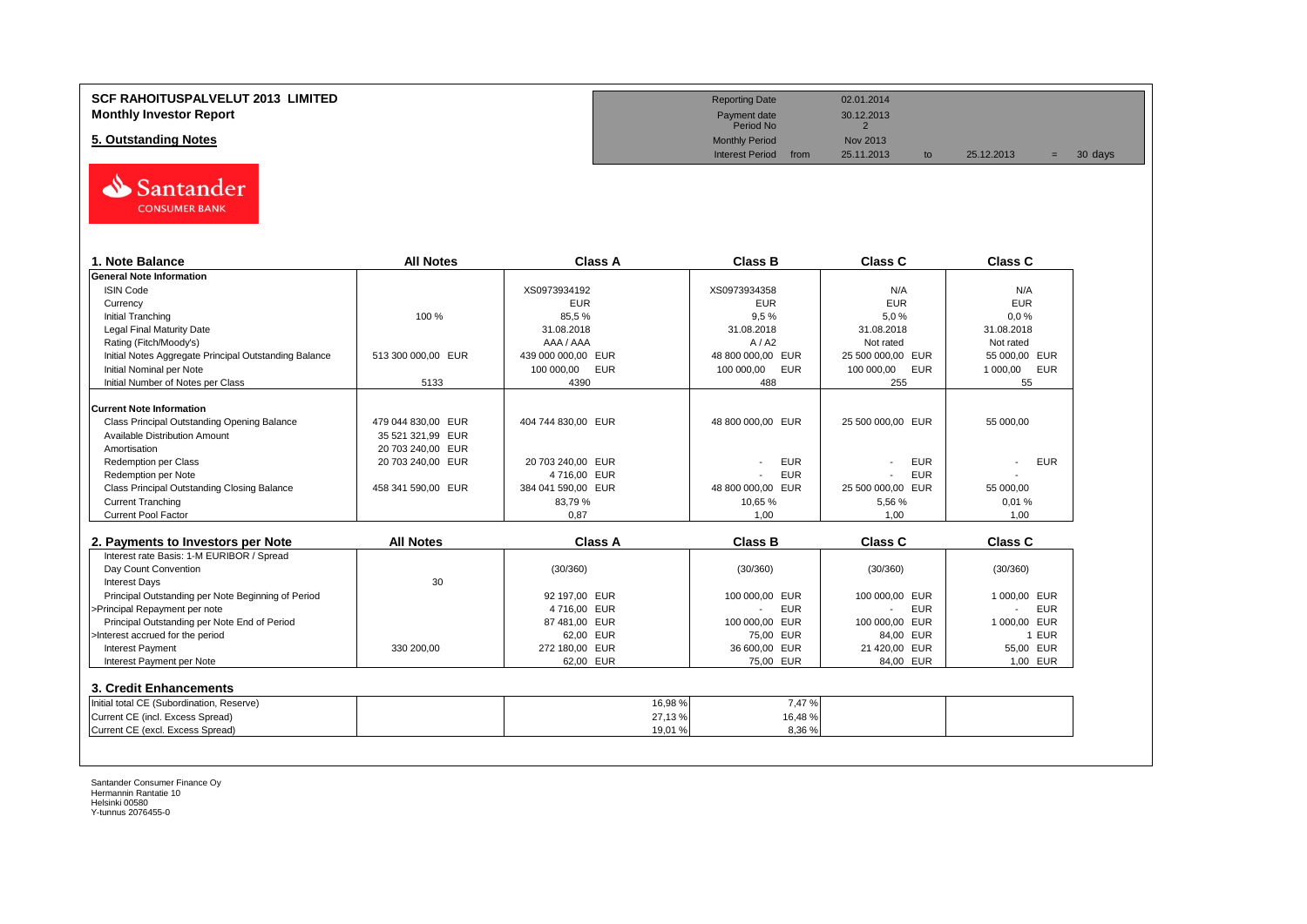# **SCF RAHOITUSPALVELUT 2013 LIMITED Reporting Date** 02.01.2014 **Monthly Investor Report** 2001 2013<br> **Monthly Investor Report** 20012.2013<br>
Payment date 30.12.2013

# **5. Outstanding Notes** Monthly Period Nov 2013<br>
Monthly Period Nov 2013<br>
Interest Period from 25.11.2013



| 1. Note Balance                                       | <b>All Notes</b>   | <b>Class A</b>           | <b>Class B</b>           | Class C           | Class C         |
|-------------------------------------------------------|--------------------|--------------------------|--------------------------|-------------------|-----------------|
| <b>General Note Information</b>                       |                    |                          |                          |                   |                 |
| <b>ISIN Code</b>                                      |                    | XS0973934192             | XS0973934358             | N/A               | N/A             |
| Currency                                              |                    | <b>EUR</b>               | <b>EUR</b>               | <b>EUR</b>        | <b>EUR</b>      |
| <b>Initial Tranching</b>                              | 100 %              | 85,5%                    | 9,5%                     | 5,0%              | 0.0%            |
| <b>Legal Final Maturity Date</b>                      |                    | 31.08.2018               | 31.08.2018               | 31.08.2018        | 31.08.2018      |
| Rating (Fitch/Moody's)                                |                    | AAA / AAA                | A/42                     | Not rated         | Not rated       |
| Initial Notes Aggregate Principal Outstanding Balance | 513 300 000.00 EUR | 439 000 000,00 EUR       | 48 800 000.00 EUR        | 25 500 000.00 EUR | 55 000.00 EUR   |
| Initial Nominal per Note                              |                    | <b>EUR</b><br>100 000,00 | <b>EUR</b><br>100 000,00 | EUR<br>100 000,00 | 1 000,00<br>EUR |
| Initial Number of Notes per Class                     | 5133               | 4390                     | 488                      | 255               | 55              |
| <b>Current Note Information</b>                       |                    |                          |                          |                   |                 |
| Class Principal Outstanding Opening Balance           | 479 044 830.00 EUR | 404 744 830.00 EUR       | 48 800 000,00 EUR        | 25 500 000.00 EUR | 55 000,00       |
| <b>Available Distribution Amount</b>                  | 35 521 321,99 EUR  |                          |                          |                   |                 |
| Amortisation                                          | 20 703 240,00 EUR  |                          |                          |                   |                 |
| <b>Redemption per Class</b>                           | 20 703 240,00 EUR  | 20 703 240,00 EUR        | <b>EUR</b>               | <b>EUR</b>        | <b>EUR</b>      |
| Redemption per Note                                   |                    | 4716,00 EUR              | <b>EUR</b>               | <b>EUR</b>        |                 |
| Class Principal Outstanding Closing Balance           | 458 341 590,00 EUR | 384 041 590,00 EUR       | 48 800 000.00 EUR        | 25 500 000,00 EUR | 55 000.00       |
| <b>Current Tranching</b>                              |                    | 83,79%                   | 10.65%                   | 5.56%             | 0.01%           |
| <b>Current Pool Factor</b>                            |                    | 0.87                     | 1.00                     | 1.00              | 1.00            |
|                                                       |                    |                          |                          |                   |                 |
|                                                       |                    |                          |                          |                   |                 |
| 2. Payments to Investors per Note                     | <b>All Notes</b>   | <b>Class A</b>           | <b>Class B</b>           | <b>Class C</b>    | Class C         |
| Interest rate Basis: 1-M EURIBOR / Spread             |                    |                          |                          |                   |                 |
| Day Count Convention                                  |                    | (30/360)                 | (30/360)                 | (30/360)          | (30/360)        |
| <b>Interest Days</b>                                  | 30                 |                          |                          |                   |                 |
| Principal Outstanding per Note Beginning of Period    |                    | 92 197,00 EUR            | 100 000.00 EUR           | 100 000,00 EUR    | 1 000.00 EUR    |
| >Principal Repayment per note                         |                    | 4716,00 EUR              | <b>EUR</b>               | <b>EUR</b>        | <b>EUR</b>      |
| Principal Outstanding per Note End of Period          |                    | 87 481.00 EUR            | 100 000.00 EUR           | 100 000.00 EUR    | 1 000.00 EUR    |
| >Interest accrued for the period                      |                    | 62,00 EUR                | 75,00 EUR                | 84,00 EUR         | 1 EUR           |
| <b>Interest Payment</b>                               | 330 200.00         | 272 180.00 EUR           | 36 600,00 EUR            | 21 420,00 EUR     | 55,00 EUR       |
| Interest Payment per Note                             |                    | 62.00 EUR                | 75,00 EUR                | 84.00 EUR         | 1.00 EUR        |
| 3. Credit Enhancements                                |                    |                          |                          |                   |                 |
| Initial total CE (Subordination, Reserve)             |                    | 16,98%                   | 7,47 %                   |                   |                 |
| Current CE (incl. Excess Spread)                      |                    | 27,13%                   | 16,48%                   |                   |                 |

Payment date<br>Period No

Interest Period from 25.11.2013 to 25.12.2013 = 30 days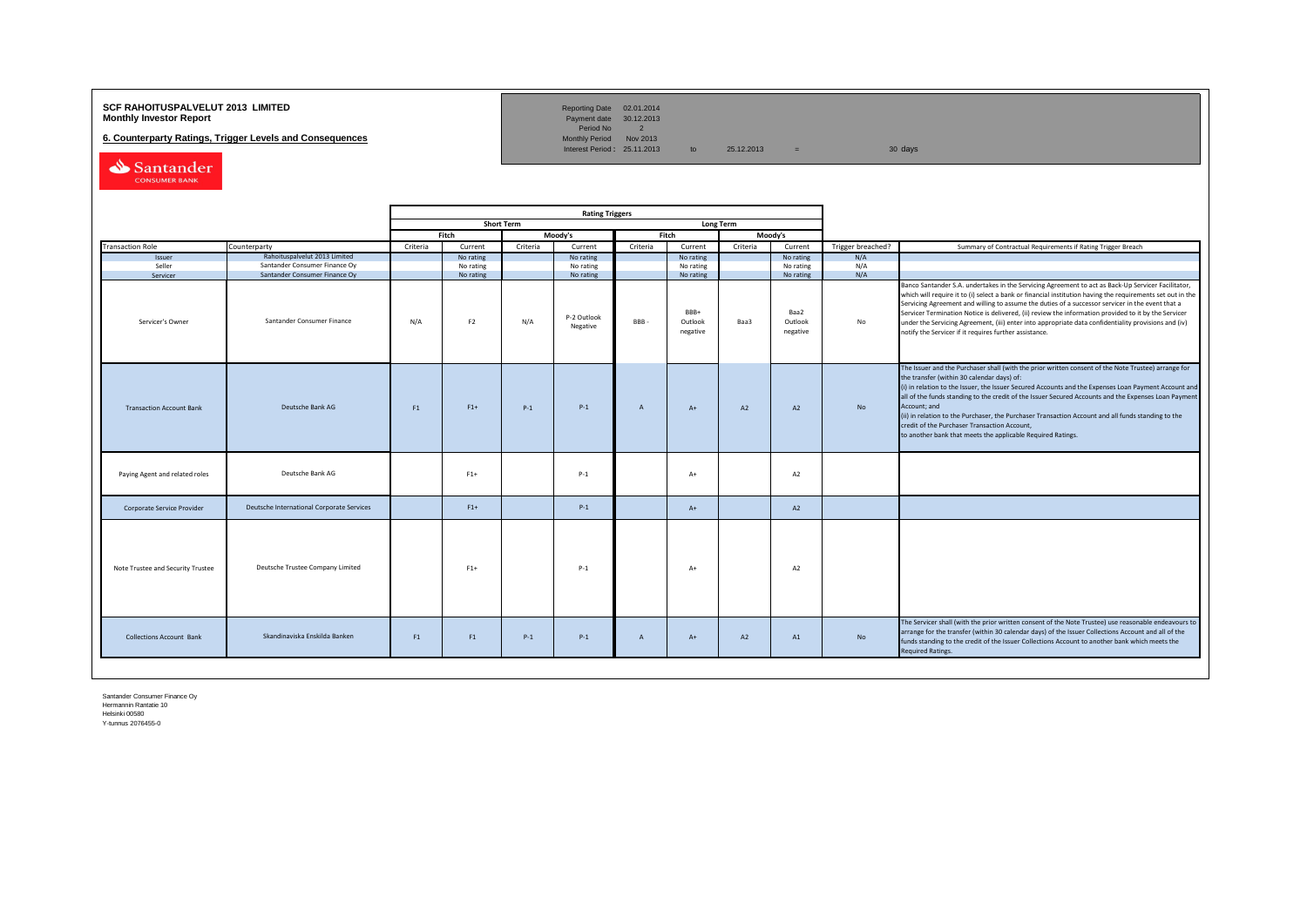# **SCF RAHOITUSPALVELUT 2013 LIMITED**<br>**Monthly Investor Report** Payment date 30.12.2013

**6. Counterparty Ratings, Trigger Levels and Consequences** 

Reporting Date 02.01.2014<br>Payment date 30.12.2013<br>Period No 2<br>Monthly Period Nov 2013

Interest Period:  $25.11.2013$  to  $25.12.2013$  = 30 days

Santander CONSUMER BANK

|                                   |                                                                |                | <b>Rating Triggers</b> |                   |                         |                |                             |                  |                             |                   |                                                                                                                                                                                                                                                                                                                                                                                                                                                                                                                                                                                                        |
|-----------------------------------|----------------------------------------------------------------|----------------|------------------------|-------------------|-------------------------|----------------|-----------------------------|------------------|-----------------------------|-------------------|--------------------------------------------------------------------------------------------------------------------------------------------------------------------------------------------------------------------------------------------------------------------------------------------------------------------------------------------------------------------------------------------------------------------------------------------------------------------------------------------------------------------------------------------------------------------------------------------------------|
|                                   |                                                                |                |                        | <b>Short Term</b> |                         |                |                             | <b>Long Term</b> |                             |                   |                                                                                                                                                                                                                                                                                                                                                                                                                                                                                                                                                                                                        |
|                                   |                                                                |                | Fitch                  |                   | Moody's                 |                | Fitch                       |                  | Moodv's                     |                   |                                                                                                                                                                                                                                                                                                                                                                                                                                                                                                                                                                                                        |
| <b>Transaction Role</b>           | Counterparty                                                   | Criteria       | Current                | Criteria          | Current                 | Criteria       | Current                     | Criteria         | Current                     | Trigger breached? | Summary of Contractual Requirements if Rating Trigger Breach                                                                                                                                                                                                                                                                                                                                                                                                                                                                                                                                           |
| Issuer                            | Rahoituspalvelut 2013 Limited                                  |                | No rating              |                   | No rating               |                | No rating                   |                  | No rating                   | N/A               |                                                                                                                                                                                                                                                                                                                                                                                                                                                                                                                                                                                                        |
| Seller<br>Servicer                | Santander Consumer Finance Oy<br>Santander Consumer Finance Oy |                | No rating<br>No rating |                   | No rating<br>No rating  |                | No rating<br>No rating      |                  | No rating<br>No rating      | N/A<br>N/A        |                                                                                                                                                                                                                                                                                                                                                                                                                                                                                                                                                                                                        |
| Servicer's Owner                  | Santander Consumer Finance                                     | N/A            | F <sub>2</sub>         | N/A               | P-2 Outlook<br>Negative | BBB-           | BBB+<br>Outlook<br>negative | Baa3             | Baa2<br>Outlook<br>negative | No                | Banco Santander S.A. undertakes in the Servicing Agreement to act as Back-Up Servicer Facilitator,<br>which will require it to (i) select a bank or financial institution having the requirements set out in the<br>Servicing Agreement and willing to assume the duties of a successor servicer in the event that a<br>Servicer Termination Notice is delivered, (ii) review the information provided to it by the Servicer<br>under the Servicing Agreement, (iii) enter into appropriate data confidentiality provisions and (iv)<br>notify the Servicer if it requires further assistance.         |
| <b>Transaction Account Bank</b>   | Deutsche Bank AG                                               | F <sub>1</sub> | $F1+$                  | $P-1$             | $P-1$                   | $\overline{A}$ | $A+$                        | A2               | A2                          | No                | The Issuer and the Purchaser shall (with the prior written consent of the Note Trustee) arrange for<br>the transfer (within 30 calendar days) of:<br>(i) in relation to the Issuer, the Issuer Secured Accounts and the Expenses Loan Payment Account and<br>all of the funds standing to the credit of the Issuer Secured Accounts and the Expenses Loan Payment<br>Account; and<br>(ii) in relation to the Purchaser, the Purchaser Transaction Account and all funds standing to the<br>credit of the Purchaser Transaction Account,<br>to another bank that meets the applicable Required Ratings. |
| Paying Agent and related roles    | Deutsche Bank AG                                               |                | $F1+$                  |                   | $P-1$                   |                | $A+$                        |                  | A2                          |                   |                                                                                                                                                                                                                                                                                                                                                                                                                                                                                                                                                                                                        |
| Corporate Service Provider        | Deutsche International Corporate Services                      |                | $F1+$                  |                   | $P-1$                   |                | $A+$                        |                  | A2                          |                   |                                                                                                                                                                                                                                                                                                                                                                                                                                                                                                                                                                                                        |
| Note Trustee and Security Trustee | Deutsche Trustee Company Limited                               |                | $F1+$                  |                   | $P-1$                   |                | $A+$                        |                  | A2                          |                   |                                                                                                                                                                                                                                                                                                                                                                                                                                                                                                                                                                                                        |
| <b>Collections Account Bank</b>   | Skandinaviska Enskilda Banken                                  | F1             | F <sub>1</sub>         | $P-1$             | $P-1$                   | $\overline{A}$ | $A+$                        | A2               | A1                          | No                | The Servicer shall (with the prior written consent of the Note Trustee) use reasonable endeavours to<br>arrange for the transfer (within 30 calendar days) of the Issuer Collections Account and all of the<br>funds standing to the credit of the Issuer Collections Account to another bank which meets the<br><b>Required Ratings.</b>                                                                                                                                                                                                                                                              |
|                                   |                                                                |                |                        |                   |                         |                |                             |                  |                             |                   |                                                                                                                                                                                                                                                                                                                                                                                                                                                                                                                                                                                                        |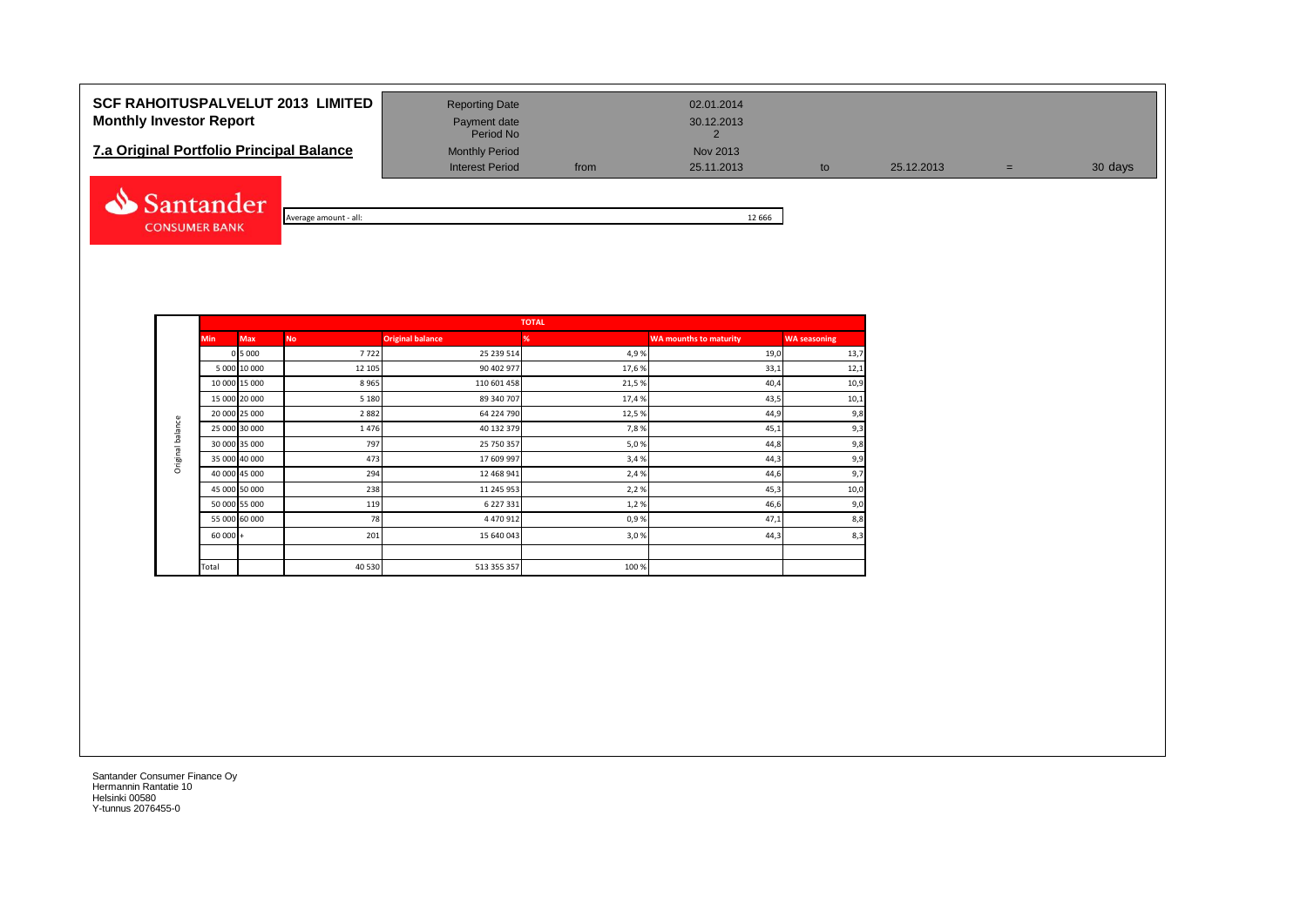| <b>SCF RAHOITUSPALVELUT 2013 LIMITED</b><br><b>Monthly Investor Report</b><br>7.a Original Portfolio Principal Balance | <b>Reporting Date</b><br>Payment date<br>Period No<br><b>Monthly Period</b> |      | 02.01.2014<br>30.12.2013<br>Nov 2013 |    |            |     |         |
|------------------------------------------------------------------------------------------------------------------------|-----------------------------------------------------------------------------|------|--------------------------------------|----|------------|-----|---------|
|                                                                                                                        | <b>Interest Period</b>                                                      | from | 25.11.2013                           | to | 25.12.2013 | $=$ | 30 days |
| Santander<br>Average amount - all:                                                                                     |                                                                             |      | 12 6 6 6                             |    |            |     |         |

**CONSUMER BANK** 

**The Common** 

|            |           |                         | <b>TOTAL</b> |
|------------|-----------|-------------------------|--------------|
| <b>Max</b> | <b>No</b> | <b>Original balance</b> | %            |
| 0 5 0 0 0  | 7722      | 25 239 514              |              |
| 0 10 000   | 12 105    | 90 402 977              |              |

|                  | <b>Min</b>    | <b>Max</b>   | <b>No</b> | <b>Original balance</b> | %     | <b>WA mounths to maturity</b> | <b>WA seasoning</b> |
|------------------|---------------|--------------|-----------|-------------------------|-------|-------------------------------|---------------------|
|                  |               | 0 5 0 0 0    | 7722      | 25 239 514              | 4,9%  | 19,0                          | 13,7                |
|                  |               | 5 000 10 000 | 12 10 5   | 90 402 977              | 17,6% | 33,1                          | 12,1                |
|                  | 10 000 15 000 |              | 8965      | 110 601 458             | 21,5% | 40,4                          | 10,9                |
|                  | 15 000 20 000 |              | 5 1 8 0   | 89 340 707              | 17,4% | 43,5                          | 10,1                |
|                  | 20 000 25 000 |              | 2882      | 64 224 790              | 12,5% | 44,9                          | 9,8                 |
| Original balance | 25 000 30 000 |              | 1476      | 40 132 379              | 7,8%  | 45,1                          | 9,3                 |
|                  | 30 000 35 000 |              | 797       | 25 750 357              | 5,0%  | 44,8                          | 9,8                 |
|                  | 35 000 40 000 |              | 473       | 17 609 997              | 3,4%  | 44,3                          | 9,9                 |
|                  | 40 000 45 000 |              | 294       | 12 468 941              | 2,4%  | 44,6                          | 9,7                 |
|                  | 45 000 50 000 |              | 238       | 11 245 953              | 2,2%  | 45,3                          | 10,0                |
|                  | 50 000 55 000 |              | 119       | 6 227 331               | 1,2%  | 46,6                          | 9,0                 |
|                  | 55 000 60 000 |              | 78        | 4 470 912               | 0,9%  | 47,1                          | 8,8                 |
|                  | $60000 +$     |              | 201       | 15 640 043              | 3,0%  | 44,3                          | 8,3                 |
|                  |               |              |           |                         |       |                               |                     |
|                  | Total         |              | 40 530    | 513 355 357             | 100 % |                               |                     |
|                  |               |              |           |                         |       |                               |                     |
|                  |               |              |           |                         |       |                               |                     |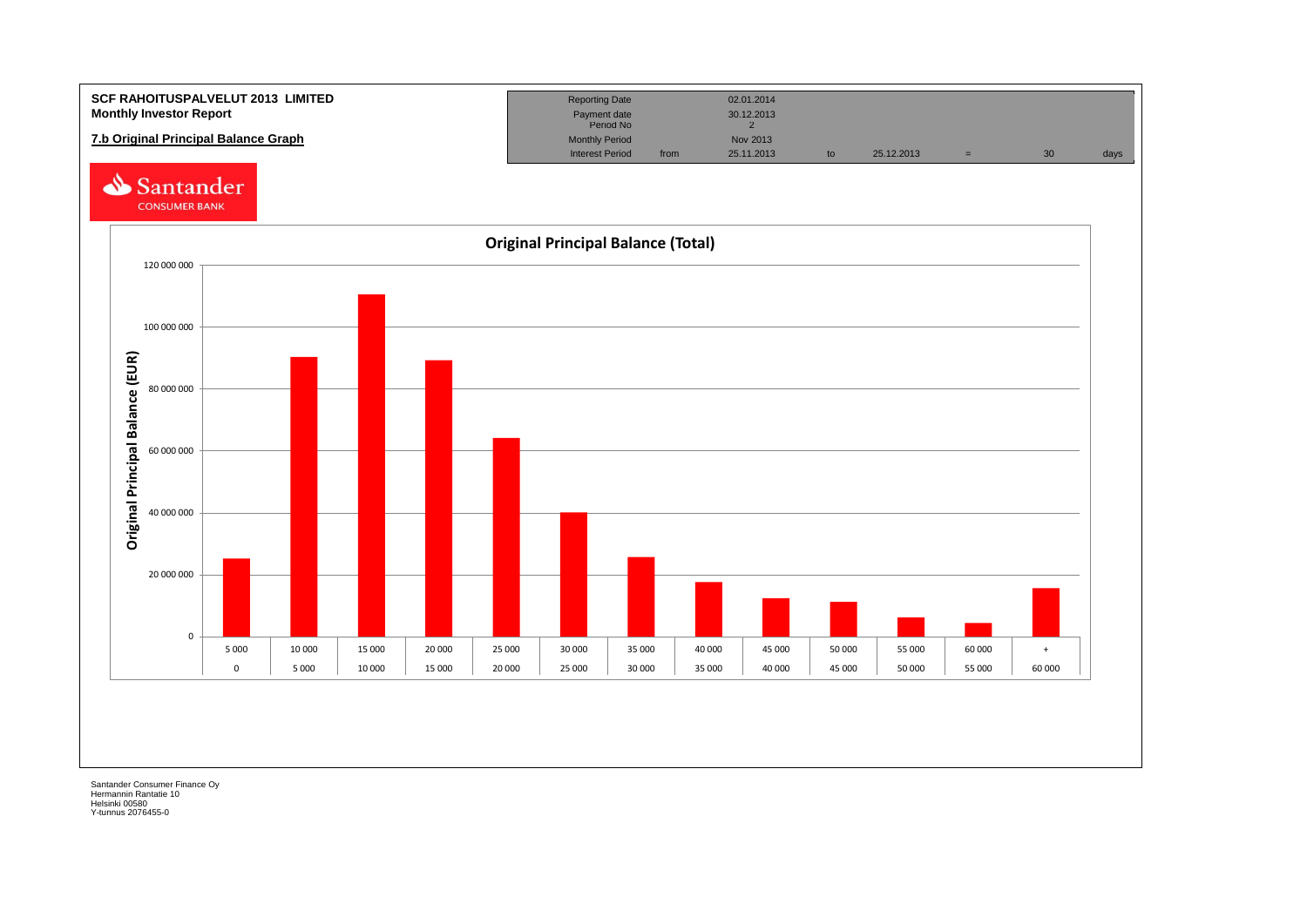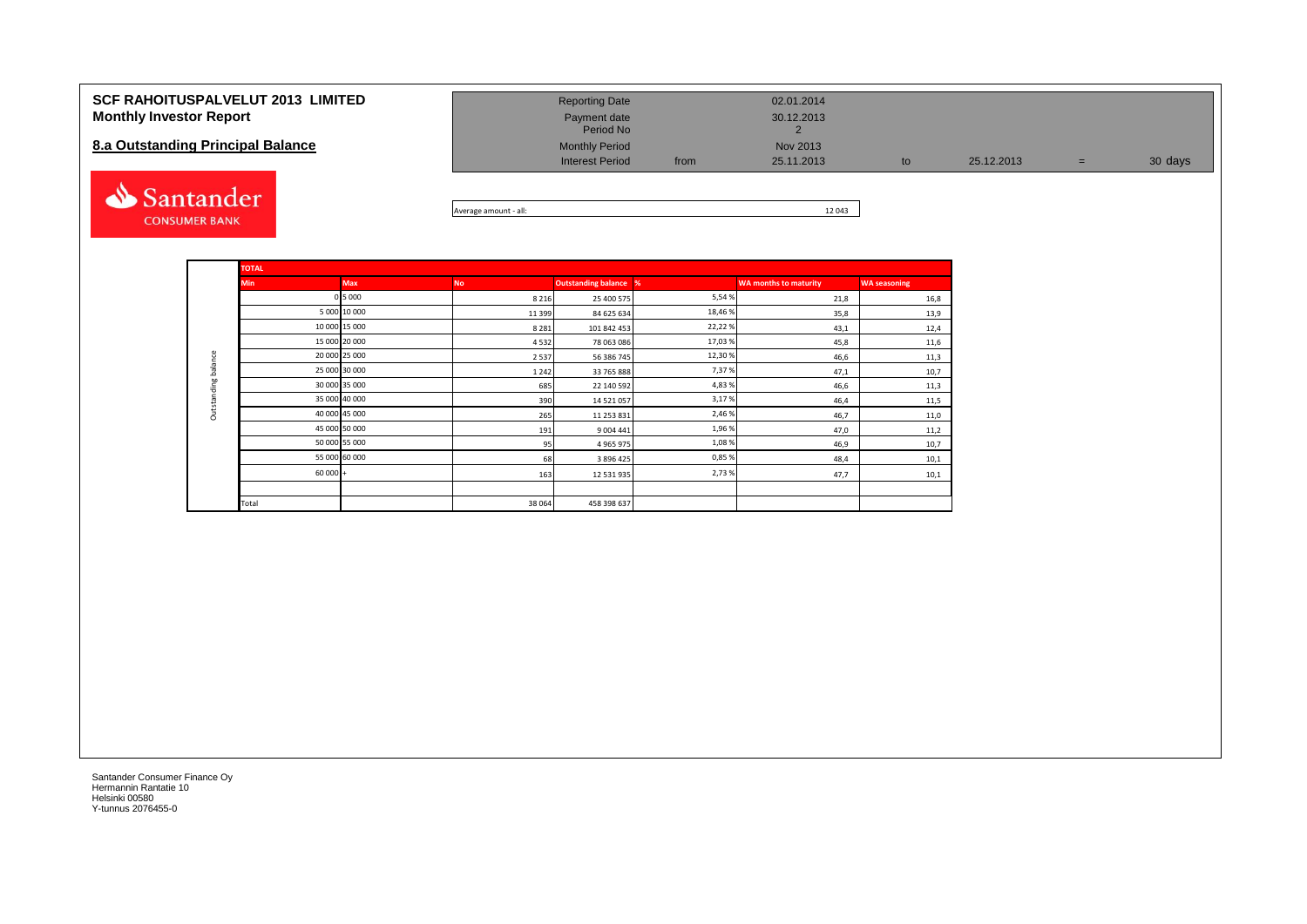#### **SCF RAHOITUSPALVELUT 2013 LIMITED Monthly Investor Report**

#### **8.a Outstanding Principal Balance**



| <b>Reporting Date</b>     |      | 02.01.2014 |    |            |     |         |
|---------------------------|------|------------|----|------------|-----|---------|
| Payment date<br>Period No |      | 30.12.2013 |    |            |     |         |
| <b>Monthly Period</b>     |      | Nov 2013   |    |            |     |         |
| <b>Interest Period</b>    | from | 25.11.2013 | to | 25.12.2013 | $=$ | 30 days |

Average amount - all: 12 043

|                                   | <b>TOTAL</b> |               |           |                              |         |                              |                     |
|-----------------------------------|--------------|---------------|-----------|------------------------------|---------|------------------------------|---------------------|
| <b>Min</b><br>Outstanding balance |              | Max           | <b>No</b> | <b>Outstanding balance %</b> |         | <b>WA months to maturity</b> | <b>WA seasoning</b> |
|                                   |              | 0 5 0 0 0     | 8 2 1 6   | 25 400 575                   | 5,54 %  | 21,8                         | 16,8                |
|                                   |              | 5 000 10 000  | 11 3 9 9  | 84 625 634                   | 18,46 % | 35,8                         | 13,9                |
|                                   |              | 10 000 15 000 | 8 2 8 1   | 101 842 453                  | 22,22%  | 43,1                         | 12,4                |
|                                   |              | 15 000 20 000 | 4532      | 78 063 086                   | 17,03 % | 45,8                         | 11,6                |
|                                   |              | 20 000 25 000 | 2537      | 56 386 745                   | 12,30 % | 46,6                         | 11,3                |
|                                   |              | 25 000 30 000 | 1 2 4 2   | 33 765 888                   | 7,37%   | 47,1                         | 10,7                |
|                                   |              | 30 000 35 000 | 685       | 22 140 592                   | 4,83 %  | 46,6                         | 11,3                |
|                                   |              | 35 000 40 000 | 390       | 14 521 057                   | 3,17%   | 46,4                         | 11,5                |
|                                   |              | 40 000 45 000 | 265       | 11 253 831                   | 2,46 %  | 46,7                         | 11,0                |
|                                   |              | 45 000 50 000 | 191       | 9 004 441                    | 1,96 %  | 47,0                         | 11,2                |
|                                   |              | 50 000 55 000 | 95        | 4 9 6 5 9 7 5                | 1,08%   | 46,9                         | 10,7                |
|                                   |              | 55 000 60 000 | 68        | 3 896 425                    | 0,85%   | 48,4                         | 10,1                |
|                                   | $60000 +$    |               | 163       | 12 531 935                   | 2,73 %  | 47,7                         | 10,1                |
|                                   |              |               |           |                              |         |                              |                     |
|                                   | Total        |               | 38 064    | 458 398 637                  |         |                              |                     |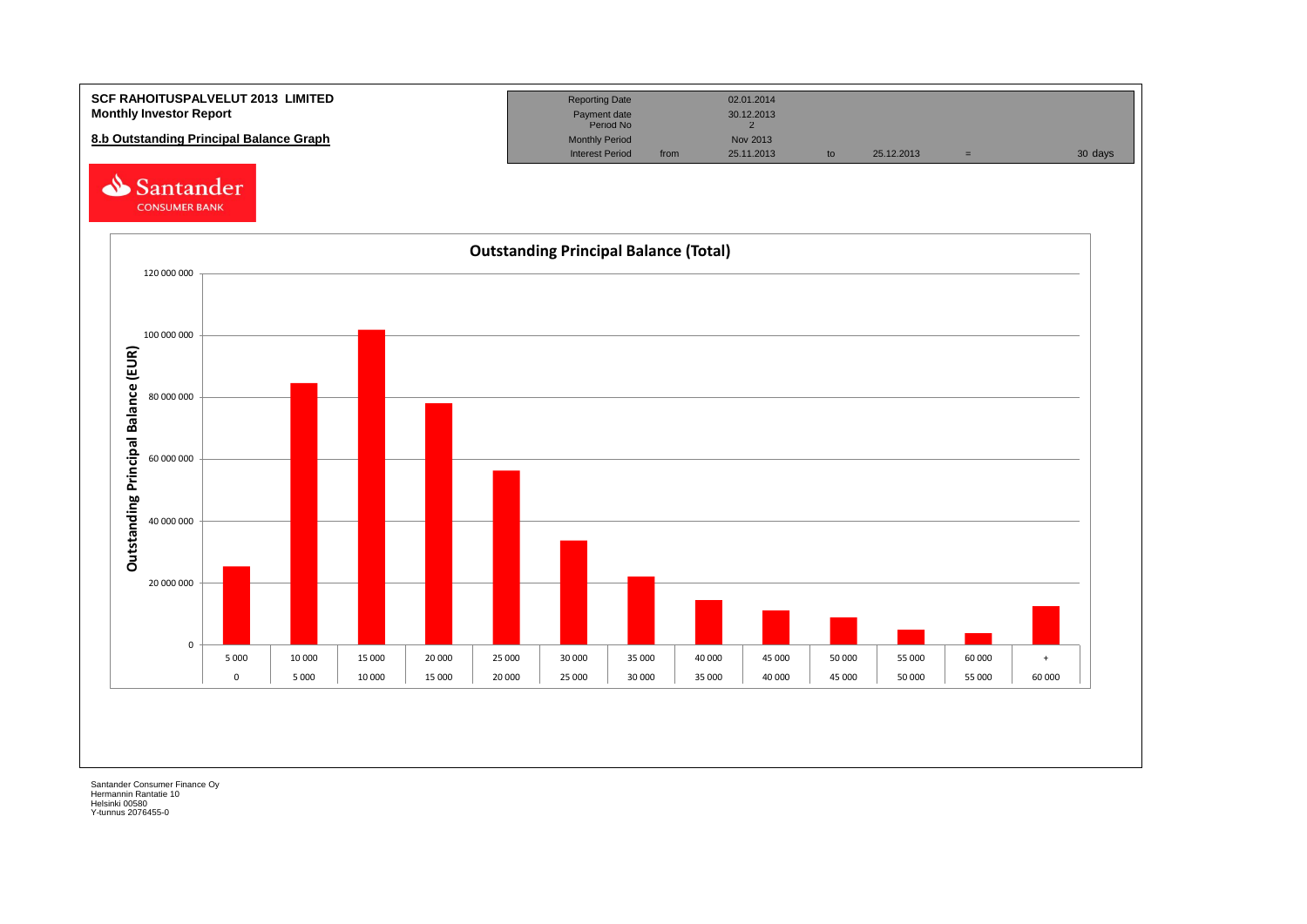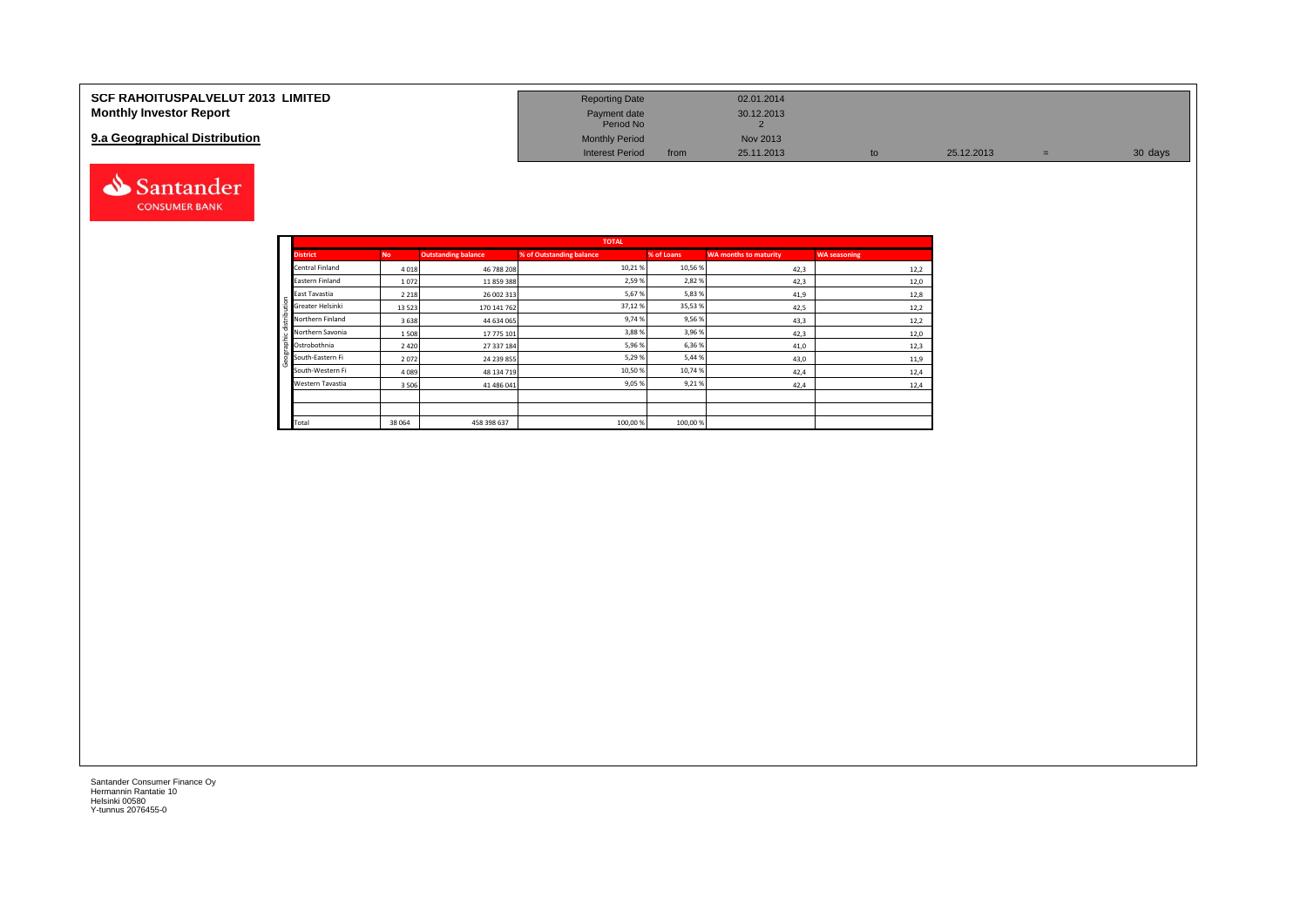| <b>SCF RAHOITUSPALVELUT 2013 LIMITED</b> | <b>Reporting Date</b>     |      | 02.01.2014 |            |         |
|------------------------------------------|---------------------------|------|------------|------------|---------|
| <b>Monthly Investor Report</b>           | Payment date<br>Period No |      | 30.12.2013 |            |         |
| 9.a Geographical Distribution            | <b>Monthly Period</b>     |      | Nov 2013   |            |         |
|                                          | <b>Interest Period</b>    | from | 25.11.2013 | 25.12.2013 | 30 days |



aphic distribution

l e

|          |                            |           |                            | <b>TOTAL</b>             |            |                              |                     |
|----------|----------------------------|-----------|----------------------------|--------------------------|------------|------------------------------|---------------------|
|          | <b>District</b>            | <b>No</b> | <b>Outstanding balance</b> | % of Outstanding balance | % of Loans | <b>WA months to maturity</b> | <b>WA seasoning</b> |
|          | Central Finland            | 4018      | 46 788 208                 | 10,21%                   | 10,56 %    | 42,3                         | 12,2                |
|          | Eastern Finland            | 1072      | 11859388                   | 2,59%                    | 2,82%      | 42,3                         | 12,0                |
| 5        | East Tavastia              | 2 2 1 8   | 26 002 313                 | 5,67%                    | 5,83 %     | 41,9                         | 12,8                |
|          | Greater Helsinki           | 13 5 23   | 170 141 762                | 37,12%                   | 35,53%     | 42,5                         | 12,2                |
| ÷<br>tx. | Northern Finland           | 3638      | 44 634 065                 | 9,74%                    | 9,56%      | 43,3                         | 12,2                |
|          | Northern Savonia           | 1508      | 17 775 101                 | 3,88%                    | 3,96 %     | 42,3                         | 12,0                |
|          | $\frac{2}{5}$ Ostrobothnia | 2 4 2 0   | 27 337 184                 | 5,96 %                   | 6,36 %     | 41,0                         | 12,3                |
| eogr     | South-Eastern Fi           | 2072      | 24 239 855                 | 5,29 %                   | 5,44 %     | 43,0                         | 11,9                |
| ю.       | South-Western Fi           | 4 0 8 9   | 48 134 719                 | 10,50 %                  | 10,74 %    | 42,4                         | 12,4                |
|          | Western Tavastia           | 3506      | 41 486 041                 | 9,05 %                   | 9,21%      | 42,4                         | 12,4                |
|          |                            |           |                            |                          |            |                              |                     |
|          |                            |           |                            |                          |            |                              |                     |
|          | Total                      | 38 064    | 458 398 637                | 100,00 %                 | 100,00 %   |                              |                     |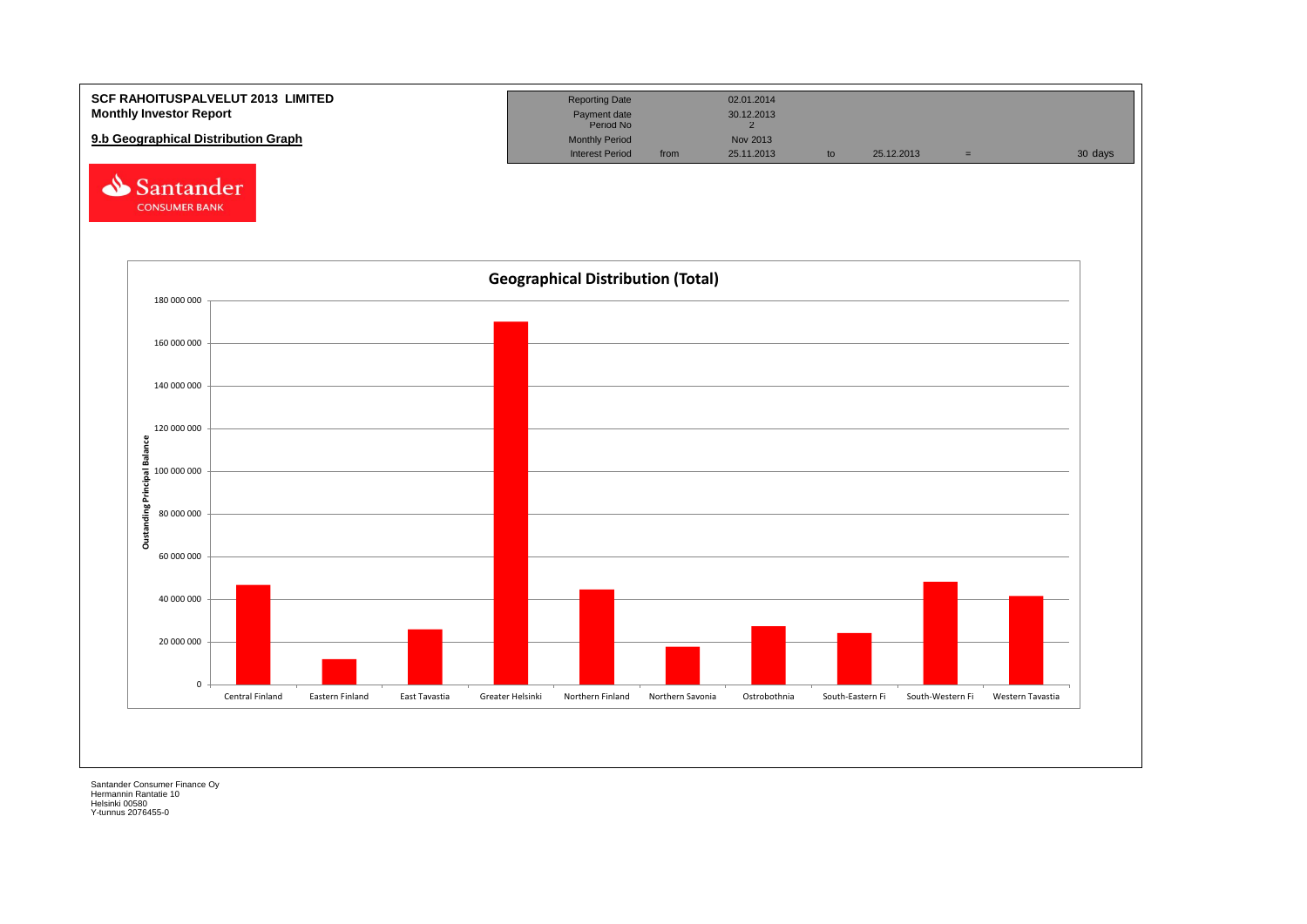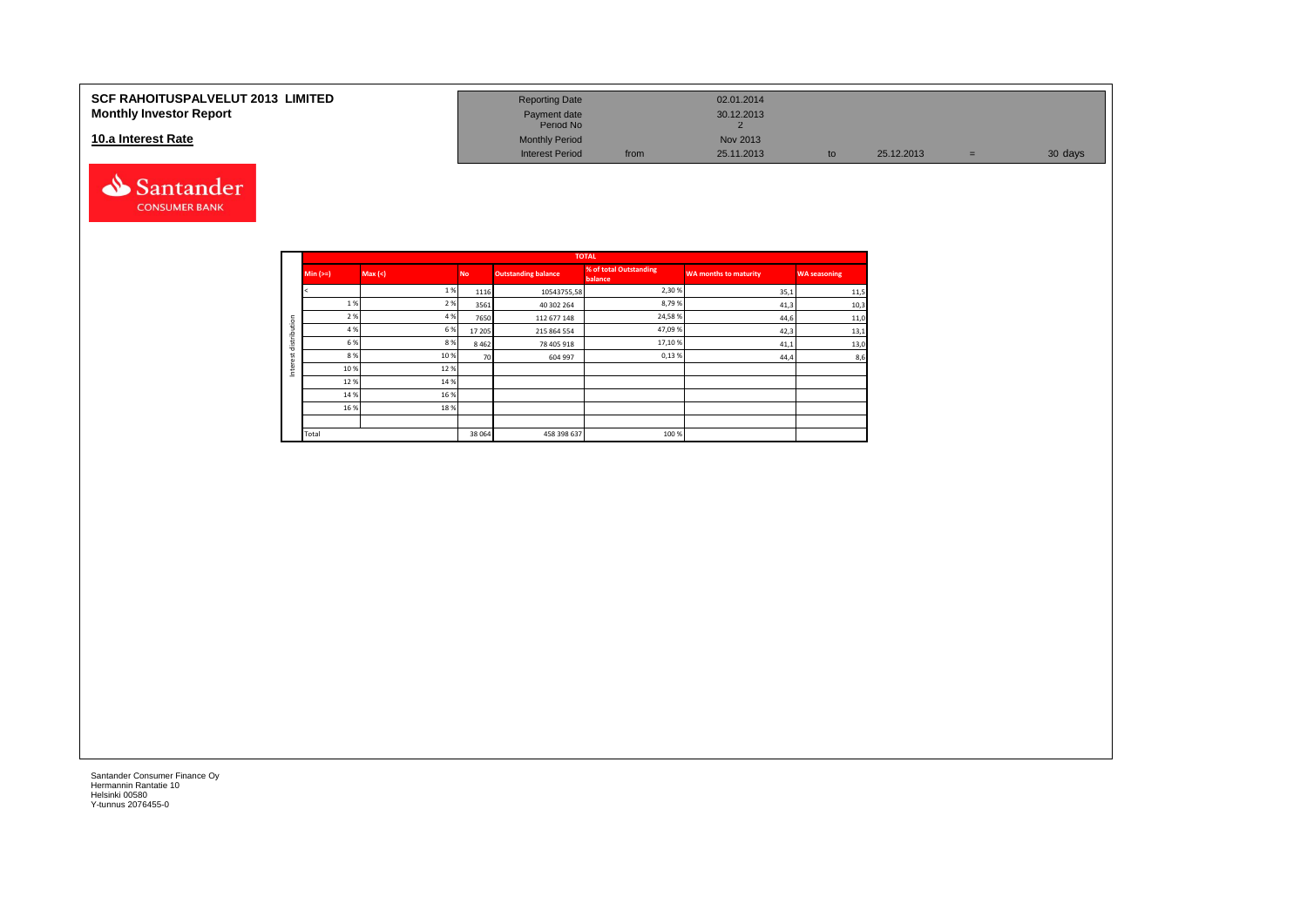#### **10.a Interest Rate**



| SCF RAHOITUSPALVELUT 2013  LIMITED<br><b>Monthly Investor Report</b> | <b>Reporting Date</b><br>Payment date<br>Period No |      | 02.01.2014<br>30.12.2013 |            |   |         |
|----------------------------------------------------------------------|----------------------------------------------------|------|--------------------------|------------|---|---------|
| 10.a Interest Rate                                                   | <b>Monthly Period</b>                              |      | Nov 2013                 |            |   |         |
|                                                                      | <b>Interest Period</b>                             | from | 25.11.2013               | 25.12.2013 | = | 30 days |

|         |          |        |           |                            | <b>TOTAL</b>                      |                              |                     |
|---------|----------|--------|-----------|----------------------------|-----------------------------------|------------------------------|---------------------|
|         | $Min (=$ | Max(<) | <b>No</b> | <b>Outstanding balance</b> | % of total Outstanding<br>balance | <b>WA months to maturity</b> | <b>WA seasoning</b> |
|         |          | 1%     | 1116      | 10543755,58                | 2,30%                             | 35,1                         | 11,5                |
|         | 1%       | 2%     | 3561      | 40 302 264                 | 8,79%                             | 41,3                         | 10,3                |
| ution   | 2 %      | 4 %    | 7650      | 112 677 148                | 24,58%                            | 44,6                         | 11,0                |
|         | 4 %      | 6 %    | 17 205    | 215 864 554                | 47,09%                            | 42,3                         | 13,1                |
| distrib | 6 %      | 8%     | 8 4 6 2   | 78 405 918                 | 17,10%                            | 41,1                         | 13,0                |
| ٠.<br>ă | 8%       | 10%    | 70        | 604 997                    | 0,13%                             | 44,4                         | 8,6                 |
| 눕<br>Ξ  | 10 %     | 12%    |           |                            |                                   |                              |                     |
|         | 12%      | 14 %   |           |                            |                                   |                              |                     |
|         | 14 %     | 16 %   |           |                            |                                   |                              |                     |
|         | 16 %     | 18%    |           |                            |                                   |                              |                     |
|         |          |        |           |                            |                                   |                              |                     |
|         | Total    |        | 38 064    | 458 398 637                | 100 %                             |                              |                     |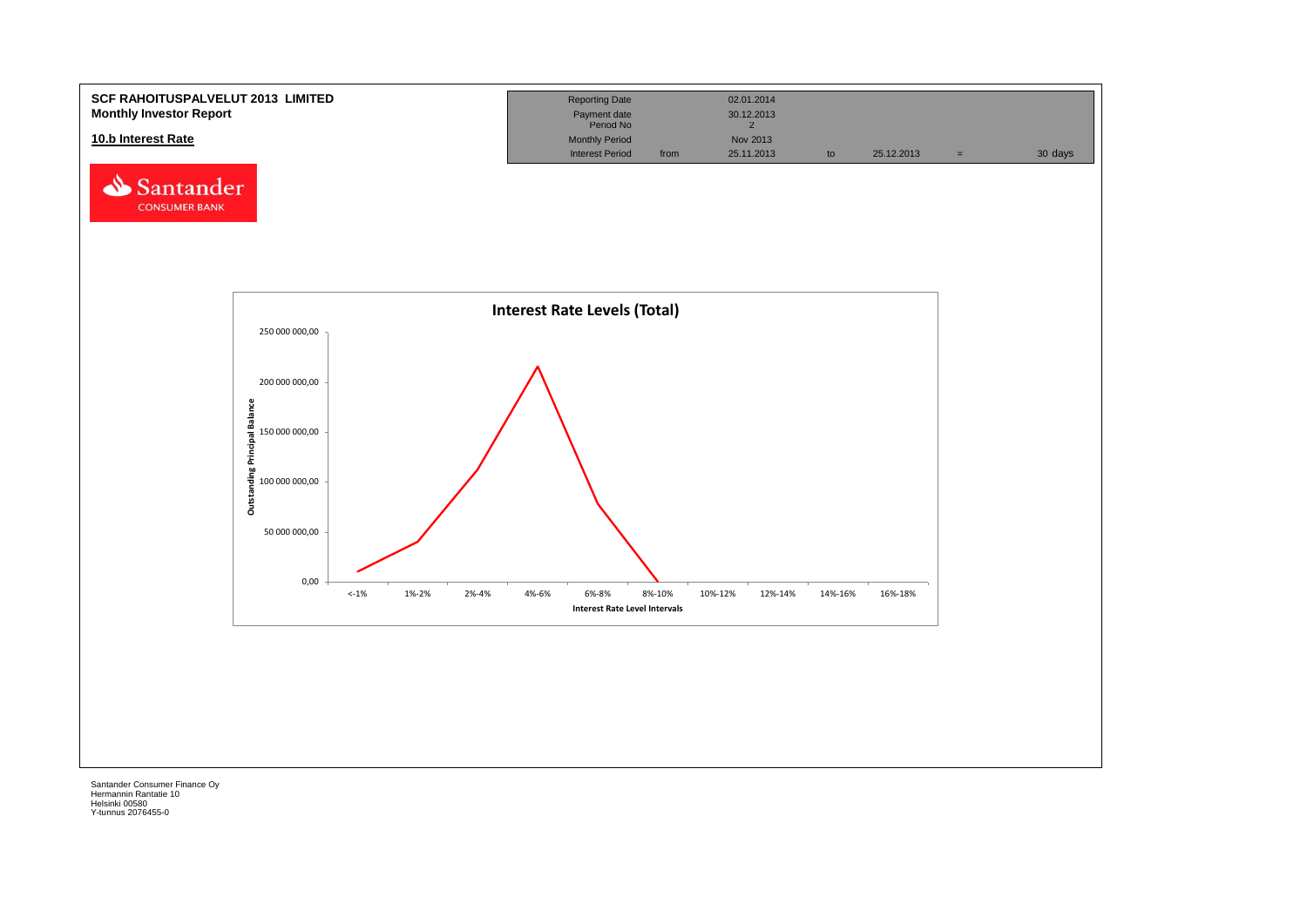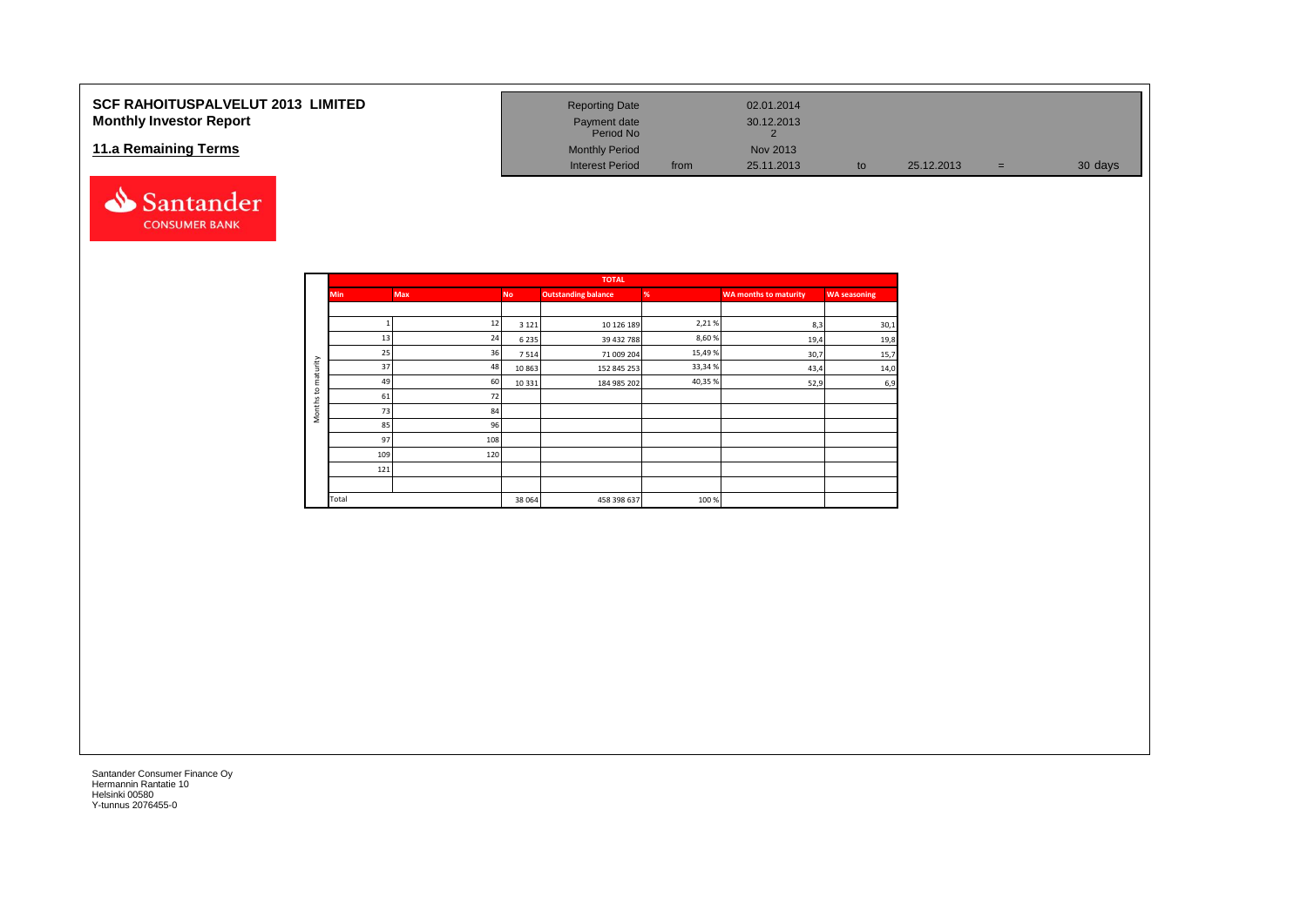#### **SCF RAHOITUSPALVELUT 2013 LIMITED Monthly Investor Report**

#### **11.a Remaining Terms**



| <b>Reporting Date</b>     |      | 02.01.2014 |    |            |     |         |
|---------------------------|------|------------|----|------------|-----|---------|
| Payment date<br>Period No |      | 30.12.2013 |    |            |     |         |
| <b>Monthly Period</b>     |      | Nov 2013   |    |            |     |         |
| Interest Period           | from | 25.11.2013 | to | 25.12.2013 | $=$ | 30 days |

|                     |            |            |           | <b>TOTAL</b>               |         |                       |                     |
|---------------------|------------|------------|-----------|----------------------------|---------|-----------------------|---------------------|
|                     | <b>Min</b> | <b>Max</b> | <b>No</b> | <b>Outstanding balance</b> | %       | WA months to maturity | <b>WA seasoning</b> |
|                     |            |            |           |                            |         |                       |                     |
|                     |            | 12         | 3 1 2 1   | 10 126 189                 | 2,21%   | 8,3                   | 30,1                |
|                     | 13         | 24         | 6235      | 39 432 788                 | 8,60%   | 19,4                  | 19,8                |
|                     | 25         | 36         | 7514      | 71 009 204                 | 15,49%  | 30,7                  | 15,7                |
| aturity             | 37         | 48         | 10863     | 152 845 253                | 33,34 % | 43,4                  | 14,0                |
| ε                   | 49         | 60         | 10 3 3 1  | 184 985 202                | 40,35 % | 52,9                  | 6,9                 |
| $\mathsf{S}$        | 61         | 72         |           |                            |         |                       |                     |
| Months <sup>-</sup> | 73         | 84         |           |                            |         |                       |                     |
|                     | 85         | 96         |           |                            |         |                       |                     |
|                     | 97         | 108        |           |                            |         |                       |                     |
|                     | 109        | 120        |           |                            |         |                       |                     |
|                     | 121        |            |           |                            |         |                       |                     |
|                     |            |            |           |                            |         |                       |                     |
|                     | Total      |            | 38 064    | 458 398 637                | 100%    |                       |                     |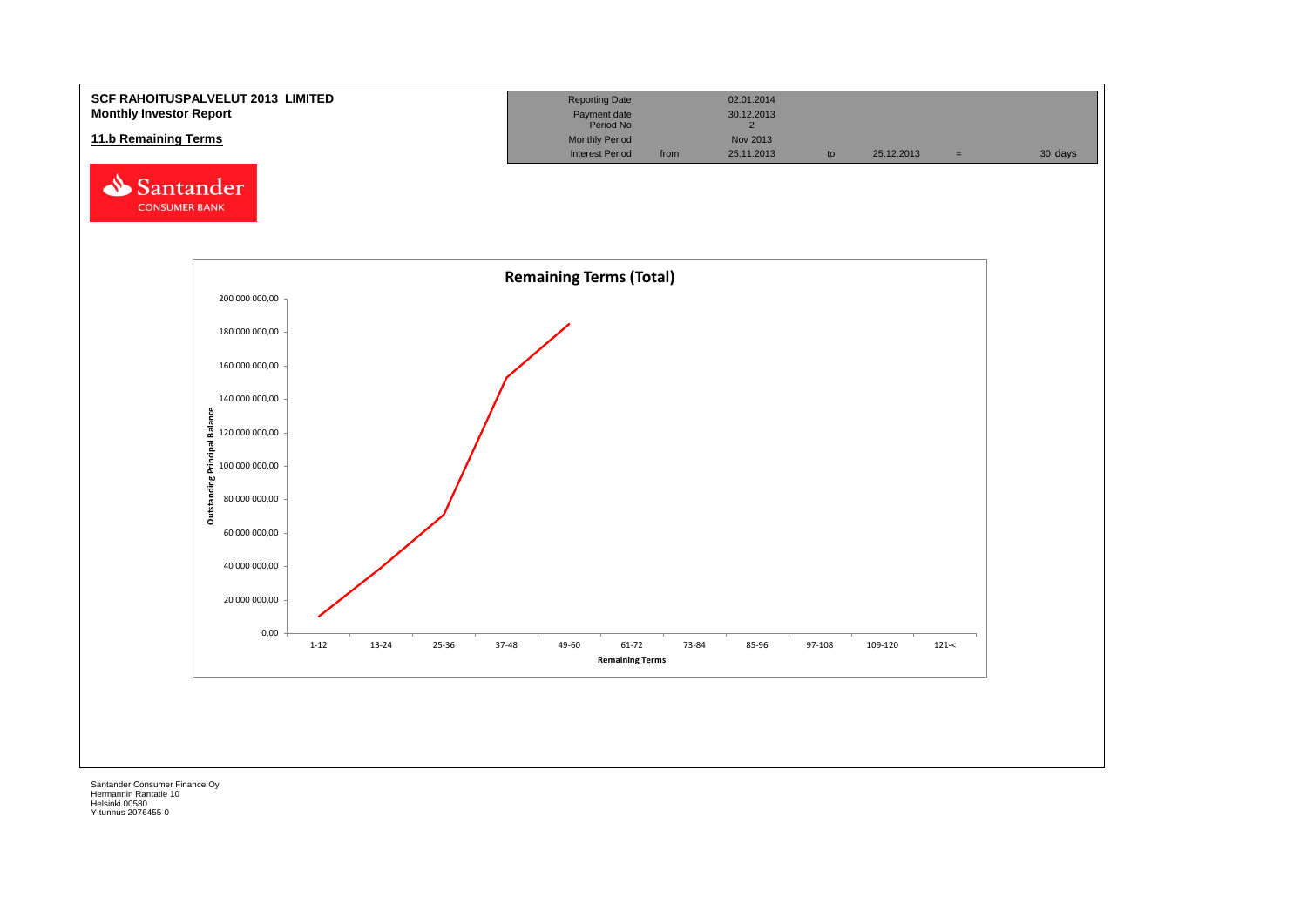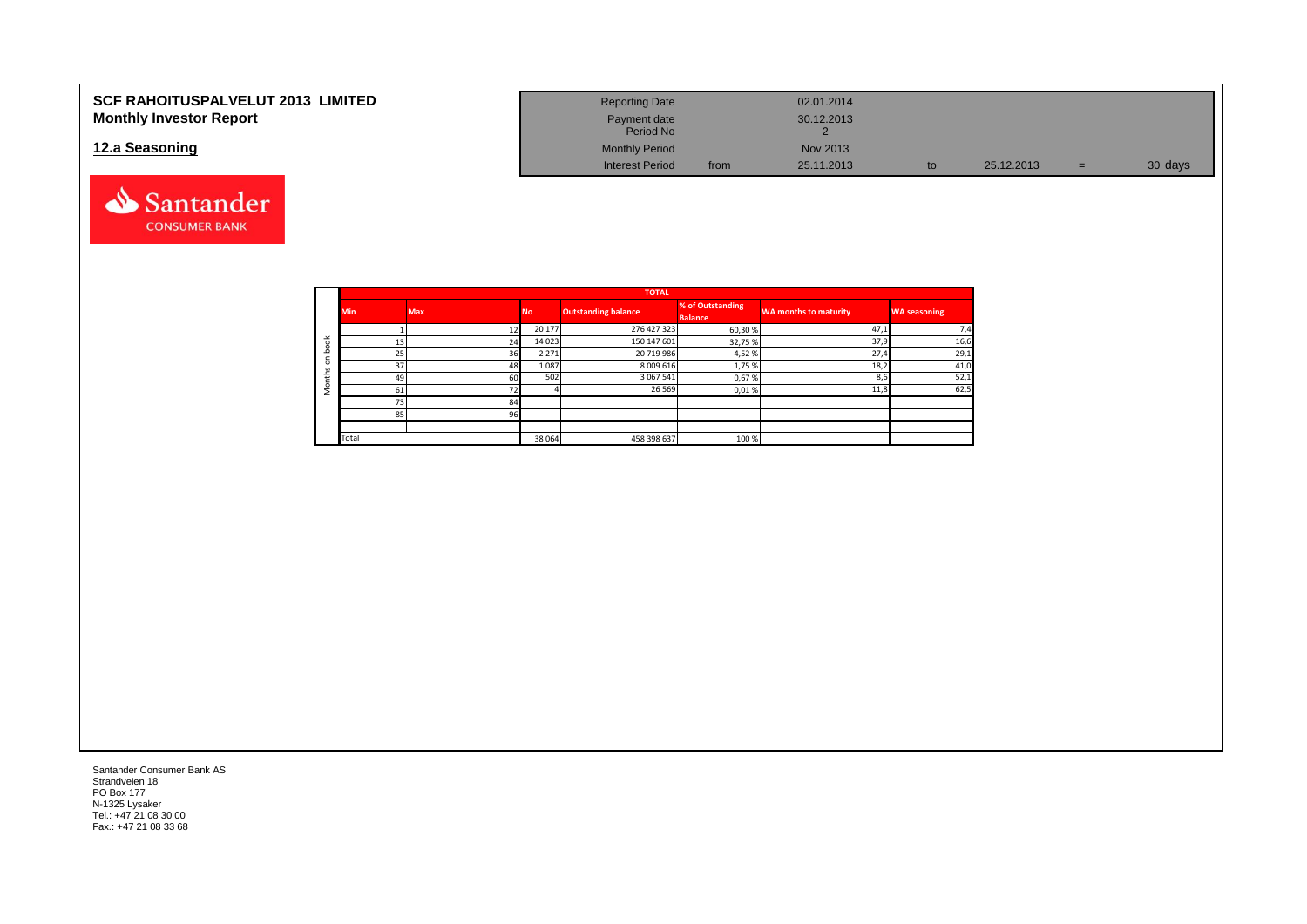| <b>SCF RAHOITUSPALVELUT 2013 LIMITED</b> | <b>Reporting Date</b>     |      | 02.01.2014 |    |            |   |         |
|------------------------------------------|---------------------------|------|------------|----|------------|---|---------|
| <b>Monthly Investor Report</b>           | Payment date<br>Period No |      | 30.12.2013 |    |            |   |         |
| 12.a Seasoning                           | <b>Monthly Period</b>     |      | Nov 2013   |    |            |   |         |
|                                          | <b>Interest Period</b>    | from | 25.11.2013 | to | 25.12.2013 | = | 30 days |



|        |            |            |         | <b>TOTAL</b>               |                                    |                              |                     |
|--------|------------|------------|---------|----------------------------|------------------------------------|------------------------------|---------------------|
|        | <b>Min</b> | <b>Max</b> | No.     | <b>Outstanding balance</b> | % of Outstanding<br><b>Balance</b> | <b>WA months to maturity</b> | <b>WA seasoning</b> |
|        |            | 12         | 20 177  | 276 427 323                | 60,30%                             | 47,1                         | 7,4                 |
| $\geq$ | 13         | 24         | 14 0 23 | 150 147 601                | 32,75 %                            | 37,9                         | 16,6                |
|        | 25         | 36         | 2 2 7 1 | 20 719 986                 | 4,52%                              | 27,4                         | 29,1                |
|        | 37         | 48         | 1087    | 8 0 0 9 6 1 6              | 1,75 %                             | 18,2                         | 41,0                |
|        | 49         | 60         | 502     | 3 0 6 7 5 4 1              | 0,67%                              | 8,6                          | 52,1                |
|        | 61         | 72         |         | 26 5 69                    | 0,01%                              | 11,8                         | 62,5                |
|        | 73         | 84         |         |                            |                                    |                              |                     |
|        | 85         | 96         |         |                            |                                    |                              |                     |
|        |            |            |         |                            |                                    |                              |                     |
|        | Total      |            | 38 064  | 458 398 637                | 100 %                              |                              |                     |

Santander Consumer Bank AS Strandveien 18 PO Box 177 N-1325 Lysaker Tel.: +47 21 08 30 00 Fax.: +47 21 08 33 68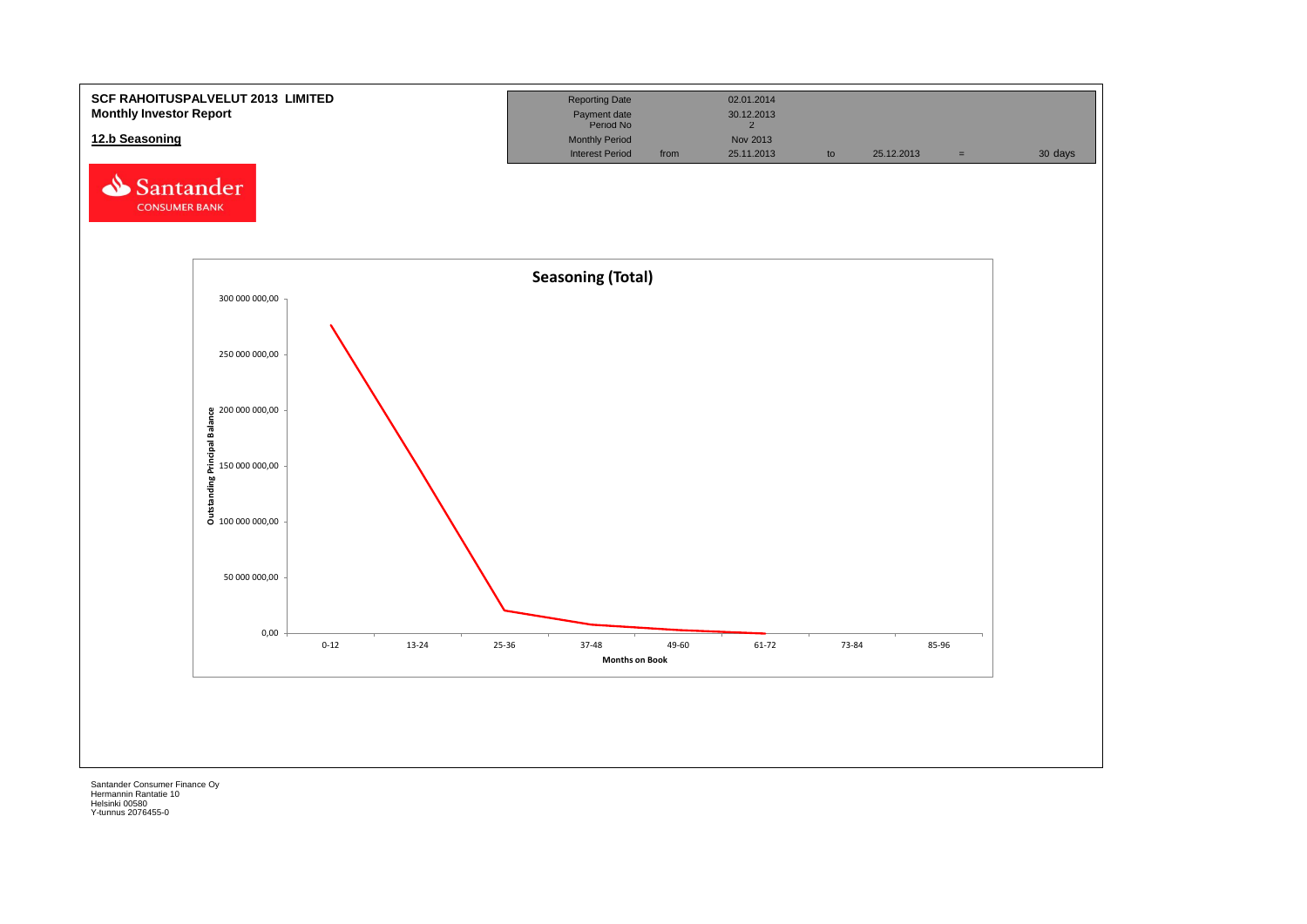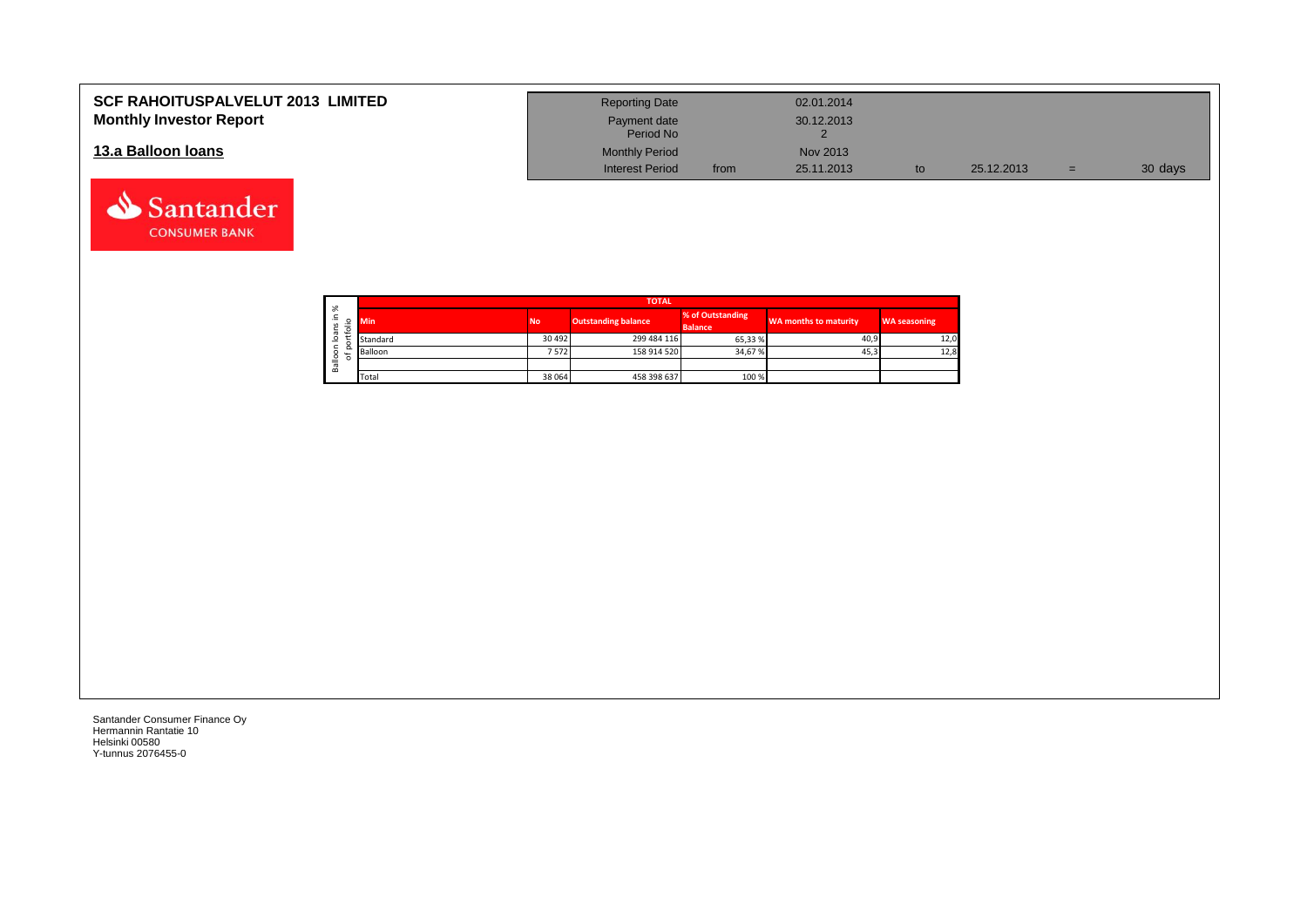| <b>SCF RAHOITUSPALVELUT 2013 LIMITED</b> | <b>Reporting Date</b>     |      | 02.01.2014 |            |     |         |
|------------------------------------------|---------------------------|------|------------|------------|-----|---------|
| <b>Monthly Investor Report</b>           | Payment date<br>Period No |      | 30.12.2013 |            |     |         |
| 13.a Balloon Ioans                       | <b>Monthly Period</b>     |      | Nov 2013   |            |     |         |
|                                          | <b>Interest Period</b>    | from | 25.11.2013 | 25.12.2013 | $=$ | 30 days |

┑

| ৯ৎ                     |            |           | <b>TOTAL</b>               |                                    |                              |                     |
|------------------------|------------|-----------|----------------------------|------------------------------------|------------------------------|---------------------|
| ∸.<br>ິ<br>S<br>⋍<br>∽ | <b>Min</b> | <b>No</b> | <b>Outstanding balance</b> | % of Outstanding<br><b>Balance</b> | <b>WA months to maturity</b> | <b>WA seasoning</b> |
| ത<br>c<br>∘            | Standard   | 30 4 92   | 299 484 116                | 65,33 %                            | 40,9                         | 12,0                |
| ∼<br>۰<br>৳            | Balloon    | 7572      | 158 914 520                | 34,67%                             | 45,3                         | 12,8                |
| ≗<br>B <sub>a</sub>    |            |           |                            |                                    |                              |                     |
|                        | Total      | 38 064    | 458 398 637                | 100 %                              |                              |                     |

Santander Consumer Finance Oy Hermannin Rantatie 10 Helsinki 00580 Y-tunnus 2076455-0

Santander **CONSUMER BANK**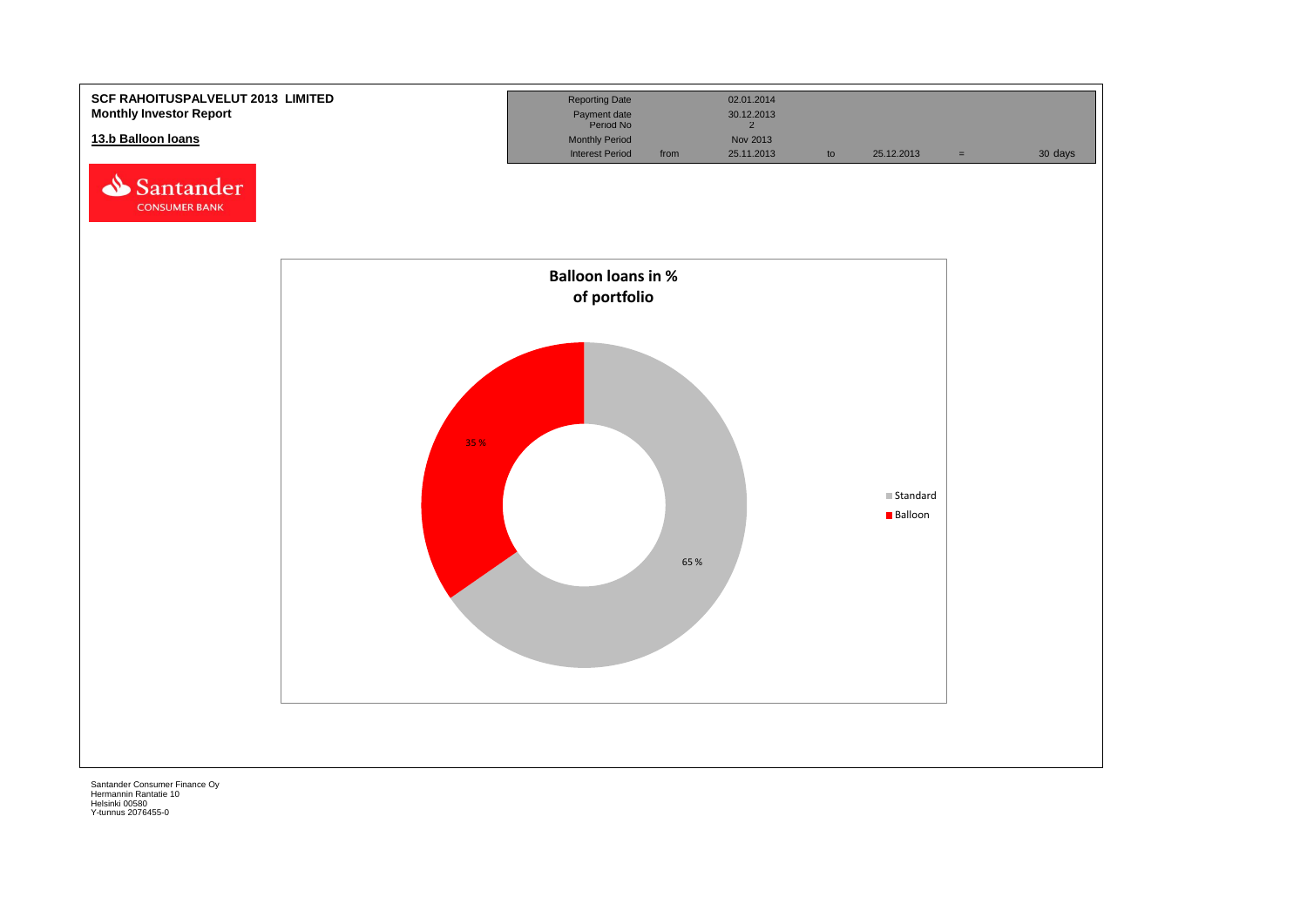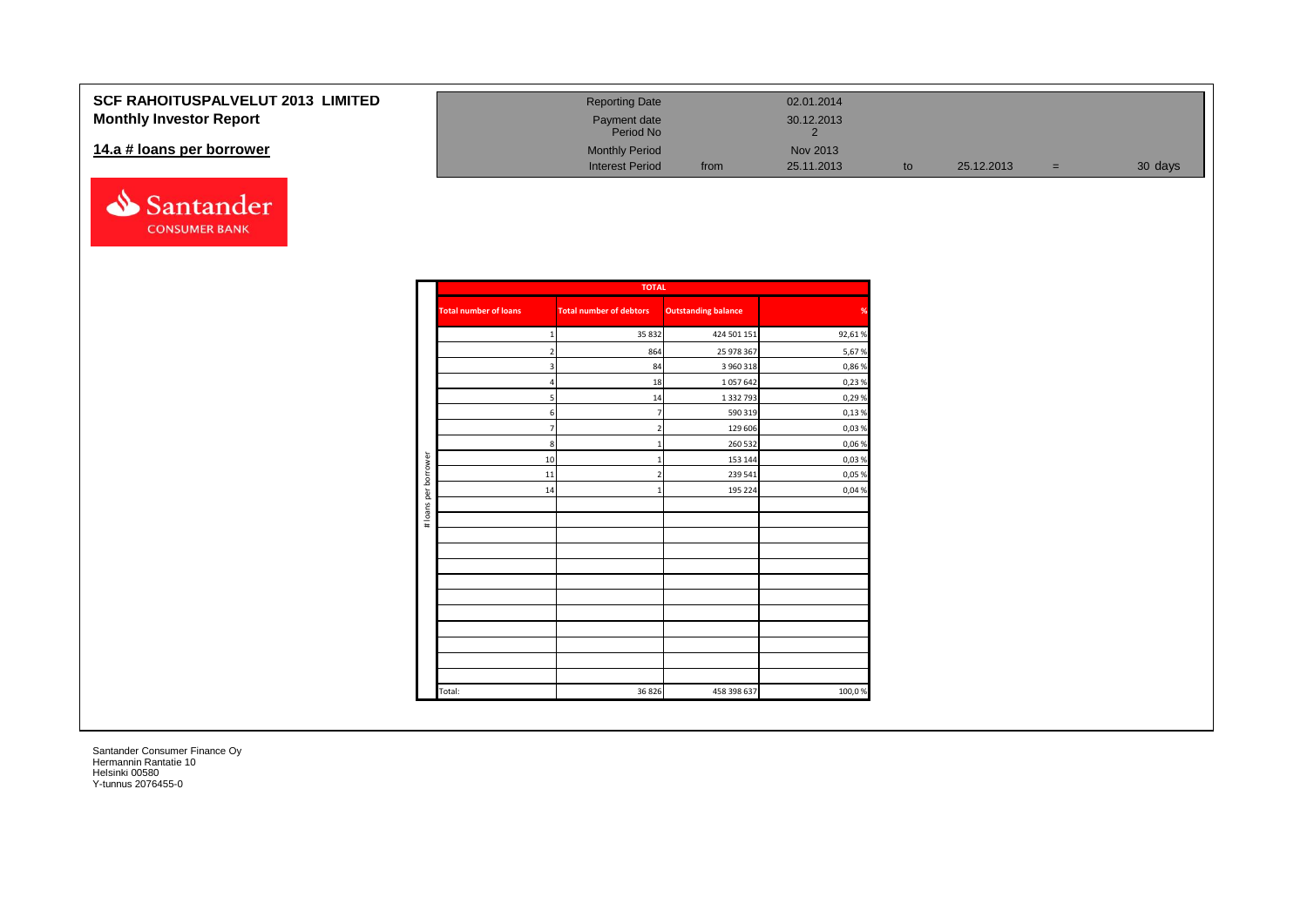### **SCF RAHOITUSPALVELUT 201 Monthly Investor Report**

#### 14.a # loans per borrower



| <b>13 LIMITED</b> | <b>Reporting Date</b>     |      | 02.01.2014 |    |            |     |         |  |
|-------------------|---------------------------|------|------------|----|------------|-----|---------|--|
|                   | Payment date<br>Period No |      | 30.12.2013 |    |            |     |         |  |
|                   | <b>Monthly Period</b>     |      | Nov 2013   |    |            |     |         |  |
|                   | <b>Interest Period</b>    | from | 25.11.2013 | to | 25.12.2013 | $=$ | 30 days |  |

|                      |                              | <b>TOTAL</b>                   |                            |        |
|----------------------|------------------------------|--------------------------------|----------------------------|--------|
|                      | <b>Total number of loans</b> | <b>Total number of debtors</b> | <b>Outstanding balance</b> | %      |
|                      | 1                            | 35 832                         | 424 501 151                | 92,61% |
|                      | $\overline{\mathbf{c}}$      | 864                            | 25 978 367                 | 5,67%  |
|                      | 3                            | 84                             | 3 960 318                  | 0,86%  |
|                      | $\overline{a}$               | 18                             | 1057642                    | 0,23%  |
|                      | 5                            | 14                             | 1 3 3 2 7 9 3              | 0,29%  |
|                      | 6                            | $\overline{7}$                 | 590 319                    | 0,13%  |
|                      | $\overline{7}$               | $\overline{2}$                 | 129 606                    | 0,03%  |
|                      | $\boldsymbol{8}$             | $\mathbf{1}$                   | 260 532                    | 0,06%  |
|                      | 10                           | $\mathbf{1}$                   | 153 144                    | 0,03%  |
| # loans per borrower | 11                           | $\overline{2}$                 | 239 541                    | 0,05%  |
|                      | 14                           | $\mathbf{1}$                   | 195 224                    | 0,04%  |
|                      |                              |                                |                            |        |
|                      |                              |                                |                            |        |
|                      |                              |                                |                            |        |
|                      |                              |                                |                            |        |
|                      |                              |                                |                            |        |
|                      |                              |                                |                            |        |
|                      |                              |                                |                            |        |
|                      |                              |                                |                            |        |
|                      |                              |                                |                            |        |
|                      |                              |                                |                            |        |
|                      |                              |                                |                            |        |
|                      |                              |                                |                            |        |
|                      | Total:                       | 36 8 26                        | 458 398 637                | 100,0% |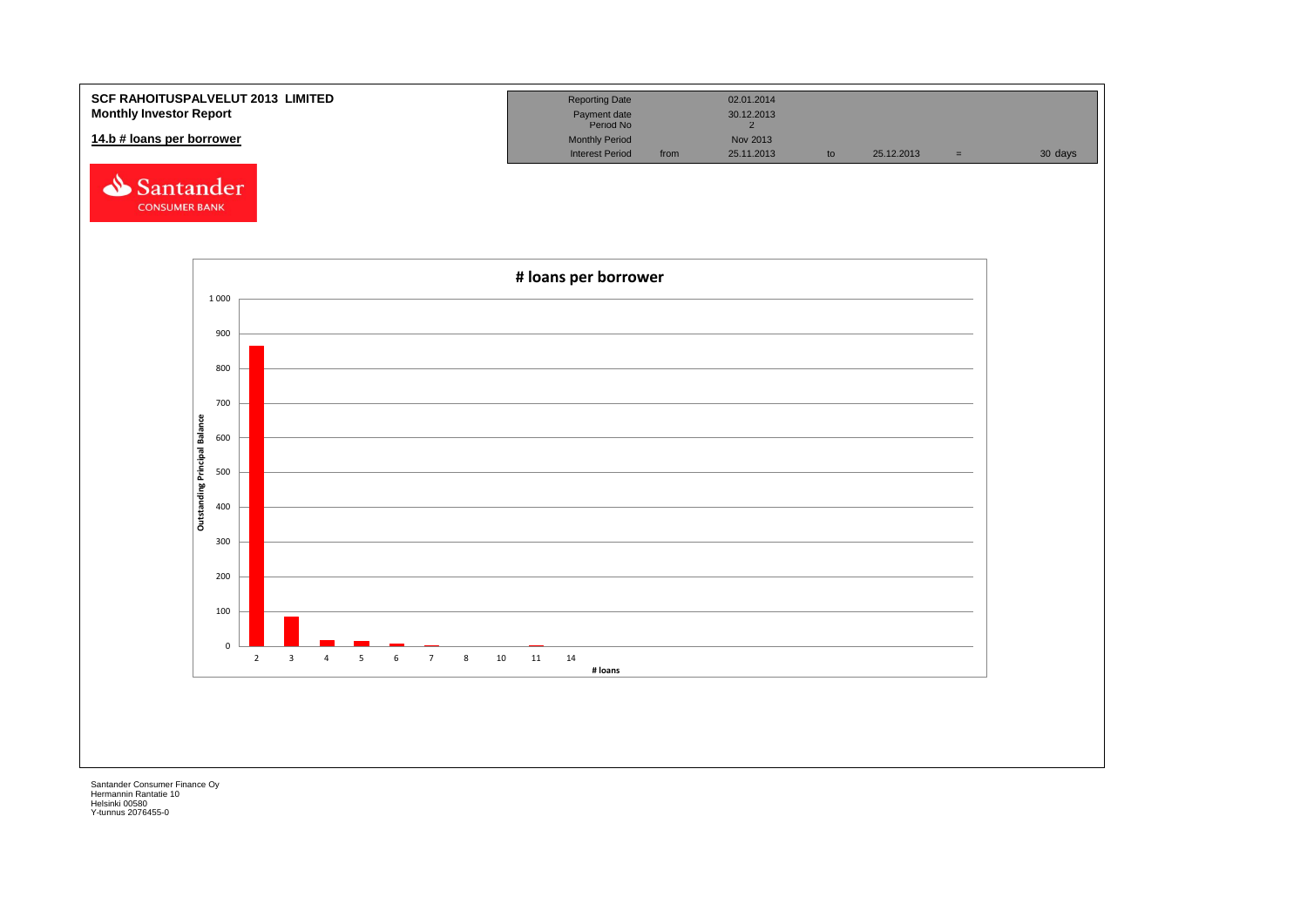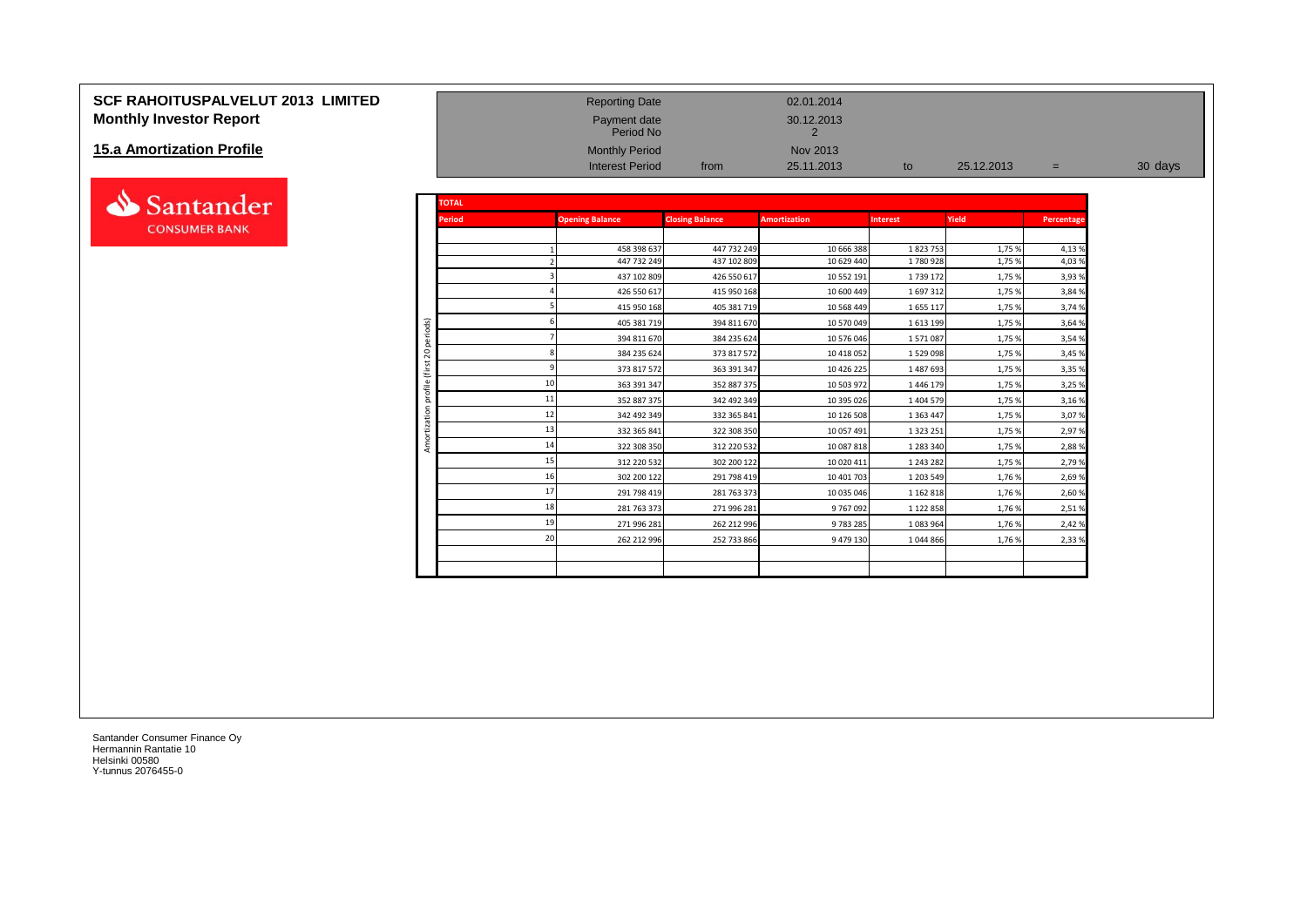# **SCF RAHOITUSPALVELUT 2013 LIMITED** Reporting Date Reporting Date 02.01.2014 **Monthly Investor Report Payment date** 30.12.2013

#### **15.a Amortization Profile**



| <b>Monthly Investor Report</b> |                |               | Payment date<br>Period No  |                            | 30.12.2013               |                    |                  |                |         |
|--------------------------------|----------------|---------------|----------------------------|----------------------------|--------------------------|--------------------|------------------|----------------|---------|
| 15.a Amortization Profile      |                |               | <b>Monthly Period</b>      |                            | Nov 2013                 |                    |                  |                |         |
|                                |                |               | <b>Interest Period</b>     | from                       | 25.11.2013               | to                 | 25.12.2013       | $=$            | 30 days |
| Santander                      |                | <b>TOTAL</b>  |                            |                            |                          |                    |                  |                |         |
| <b>CONSUMER BANK</b>           |                | <b>Period</b> | <b>Opening Balance</b>     | <b>Closing Balance</b>     | <b>Amortization</b>      | <b>Interest</b>    | Yield            | Percentage     |         |
|                                |                |               |                            |                            |                          |                    |                  |                |         |
|                                |                |               | 458 398 637<br>447 732 249 | 447 732 249<br>437 102 809 | 10 666 388<br>10 629 440 | 1823753<br>1780928 | 1,75 %<br>1,75 % | 4,13%<br>4,03% |         |
|                                |                |               | 437 102 809                | 426 550 617                | 10 552 191               | 1739 172           | 1,75 %           | 3,93%          |         |
|                                |                |               | 426 550 617                | 415 950 168                | 10 600 449               | 1 697 312          | 1,75 %           | 3,84%          |         |
|                                |                |               | 415 950 168                | 405 381 719                | 10 568 449               | 1 655 117          | 1,75 %           | 3,74 %         |         |
|                                | riods)         |               | 405 381 719                | 394 811 670                | 10 570 049               | 1 613 199          | 1,75 %           | 3,64%          |         |
|                                | g              |               | 394 811 670                | 384 235 624                | 10 576 046               | 1571087            | 1,75 %           | 3,54%          |         |
|                                | $\overline{c}$ |               | 384 235 624                | 373 817 572                | 10 418 052               | 1 5 2 9 0 9 8      | 1,75 %           | 3,45 %         |         |
|                                | E              |               | 373 817 572                | 363 391 347                | 10 426 225               | 1 487 693          | 1,75 %           | 3,35%          |         |
|                                | ofile          | 10            | 363 391 347                | 352 887 375                | 10 503 972               | 1 446 179          | 1,75 %           | 3,25 %         |         |
|                                | ā              | 11            | 352 887 375                | 342 492 349                | 10 395 026               | 1 404 579          | 1,75 %           | 3,16%          |         |
|                                |                | 12            | 342 492 349                | 332 365 841                | 10 126 508               | 1 3 6 3 4 4 7      | 1,75 %           | 3,07%          |         |
|                                |                | 13            | 332 365 841                | 322 308 350                | 10 057 491               | 1 3 2 3 2 5 1      | 1,75 %           | 2,97%          |         |
|                                | Amor           | 14            | 322 308 350                | 312 220 532                | 10 087 818               | 1 283 340          | 1,75 %           | 2,88%          |         |
|                                |                |               | 312 220 532                | 302 200 122                | 10 020 411               | 1 243 282          | 1,75 %           | 2,79%          |         |
|                                |                | 16            | 302 200 122                | 291 798 419                | 10 401 703               | 1 203 549          | 1,76 %           | 2,69%          |         |
|                                |                |               | 291 798 419                | 281 763 373                | 10 035 046               | 1 162 818          | 1,76 %           | 2,60%          |         |
|                                |                | 18            | 281 763 373                | 271 996 281                | 9767092                  | 1 122 858          | 1,76 %           | 2,51%          |         |
|                                |                |               | 271 996 281                | 262 212 996                | 9783285                  | 1 083 964          | 1,76 %           | 2,42 %         |         |
|                                |                | 20            | 262 212 996                | 252 733 866                | 9 479 130                | 1044866            | 1,76 %           | 2,33%          |         |
|                                |                |               |                            |                            |                          |                    |                  |                |         |
|                                |                |               |                            |                            |                          |                    |                  |                |         |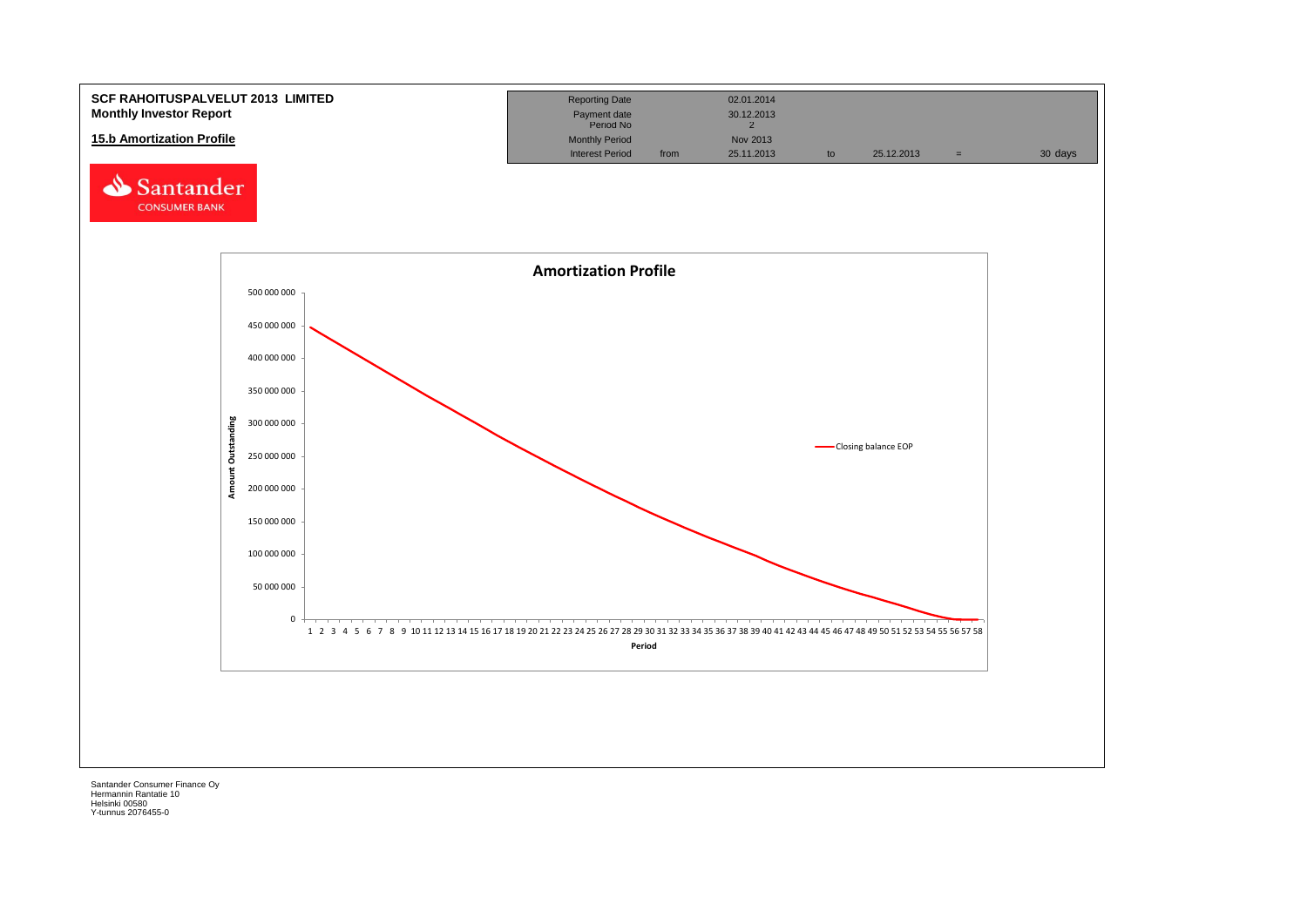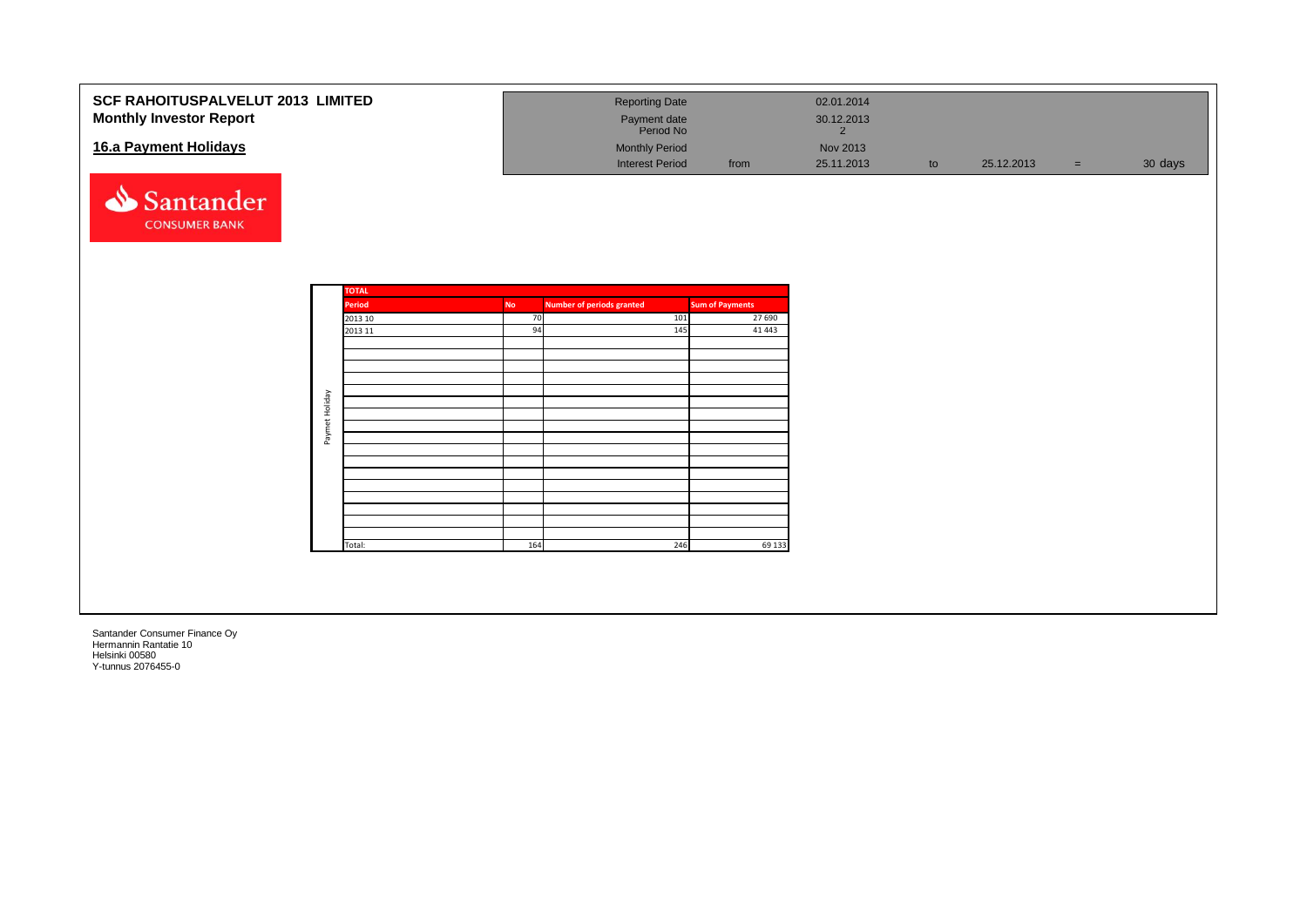| <b>SCF RAHOITUSPALVELUT 2013 LIMITED</b><br><b>Monthly Investor Report</b><br>16.a Payment Holidays<br>Santander<br><b>CONSUMER BANK</b> |                |                                                        |                       | <b>Reporting Date</b><br>Payment date<br>Period No<br><b>Monthly Period</b><br><b>Interest Period</b> |                   | from                                                  | 02.01.2014<br>30.12.2013<br>$\overline{2}$<br>Nov 2013<br>25.11.2013 | to | 25.12.2013 | $=$ | 30 days |
|------------------------------------------------------------------------------------------------------------------------------------------|----------------|--------------------------------------------------------|-----------------------|-------------------------------------------------------------------------------------------------------|-------------------|-------------------------------------------------------|----------------------------------------------------------------------|----|------------|-----|---------|
|                                                                                                                                          | Paymet Holiday | <b>TOTAL</b><br>Period<br>2013 10<br>2013 11<br>Total: | No<br>70<br>94<br>164 | <b>Number of periods granted</b>                                                                      | 101<br>145<br>246 | <b>Sum of Payments</b><br>27 690<br>41 4 43<br>69 133 |                                                                      |    |            |     |         |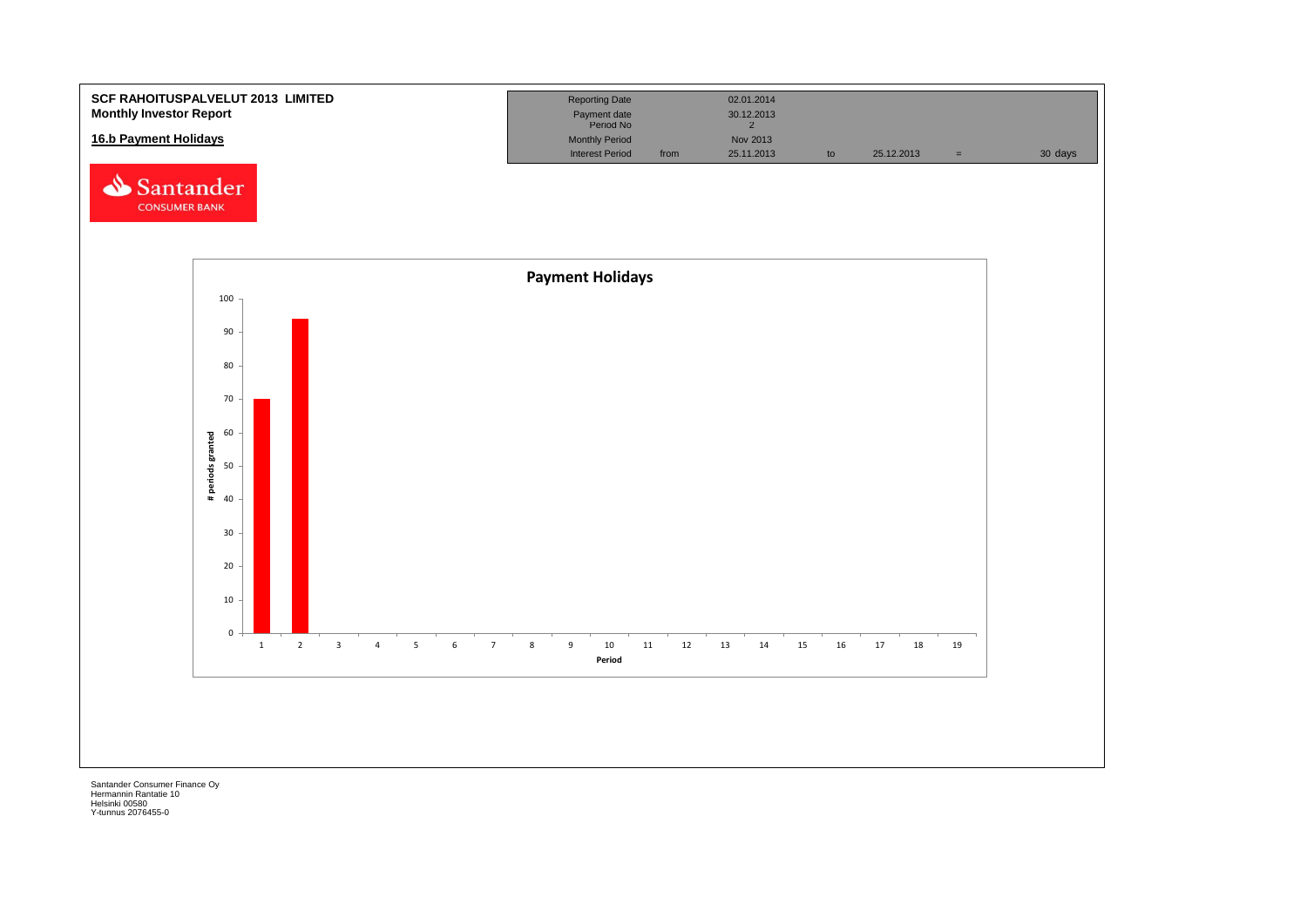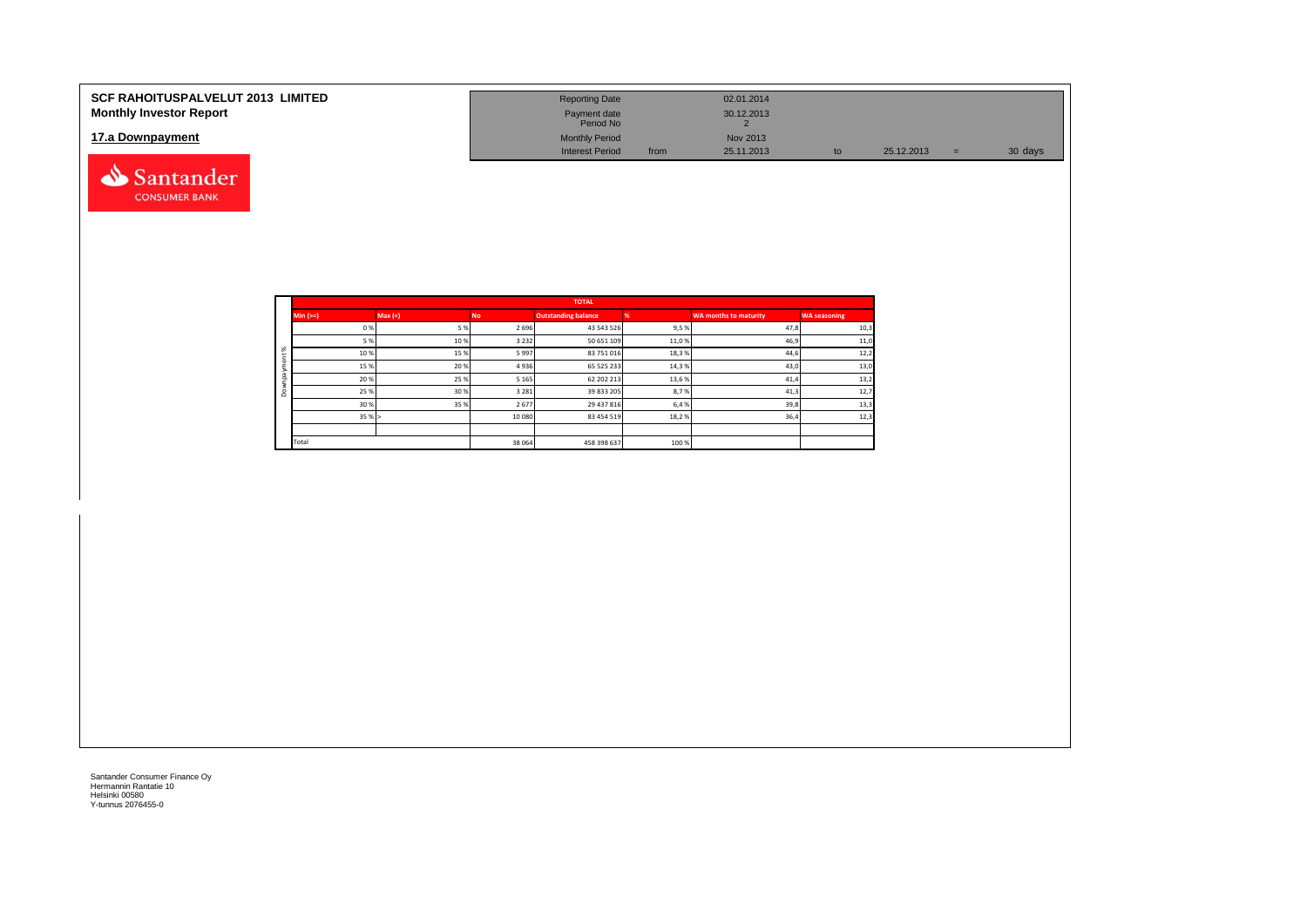| <b>SCF RAHOITUSPALVELUT 2013 LIMITED</b><br><b>Monthly Investor Report</b> | <b>Reporting Date</b><br>Payment date<br>Period No |      | 02.01.2014<br>30.12.2013 |    |            |     |         |
|----------------------------------------------------------------------------|----------------------------------------------------|------|--------------------------|----|------------|-----|---------|
| 17.a Downpayment                                                           | <b>Monthly Period</b><br><b>Interest Period</b>    | from | Nov 2013<br>25.11.2013   | to | 25.12.2013 | $=$ | 30 days |
| Santander                                                                  |                                                    |      |                          |    |            |     |         |

|           |            |         |         | <b>TOTAL</b>               |       |                       |                     |
|-----------|------------|---------|---------|----------------------------|-------|-----------------------|---------------------|
|           | Min $(>=)$ | Max (<) | No.     | <b>Outstanding balance</b> |       | WA months to maturity | <b>WA seasoning</b> |
|           | 0%         | 5 %     | 2 6 9 6 | 43 543 526                 | 9,5 % | 47,8                  | 10,3                |
|           | 5 %        | 10%     | 3 2 3 2 | 50 651 109                 | 11,0% | 46,9                  | 11,0                |
| ೫         | 10%        | 15%     | 5997    | 83 751 016                 | 18,3% | 44,6                  | 12,2                |
|           | 15 %       | 20 %    | 4936    | 65 525 233                 | 14,3% | 43,0                  | 13,0                |
| $\bar{a}$ | 20%        | 25 %    | 5 1 6 5 | 62 202 213                 | 13,6% | 41,4                  | 13,2                |
| $\circ$   | 25 %       | 30 %    | 3 2 8 1 | 39 833 205                 | 8,7%  | 41,3                  | 12,7                |
|           | 30 %       | 35 %    | 2677    | 29 437 816                 | 6,4 % | 39,8                  | 13,3                |
|           | 35%        |         | 10 080  | 83 454 519                 | 18,2% | 36,4                  | 12,3                |
|           |            |         |         |                            |       |                       |                     |
|           | Total      |         | 38 064  | 458 398 637                | 100 % |                       |                     |

**CONSUMER BANK**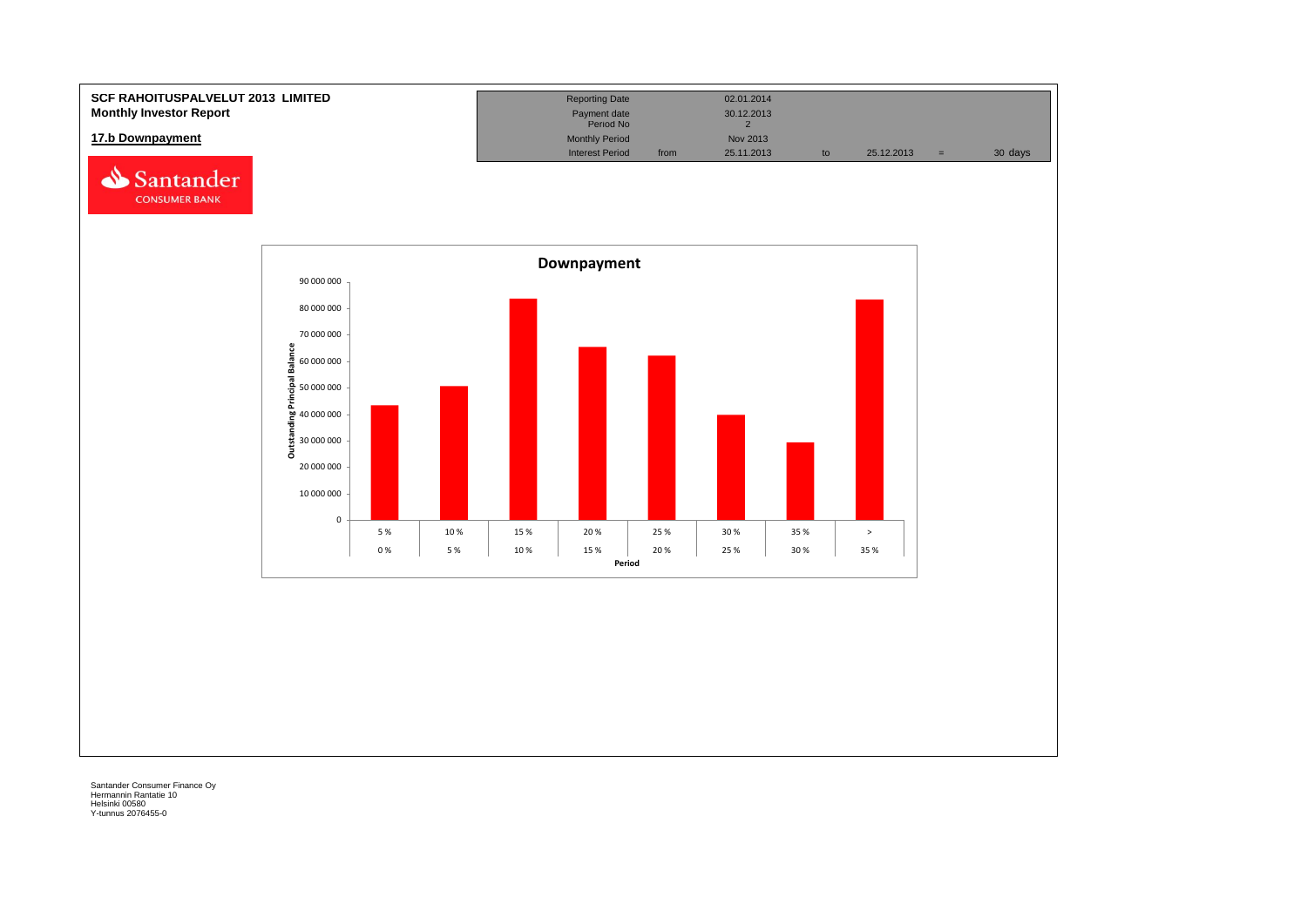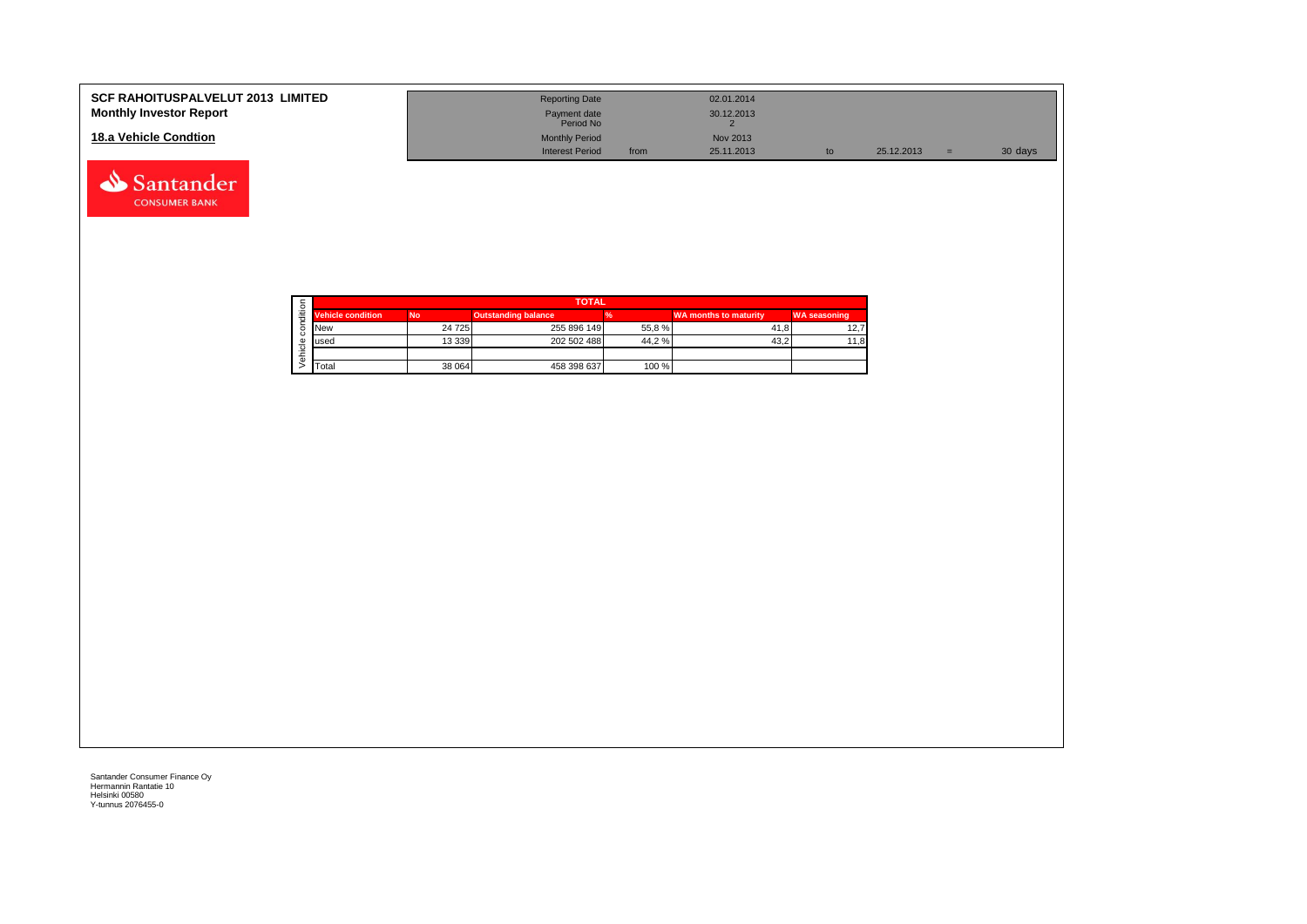| <b>SCF RAHOITUSPALVELUT 2013 LIMITED</b><br><b>Monthly Investor Report</b> | <b>Reporting Date</b><br>Payment date<br>Period No | 02.01.2014<br>30.12.2013 |            |     |         |
|----------------------------------------------------------------------------|----------------------------------------------------|--------------------------|------------|-----|---------|
| 18.a Vehicle Condtion                                                      | <b>Monthly Period</b>                              | Nov 2013                 |            |     |         |
|                                                                            | <b>Interest Period</b>                             | 25.11.2013<br>from       | 25.12.2013 | $=$ | 30 days |

|  | <b>Vehicle condition</b><br><b>No</b><br><b>New</b><br>lused<br>Total |          | <b>TOTAL</b>               |       |                              |                     |  |  |  |  |  |  |
|--|-----------------------------------------------------------------------|----------|----------------------------|-------|------------------------------|---------------------|--|--|--|--|--|--|
|  |                                                                       |          | <b>Outstanding balance</b> |       | <b>WA months to maturity</b> | <b>WA seasoning</b> |  |  |  |  |  |  |
|  |                                                                       | 24 7 25  | 255 896 149                | 55,8% | 41.8                         | 12.7                |  |  |  |  |  |  |
|  |                                                                       | 13 3 3 9 | 202 502 488                | 44,2% | 43.2                         | 8,11                |  |  |  |  |  |  |
|  |                                                                       |          |                            |       |                              |                     |  |  |  |  |  |  |
|  |                                                                       | 38 064   | 458 398 637                | 100 % |                              |                     |  |  |  |  |  |  |

Santander **CONSUMER BANK**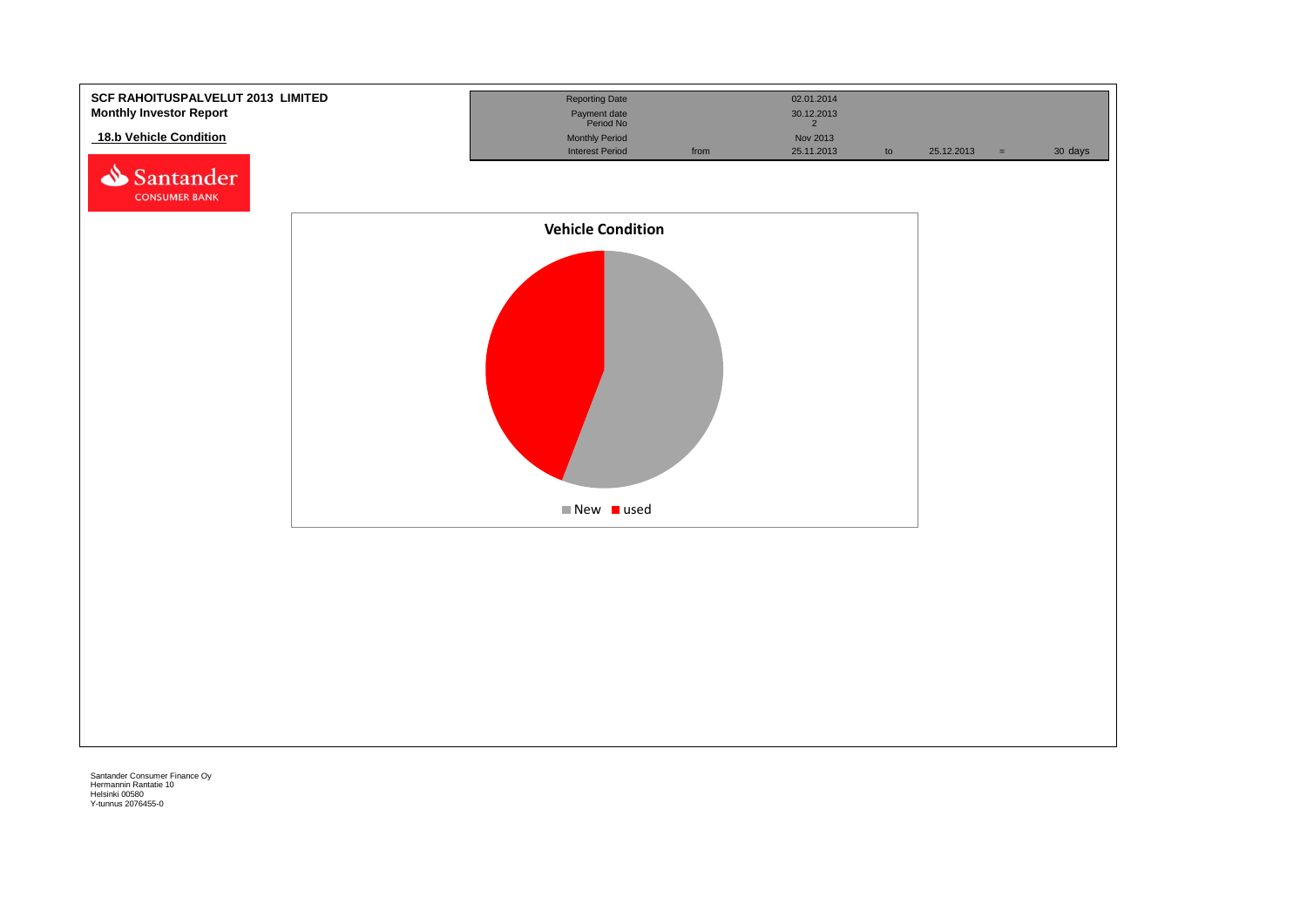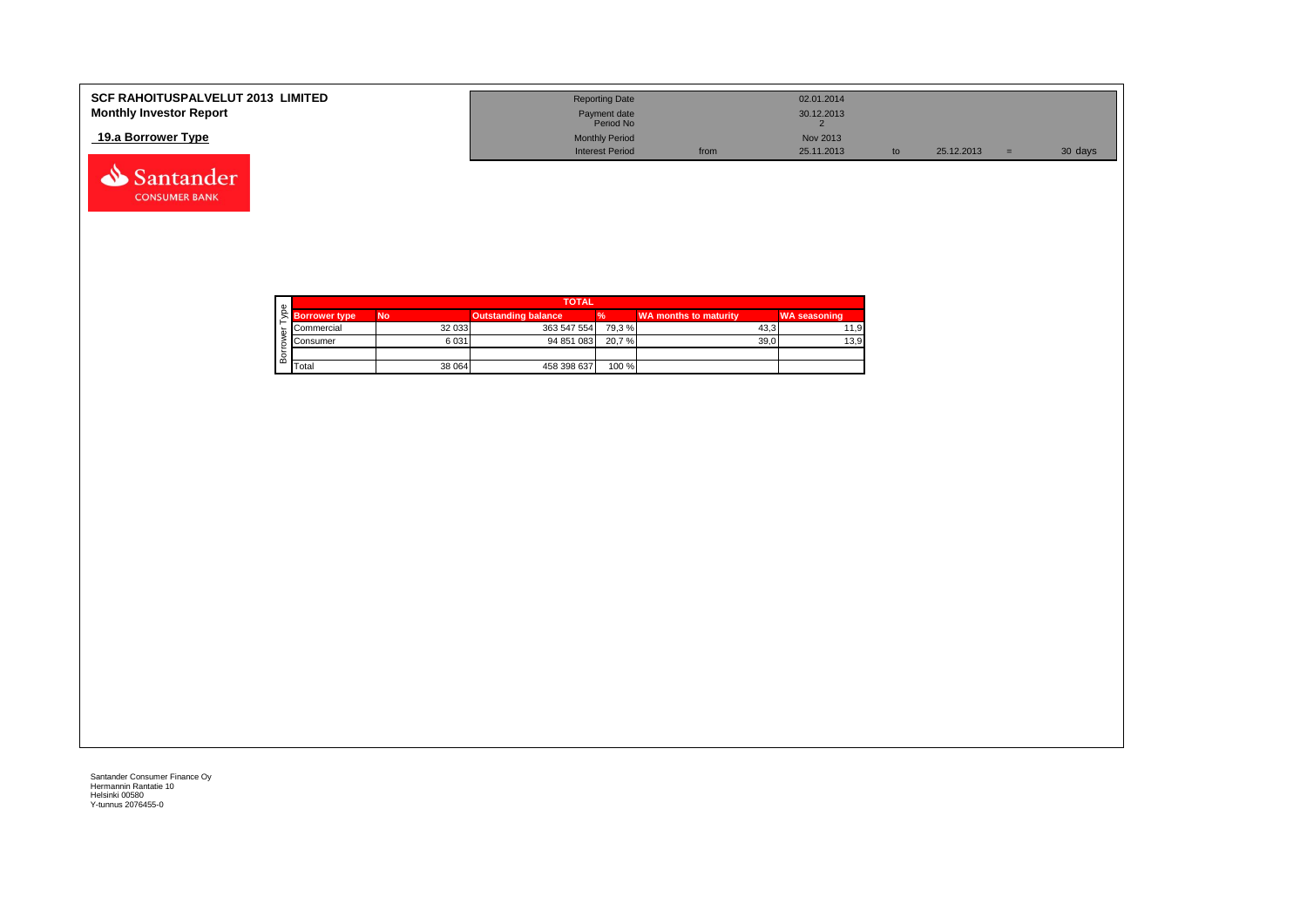| <b>SCF RAHOITUSPALVELUT 2013 LIMITED</b> | <b>Reporting Date</b>     |      | 02.01.2014 |            |         |
|------------------------------------------|---------------------------|------|------------|------------|---------|
| <b>Monthly Investor Report</b>           | Payment date<br>Period No |      | 30.12.2013 |            |         |
| 19.a Borrower Type                       | <b>Monthly Period</b>     |      | Nov 2013   |            |         |
|                                          | <b>Interest Period</b>    | from | 25.11.2013 | 25.12.2013 | 30 days |



Santander **CONSUMER BANK**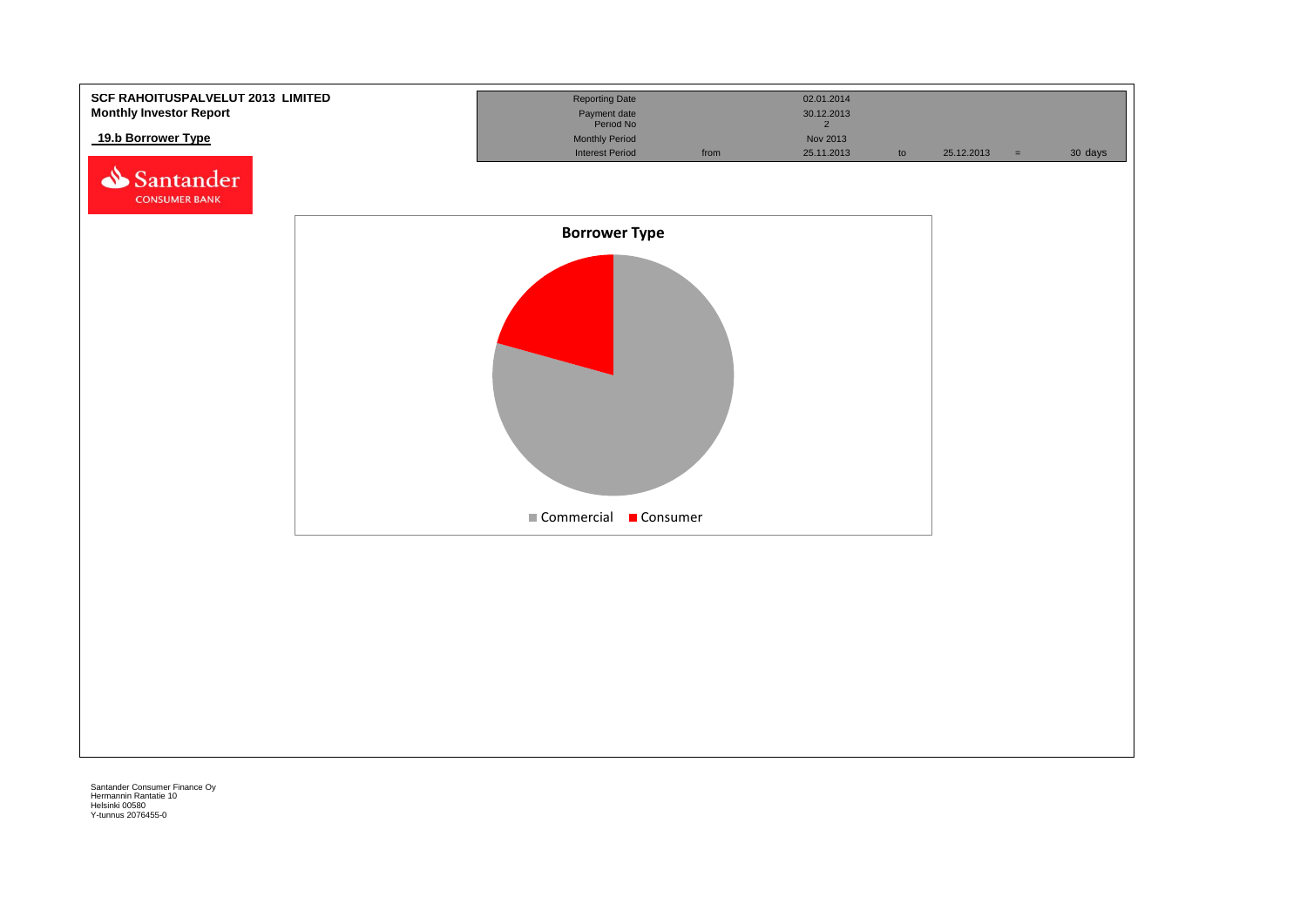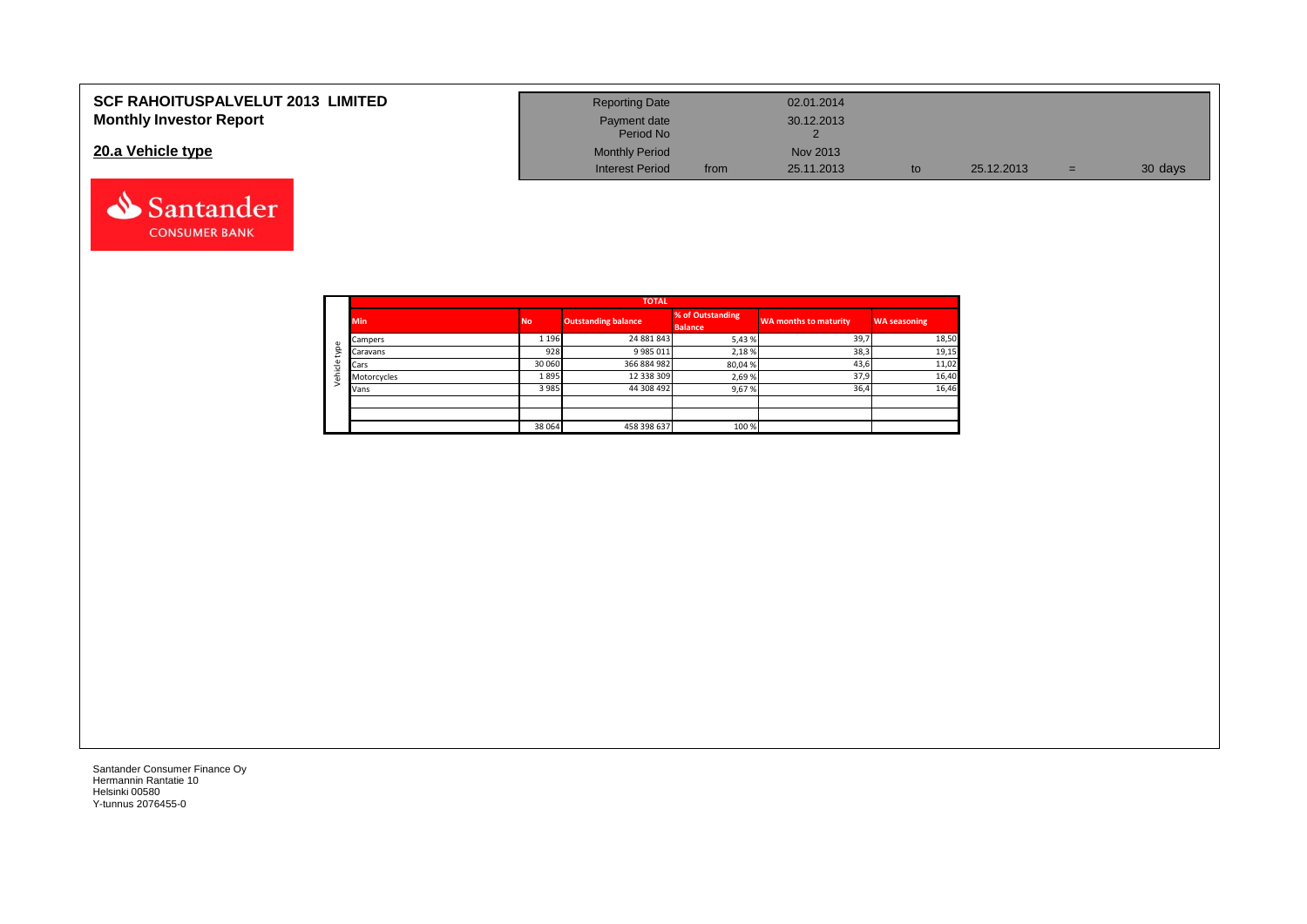| <b>SCF RAHOITUSPALVELUT 2013 LIMITED</b> | <b>Reporting Date</b>     |      | 02.01.2014 |    |            |     |         |
|------------------------------------------|---------------------------|------|------------|----|------------|-----|---------|
| <b>Monthly Investor Report</b>           | Payment date<br>Period No |      | 30.12.2013 |    |            |     |         |
| 20.a Vehicle type                        | <b>Monthly Period</b>     |      | Nov 2013   |    |            |     |         |
|                                          | <b>Interest Period</b>    | from | 25.11.2013 | to | 25.12.2013 | $=$ | 30 days |



Santander **CONSUMER BANK**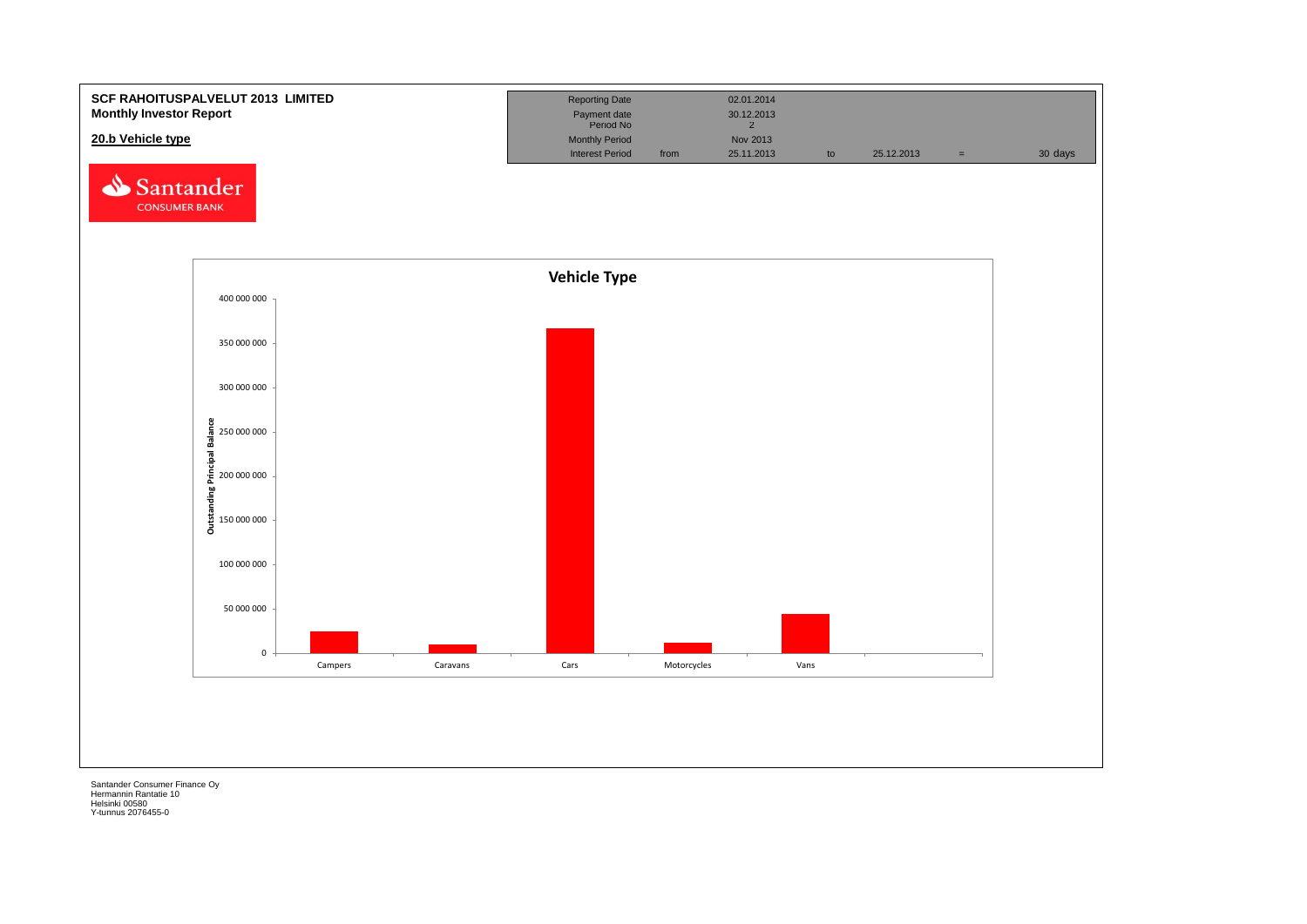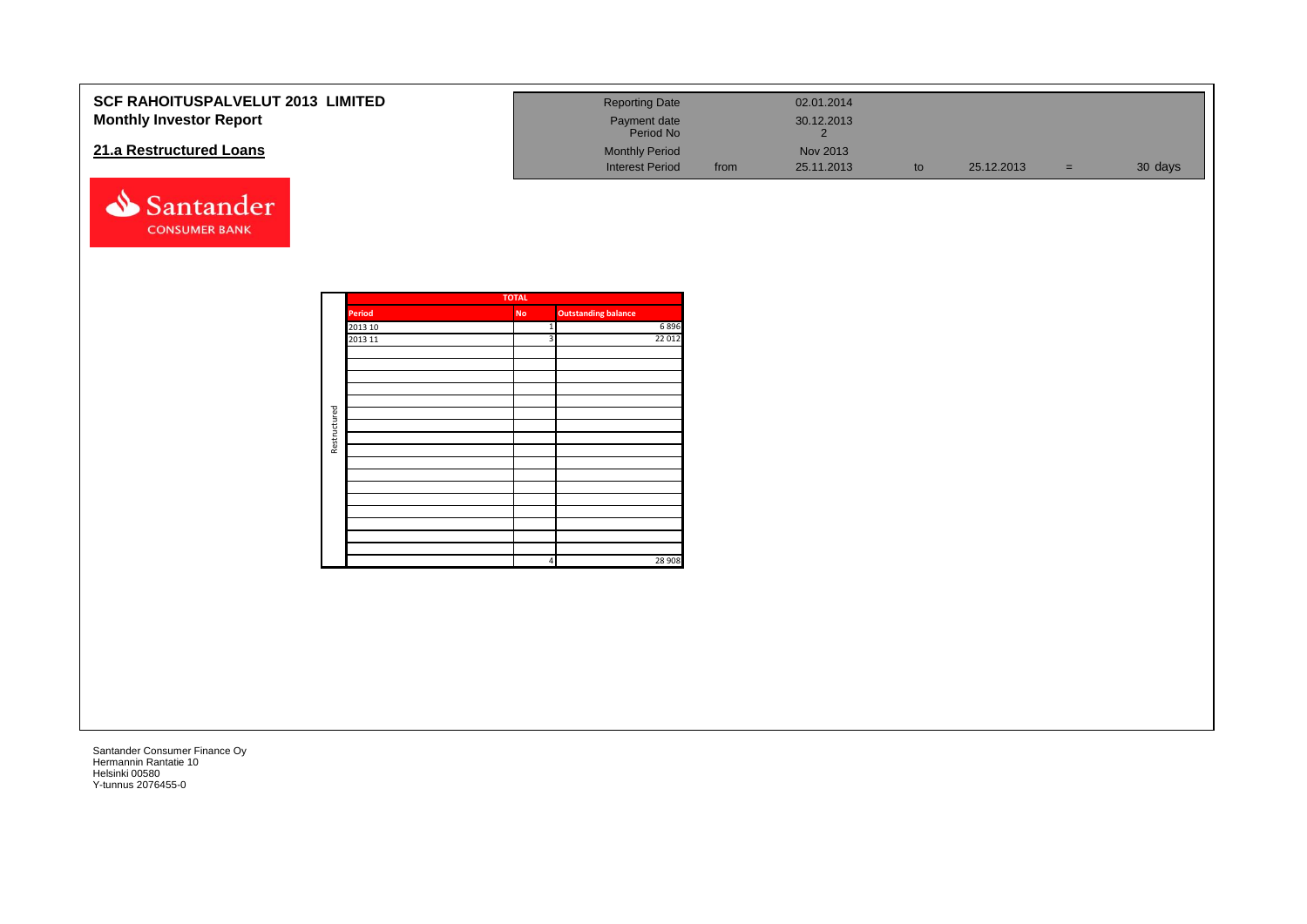| <b>SCF RAHOITUSPALVELUT 2013 LIMITED</b><br><b>Monthly Investor Report</b><br>21.a Restructured Loans |              |                                     |                                                                           | <b>Reporting Date</b><br>Payment date<br>Period No<br><b>Monthly Period</b><br><b>Interest Period</b> | from | 02.01.2014<br>30.12.2013<br>$\overline{2}$<br>Nov 2013<br>25.11.2013 | $\mathsf{to}$ | 25.12.2013 | $=$ $\,$ | 30 days |
|-------------------------------------------------------------------------------------------------------|--------------|-------------------------------------|---------------------------------------------------------------------------|-------------------------------------------------------------------------------------------------------|------|----------------------------------------------------------------------|---------------|------------|----------|---------|
| Santander<br><b>CONSUMER BANK</b>                                                                     |              |                                     |                                                                           |                                                                                                       |      |                                                                      |               |            |          |         |
|                                                                                                       | Restructured | <b>Period</b><br>2013 10<br>2013 11 | <b>TOTAL</b><br><b>No</b><br>$1\vert$<br>3 <sup>1</sup><br>$\overline{4}$ | <b>Outstanding balance</b><br>6896<br>22 012<br>28 908                                                |      |                                                                      |               |            |          |         |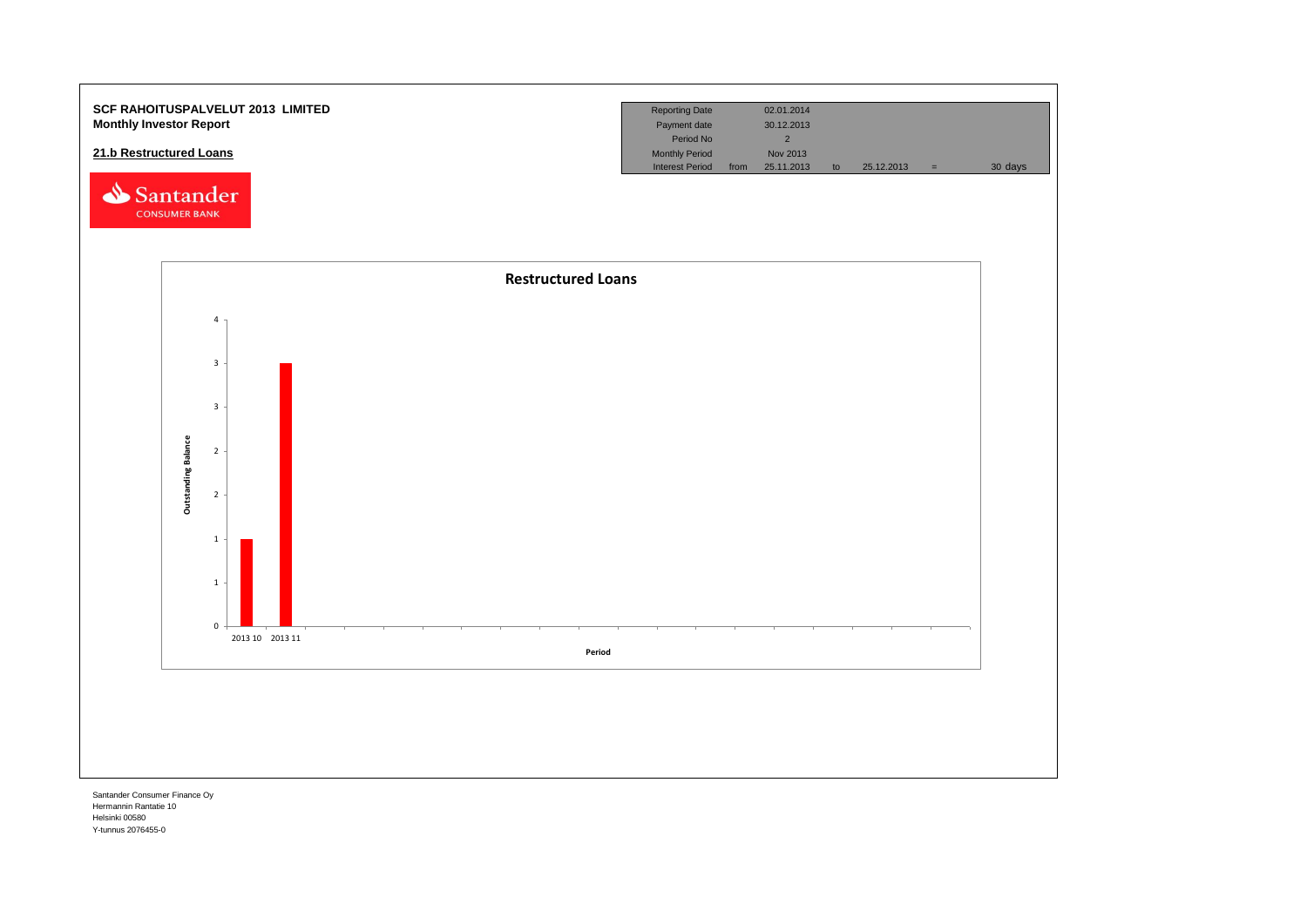

Hermannin Rantatie 10 Helsinki 00580 Y-tunnus 2076455-0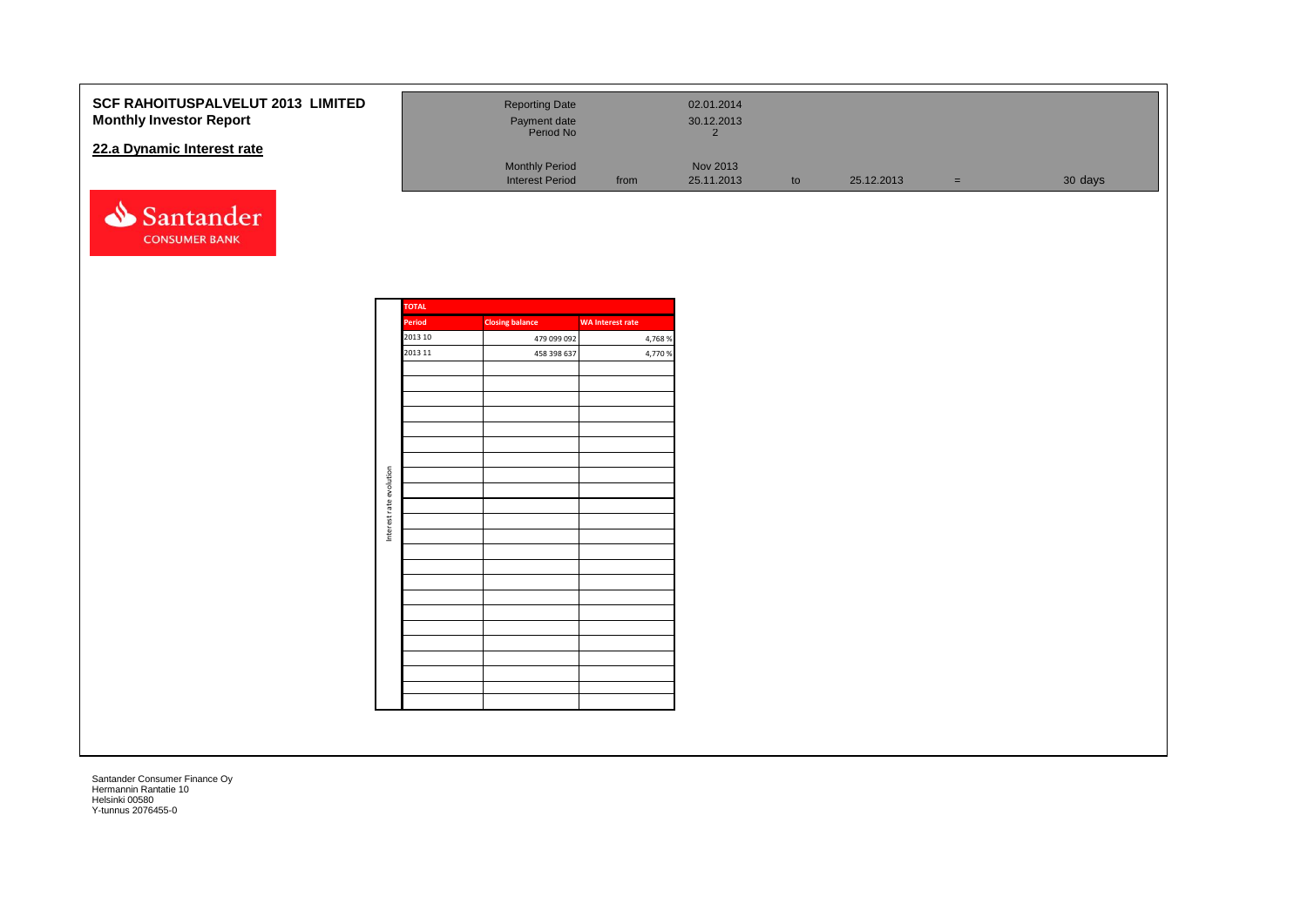| <b>SCF RAHOITUSPALVELUT 2013 LIMITED</b><br><b>Monthly Investor Report</b> | <b>Reporting Date</b><br>Payment date                        |      | 02.01.2014<br>30.12.2013 |    |            |     |         |
|----------------------------------------------------------------------------|--------------------------------------------------------------|------|--------------------------|----|------------|-----|---------|
| 22.a Dynamic Interest rate                                                 | Period No<br><b>Monthly Period</b><br><b>Interest Period</b> | from | Nov 2013<br>25.11.2013   | to | 25.12.2013 | $=$ | 30 days |
| Santander                                                                  |                                                              |      |                          |    |            |     |         |

| <b>TOTAL</b> |                        |                         |
|--------------|------------------------|-------------------------|
| Period       | <b>Closing balance</b> | <b>WA Interest rate</b> |
| 2013 10      | 479 099 092            | 4,768 %                 |
| 2013 11      | 458 398 637            | 4,770 %                 |
|              |                        |                         |
|              |                        |                         |
|              |                        |                         |
|              |                        |                         |
|              |                        |                         |
|              |                        |                         |
|              |                        |                         |
|              |                        |                         |
|              |                        |                         |
|              |                        |                         |
|              |                        |                         |
|              |                        |                         |
|              |                        |                         |
|              |                        |                         |
|              |                        |                         |
|              |                        |                         |
|              |                        |                         |
|              |                        |                         |
|              |                        |                         |
|              |                        |                         |
|              |                        |                         |
|              |                        |                         |
|              |                        |                         |

**CONSUMER BANK**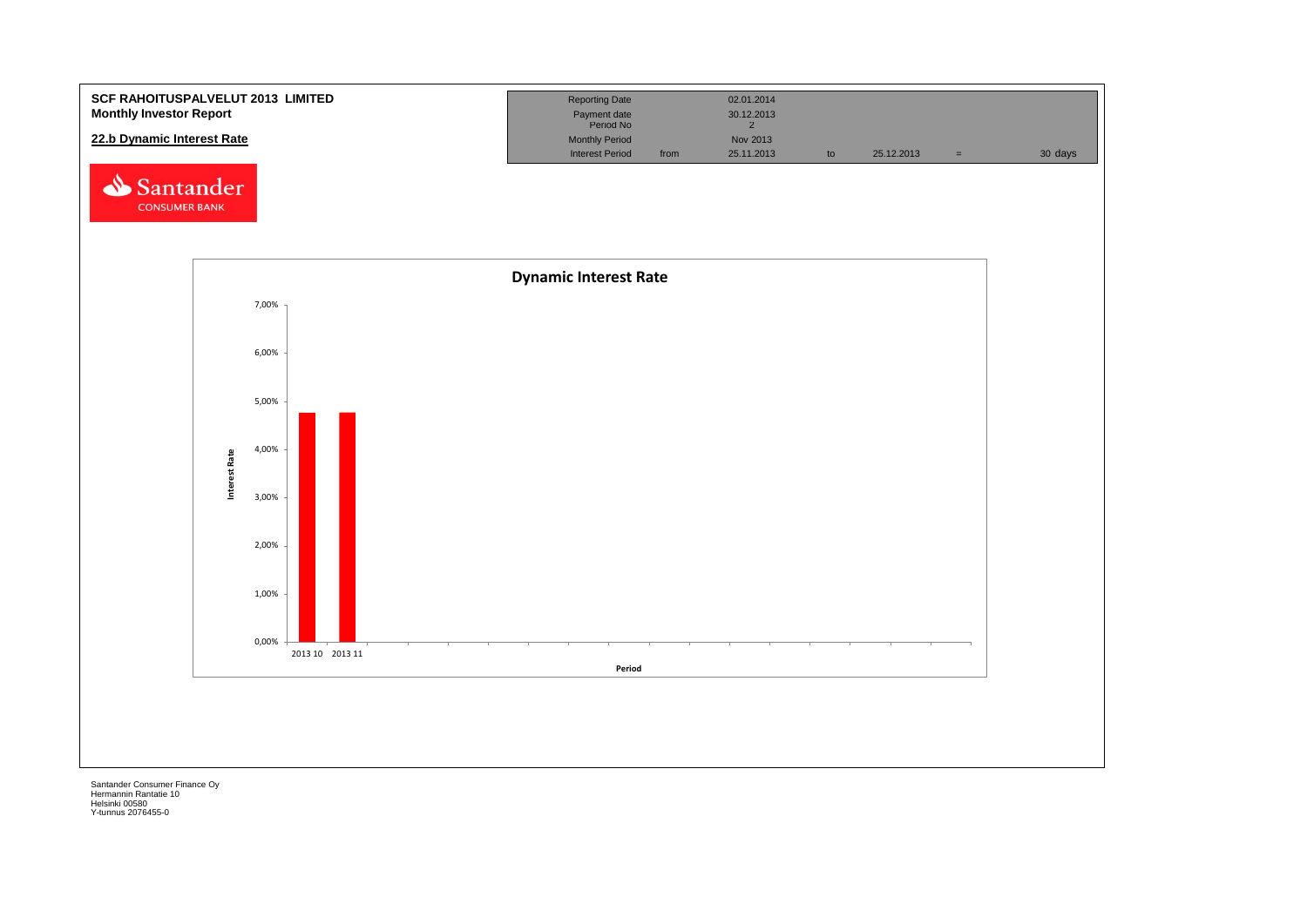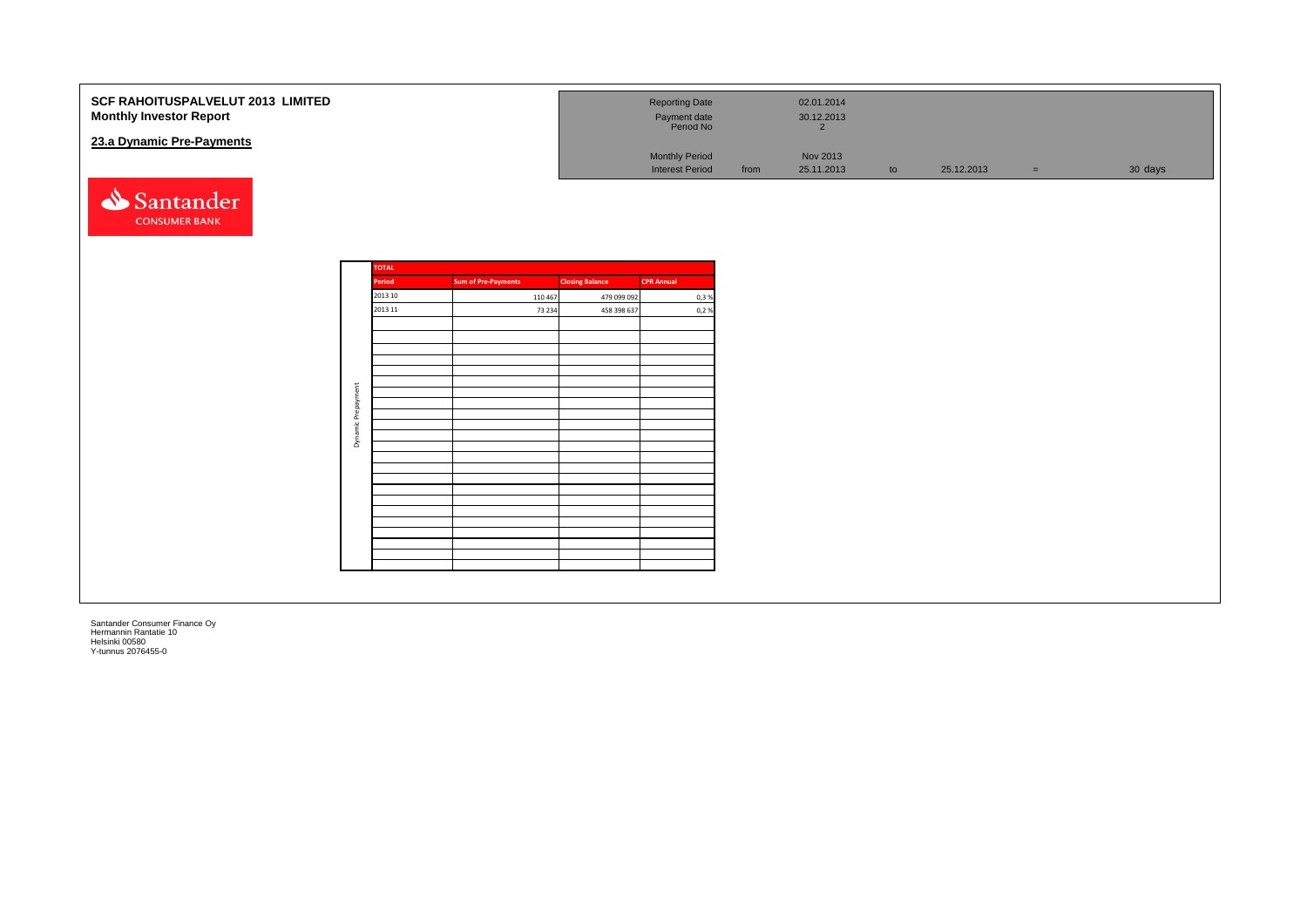| SCF RAHOITUSPALVELUT 2013 LIMITED<br><b>Monthly Investor Report</b><br>23.a Dynamic Pre-Payments |         |                   |                            |                   |                            | <b>Reporting Date</b><br>Payment date<br>Period No |      | 02.01.2014<br>30.12.2013<br>$\overline{2}$ |    |            |     |         |
|--------------------------------------------------------------------------------------------------|---------|-------------------|----------------------------|-------------------|----------------------------|----------------------------------------------------|------|--------------------------------------------|----|------------|-----|---------|
|                                                                                                  |         |                   |                            |                   |                            | Monthly Period<br><b>Interest Period</b>           | from | Nov 2013<br>25.11.2013                     | to | 25.12.2013 | $=$ | 30 days |
| Santander<br><b>CONSUMER BANK</b>                                                                |         |                   |                            |                   |                            |                                                    |      |                                            |    |            |     |         |
|                                                                                                  |         | <b>TOTAL</b><br>÷ |                            |                   |                            |                                                    |      |                                            |    |            |     |         |
|                                                                                                  |         | Period<br>2013 10 | <b>Sum of Pre-Payments</b> |                   | <b>Closing Balance</b>     | <b>CPR Annual</b>                                  |      |                                            |    |            |     |         |
|                                                                                                  |         | 2013 11           |                            | 110 467<br>73 234 | 479 099 092<br>458 398 637 | 0,3%<br>0,2%                                       |      |                                            |    |            |     |         |
|                                                                                                  |         |                   |                            |                   |                            |                                                    |      |                                            |    |            |     |         |
|                                                                                                  |         |                   |                            |                   |                            |                                                    |      |                                            |    |            |     |         |
|                                                                                                  |         |                   |                            |                   |                            |                                                    |      |                                            |    |            |     |         |
|                                                                                                  |         |                   |                            |                   |                            |                                                    |      |                                            |    |            |     |         |
|                                                                                                  | ent     |                   |                            |                   |                            |                                                    |      |                                            |    |            |     |         |
|                                                                                                  | Prepaym |                   |                            |                   |                            |                                                    |      |                                            |    |            |     |         |
|                                                                                                  | Dynamic |                   |                            |                   |                            |                                                    |      |                                            |    |            |     |         |
|                                                                                                  |         |                   |                            |                   |                            |                                                    |      |                                            |    |            |     |         |
|                                                                                                  |         |                   |                            |                   |                            |                                                    |      |                                            |    |            |     |         |
|                                                                                                  |         |                   |                            |                   |                            |                                                    |      |                                            |    |            |     |         |
|                                                                                                  |         |                   |                            |                   |                            |                                                    |      |                                            |    |            |     |         |
|                                                                                                  |         |                   |                            |                   |                            |                                                    |      |                                            |    |            |     |         |
|                                                                                                  |         |                   |                            |                   |                            |                                                    |      |                                            |    |            |     |         |
|                                                                                                  |         |                   |                            |                   |                            |                                                    |      |                                            |    |            |     |         |
|                                                                                                  |         |                   |                            |                   |                            |                                                    |      |                                            |    |            |     |         |
|                                                                                                  |         |                   |                            |                   |                            |                                                    |      |                                            |    |            |     |         |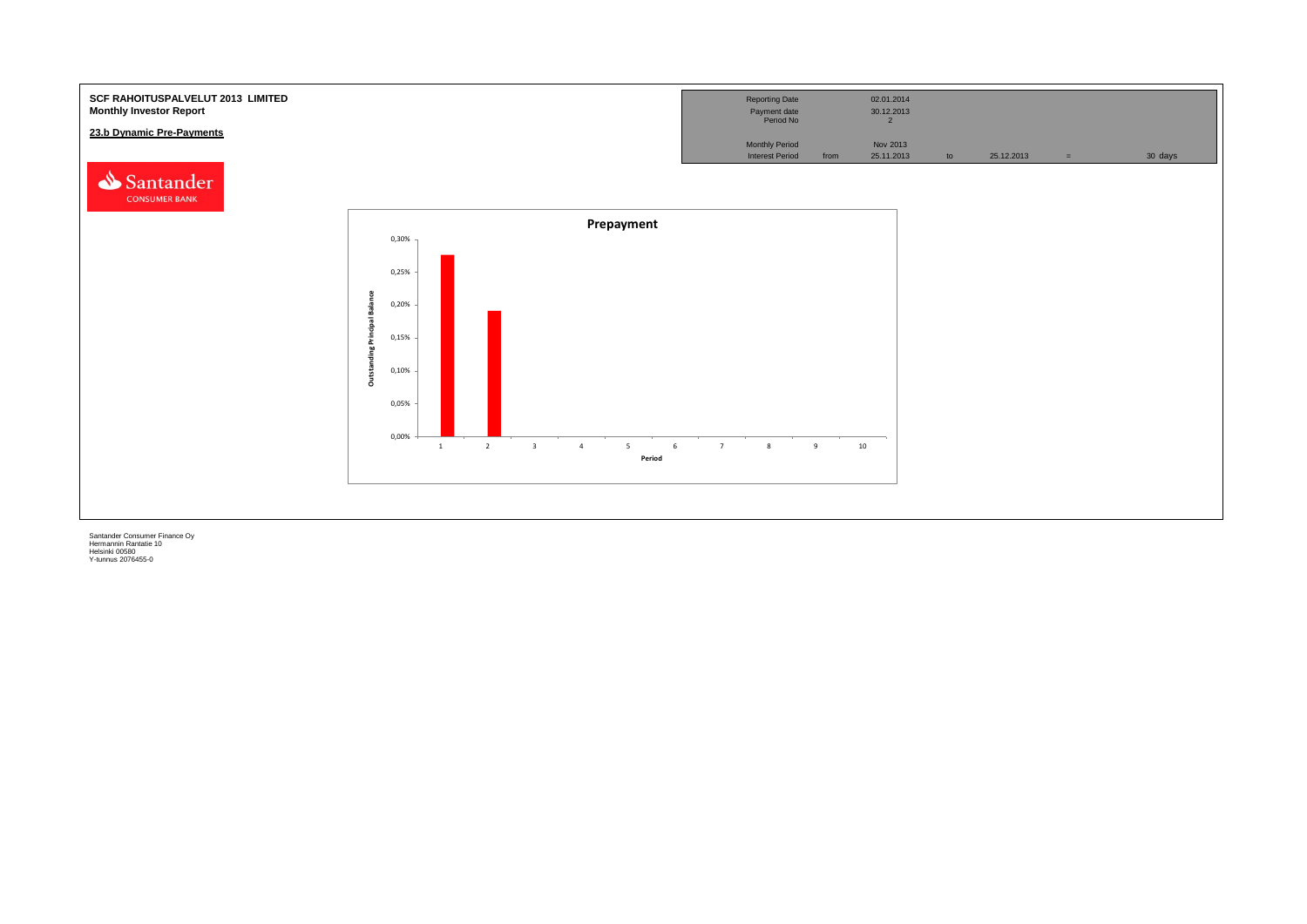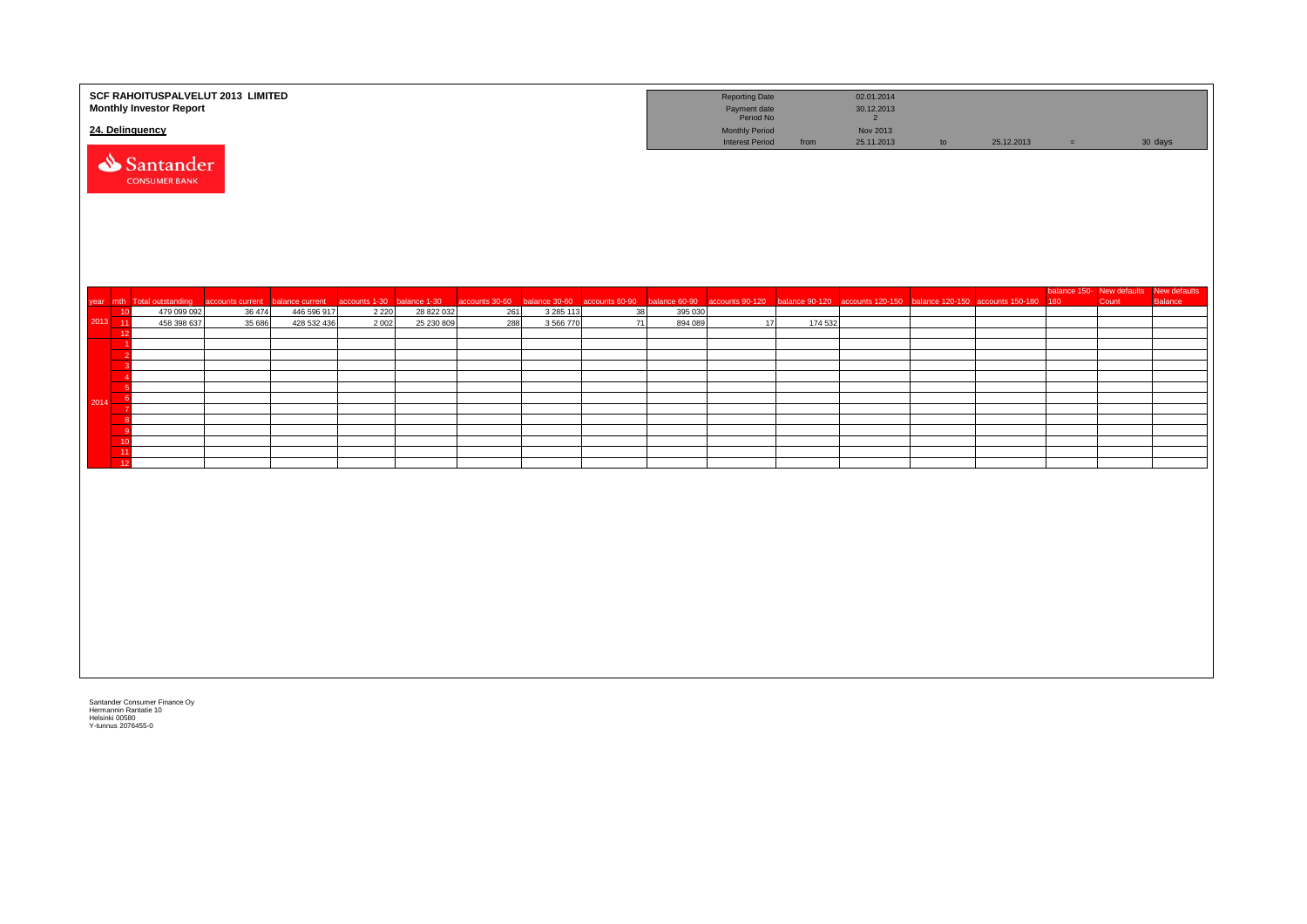|         |                  | SCF RAHOITUSPALVELUT 2013 LIMITED<br><b>Monthly Investor Report</b> |                  |                            |                    |                          |                |                        |                |                    | <b>Reporting Date</b><br>Payment date<br>Period No |         | 02.01.2014<br>30.12.2013<br>$2^{\circ}$                                          |    |            |          |       |                                                   |
|---------|------------------|---------------------------------------------------------------------|------------------|----------------------------|--------------------|--------------------------|----------------|------------------------|----------------|--------------------|----------------------------------------------------|---------|----------------------------------------------------------------------------------|----|------------|----------|-------|---------------------------------------------------|
|         |                  | 24. Delinquency                                                     |                  |                            |                    |                          |                |                        |                |                    | <b>Monthly Period</b><br><b>Interest Period</b>    | from    | Nov 2013<br>25.11.2013                                                           | to | 25.12.2013 | $\equiv$ |       | 30 days                                           |
|         |                  | Santander<br><b>CONSUMER BANK</b>                                   |                  |                            |                    |                          |                |                        |                |                    |                                                    |         |                                                                                  |    |            |          |       |                                                   |
|         |                  | year mth Total outstanding                                          | accounts current | balance current            | accounts 1-30      | balance 1-30             | accounts 30-60 | balance 30-60          | accounts 60-90 | balance 60-90      |                                                    |         | accounts 90-120 balance 90-120 accounts 120-150 balance 120-150 accounts 150-180 |    |            | 180      | Count | balance 150- New defaults New defaults<br>Balance |
| 2013 11 | 10               | 479 099 092<br>458 398 637                                          | 36 474<br>35 686 | 446 596 917<br>428 532 436 | 2 2 2 0<br>2 0 0 2 | 28 822 032<br>25 230 809 | 261<br>288     | 3 285 113<br>3 566 770 | 38<br>71       | 395 030<br>894 089 | 17                                                 | 174 532 |                                                                                  |    |            |          |       |                                                   |
|         | 12               |                                                                     |                  |                            |                    |                          |                |                        |                |                    |                                                    |         |                                                                                  |    |            |          |       |                                                   |
|         |                  |                                                                     |                  |                            |                    |                          |                |                        |                |                    |                                                    |         |                                                                                  |    |            |          |       |                                                   |
|         |                  |                                                                     |                  |                            |                    |                          |                |                        |                |                    |                                                    |         |                                                                                  |    |            |          |       |                                                   |
|         | - 6<br>- 6       |                                                                     |                  |                            |                    |                          |                |                        |                |                    |                                                    |         |                                                                                  |    |            |          |       |                                                   |
| 2014    |                  |                                                                     |                  |                            |                    |                          |                |                        |                |                    |                                                    |         |                                                                                  |    |            |          |       |                                                   |
|         | $_{\rm 8}$<br>-9 |                                                                     |                  |                            |                    |                          |                |                        |                |                    |                                                    |         |                                                                                  |    |            |          |       |                                                   |
|         | 10<br>11         |                                                                     |                  |                            |                    |                          |                |                        |                |                    |                                                    |         |                                                                                  |    |            |          |       |                                                   |
|         | 12               |                                                                     |                  |                            |                    |                          |                |                        |                |                    |                                                    |         |                                                                                  |    |            |          |       |                                                   |
|         |                  |                                                                     |                  |                            |                    |                          |                |                        |                |                    |                                                    |         |                                                                                  |    |            |          |       |                                                   |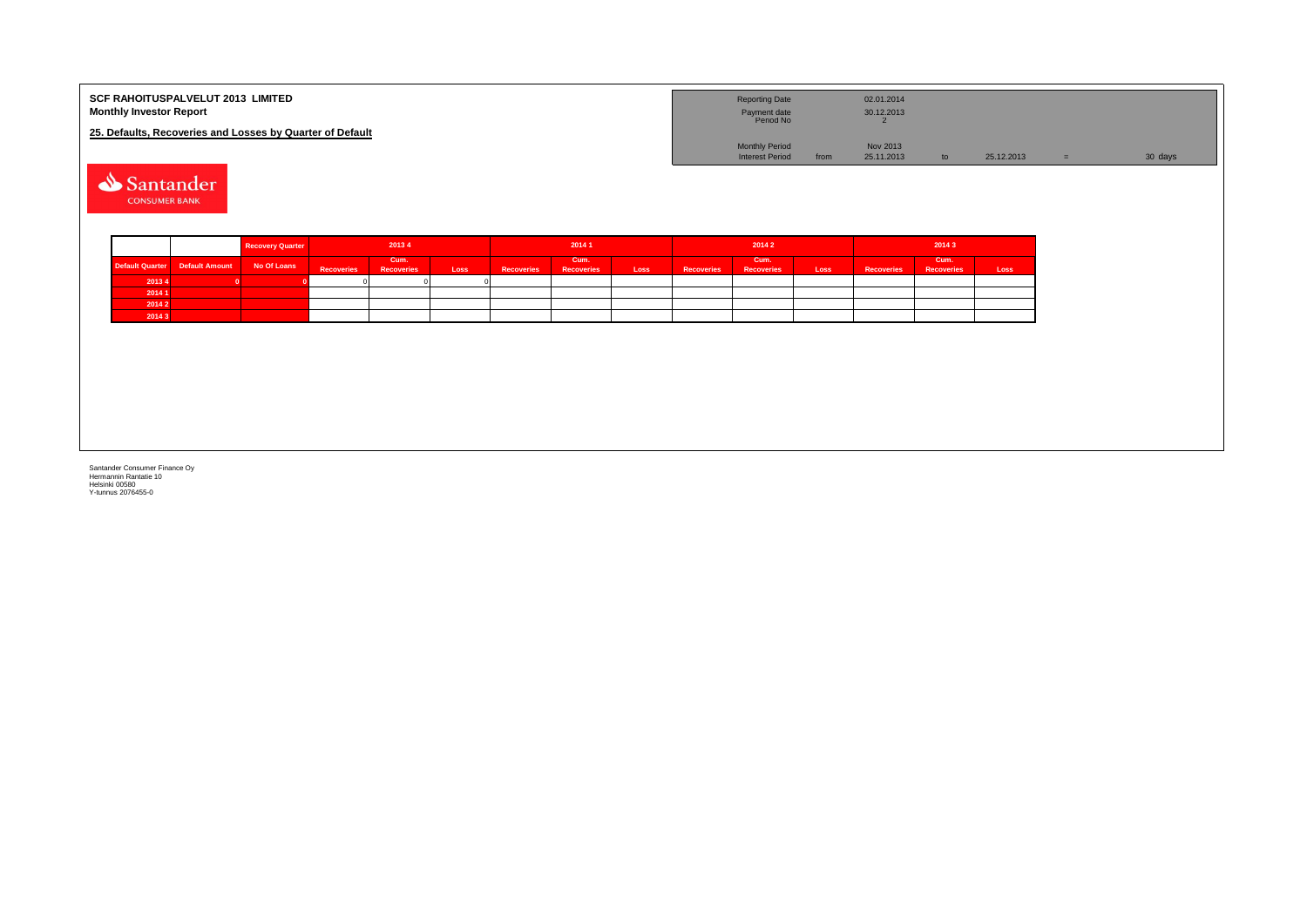| <b>SCF RAHOITUSPALVELUT 2013 LIMITED</b><br><b>Monthly Investor Report</b> | <b>Reporting Date</b><br>Payment date<br>Period No |      | 02.01.2014<br>30.12.2013 |               |            |         |
|----------------------------------------------------------------------------|----------------------------------------------------|------|--------------------------|---------------|------------|---------|
| 25. Defaults, Recoveries and Losses by Quarter of Default                  |                                                    |      |                          |               |            |         |
|                                                                            | <b>Monthly Period</b>                              |      | Nov 2013                 |               |            |         |
|                                                                            | <b>Interest Period</b>                             | from | 25.11.2013               | $\mathsf{to}$ | 25.12.2013 | 30 days |
|                                                                            |                                                    |      |                          |               |            |         |

Santander **CONSUMER BANK** 

|        |                                 | <b>Recovery Quarter</b> | 20134             |                           | 20141 |                   |                           | 20142 |                   |                           | 20143 |                   |                           |      |
|--------|---------------------------------|-------------------------|-------------------|---------------------------|-------|-------------------|---------------------------|-------|-------------------|---------------------------|-------|-------------------|---------------------------|------|
|        | Default Quarter  Default Amount | No Of Loans             | <b>Recoveries</b> | Cum.<br><b>Recoveries</b> | Loss  | <b>Recoveries</b> | Cum.<br><b>Recoveries</b> | Loss  | <b>Recoveries</b> | Cum.<br><b>Recoveries</b> | Loss  | <b>Recoveries</b> | Cum.<br><b>Recoveries</b> | Loss |
| 20134  |                                 |                         |                   |                           |       |                   |                           |       |                   |                           |       |                   |                           |      |
| 2014 1 |                                 |                         |                   |                           |       |                   |                           |       |                   |                           |       |                   |                           |      |
| 20142  |                                 |                         |                   |                           |       |                   |                           |       |                   |                           |       |                   |                           |      |
| 20143  |                                 |                         |                   |                           |       |                   |                           |       |                   |                           |       |                   |                           |      |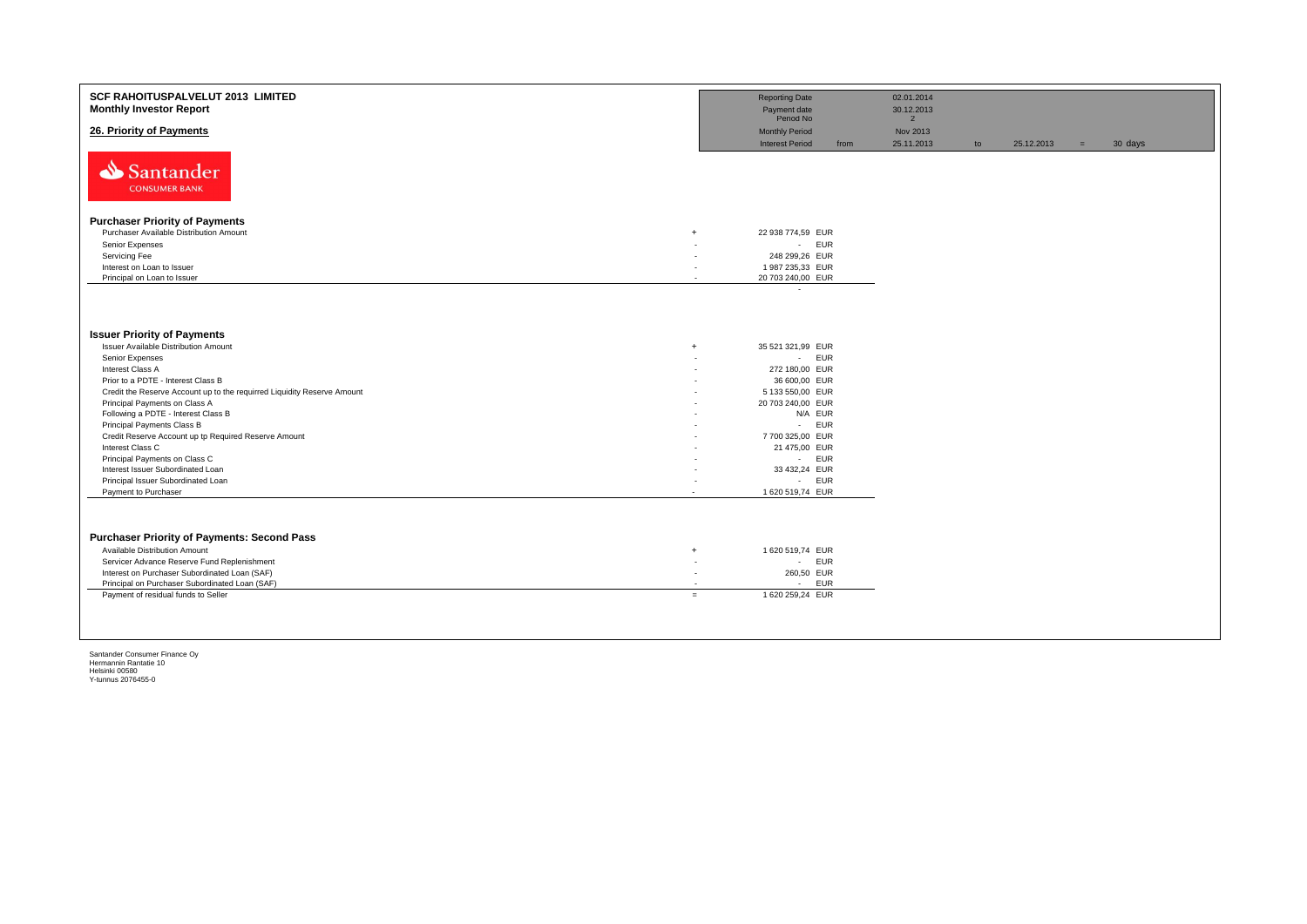| <b>SCF RAHOITUSPALVELUT 2013 LIMITED</b><br><b>Monthly Investor Report</b>                   |        | <b>Reporting Date</b><br>Payment date<br>Period No |      | 02.01.2014<br>30.12.2013<br>$\overline{2}$ |    |            |     |         |
|----------------------------------------------------------------------------------------------|--------|----------------------------------------------------|------|--------------------------------------------|----|------------|-----|---------|
| 26. Priority of Payments                                                                     |        | <b>Monthly Period</b><br><b>Interest Period</b>    | from | Nov 2013<br>25.11.2013                     | to | 25.12.2013 | $=$ | 30 days |
| Santander<br><b>CONSUMER BANK</b>                                                            |        |                                                    |      |                                            |    |            |     |         |
| <b>Purchaser Priority of Payments</b>                                                        |        |                                                    |      |                                            |    |            |     |         |
| Purchaser Available Distribution Amount<br>$+$                                               |        | 22 938 774,59 EUR                                  |      |                                            |    |            |     |         |
| Senior Expenses                                                                              |        | - EUR                                              |      |                                            |    |            |     |         |
| Servicing Fee                                                                                | ۰      | 248 299,26 EUR                                     |      |                                            |    |            |     |         |
| Interest on Loan to Issuer                                                                   | ٠      | 1 987 235,33 EUR                                   |      |                                            |    |            |     |         |
| Principal on Loan to Issuer                                                                  | $\sim$ | 20 703 240,00 EUR                                  |      |                                            |    |            |     |         |
|                                                                                              |        | $\cdot$                                            |      |                                            |    |            |     |         |
| <b>Issuer Priority of Payments</b>                                                           |        |                                                    |      |                                            |    |            |     |         |
| <b>Issuer Available Distribution Amount</b><br>$^{+}$                                        |        | 35 521 321,99 EUR                                  |      |                                            |    |            |     |         |
| Senior Expenses<br>Interest Class A                                                          | ٠      | - EUR                                              |      |                                            |    |            |     |         |
| Prior to a PDTE - Interest Class B                                                           |        | 272 180,00 EUR<br>36 600,00 EUR                    |      |                                            |    |            |     |         |
| Credit the Reserve Account up to the requirred Liquidity Reserve Amount                      |        | 5 133 550,00 EUR                                   |      |                                            |    |            |     |         |
| Principal Payments on Class A                                                                |        | 20 703 240,00 EUR                                  |      |                                            |    |            |     |         |
| Following a PDTE - Interest Class B                                                          | ٠      | N/A EUR                                            |      |                                            |    |            |     |         |
| Principal Payments Class B                                                                   |        | - EUR                                              |      |                                            |    |            |     |         |
| Credit Reserve Account up tp Required Reserve Amount                                         |        | 7700 325,00 EUR                                    |      |                                            |    |            |     |         |
| Interest Class C                                                                             |        | 21 475,00 EUR                                      |      |                                            |    |            |     |         |
| Principal Payments on Class C                                                                | ٠      | - EUR                                              |      |                                            |    |            |     |         |
| Interest Issuer Subordinated Loan<br>Principal Issuer Subordinated Loan                      | ٠      | 33 432,24 EUR<br>- EUR                             |      |                                            |    |            |     |         |
| Payment to Purchaser<br>$\overline{\phantom{a}}$                                             |        | 1 620 519,74 EUR                                   |      |                                            |    |            |     |         |
|                                                                                              |        |                                                    |      |                                            |    |            |     |         |
| <b>Purchaser Priority of Payments: Second Pass</b>                                           |        |                                                    |      |                                            |    |            |     |         |
| Available Distribution Amount<br>$+$                                                         | ٠      | 1 620 519,74 EUR<br>- EUR                          |      |                                            |    |            |     |         |
| Servicer Advance Reserve Fund Replenishment<br>Interest on Purchaser Subordinated Loan (SAF) | ٠      | 260,50 EUR                                         |      |                                            |    |            |     |         |
| Principal on Purchaser Subordinated Loan (SAF)                                               | $\sim$ | - EUR                                              |      |                                            |    |            |     |         |
| Payment of residual funds to Seller<br>$=$                                                   |        | 1 620 259,24 EUR                                   |      |                                            |    |            |     |         |
|                                                                                              |        |                                                    |      |                                            |    |            |     |         |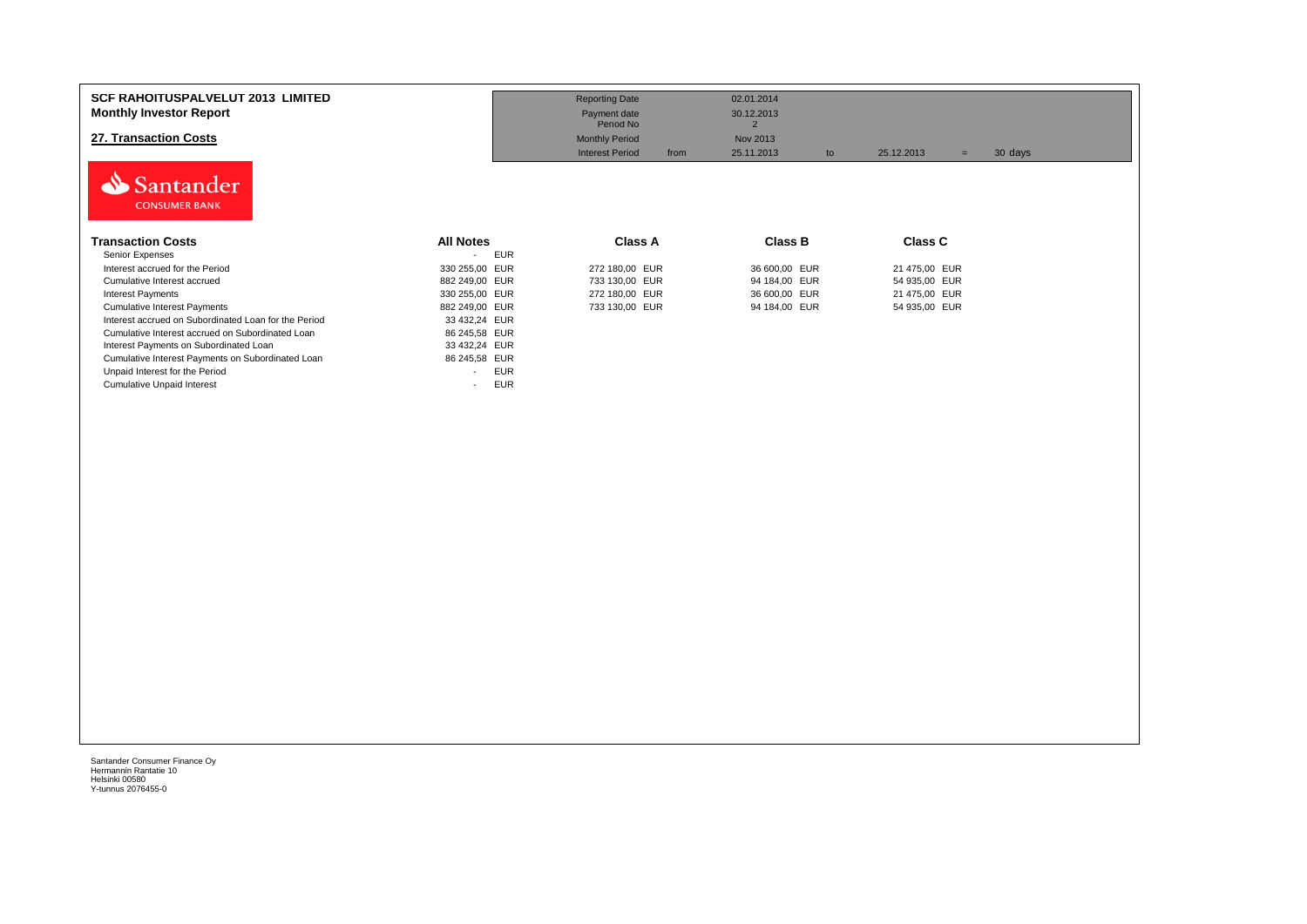| <b>SCF RAHOITUSPALVELUT 2013 LIMITED</b>             |                                        | <b>Reporting Date</b>          | 02.01.2014                   |                              |  |
|------------------------------------------------------|----------------------------------------|--------------------------------|------------------------------|------------------------------|--|
| <b>Monthly Investor Report</b>                       |                                        | Payment date<br>Period No      | 30.12.2013<br>$\overline{2}$ |                              |  |
| 27. Transaction Costs                                |                                        | <b>Monthly Period</b>          | Nov 2013                     |                              |  |
|                                                      |                                        | <b>Interest Period</b><br>from | 25.11.2013<br>to             | 30 days<br>25.12.2013<br>$=$ |  |
| Santander<br><b>CONSUMER BANK</b>                    |                                        |                                |                              |                              |  |
| <b>Transaction Costs</b>                             | <b>All Notes</b>                       | Class A                        | Class B                      | Class C                      |  |
| Senior Expenses                                      | <b>EUR</b><br>$\overline{\phantom{a}}$ |                                |                              |                              |  |
| Interest accrued for the Period                      | 330 255,00 EUR                         | 272 180,00 EUR                 | 36 600,00 EUR                | 21 475,00 EUR                |  |
| Cumulative Interest accrued                          | 882 249,00 EUR                         | 733 130,00 EUR                 | 94 184,00 EUR                | 54 935,00 EUR                |  |
| <b>Interest Payments</b>                             | 330 255,00 EUR                         | 272 180,00 EUR                 | 36 600,00 EUR                | 21 475,00 EUR                |  |
| <b>Cumulative Interest Payments</b>                  | 882 249,00 EUR                         | 733 130,00 EUR                 | 94 184,00 EUR                | 54 935,00 EUR                |  |
| Interest accrued on Subordinated Loan for the Period | 33 432,24 EUR                          |                                |                              |                              |  |
| Cumulative Interest accrued on Subordinated Loan     | 86 245,58 EUR                          |                                |                              |                              |  |
| Interest Payments on Subordinated Loan               | 33 432,24 EUR                          |                                |                              |                              |  |
| Cumulative Interest Payments on Subordinated Loan    | 86 245,58 EUR                          |                                |                              |                              |  |
| Unpaid Interest for the Period                       | <b>EUR</b><br>$\overline{\phantom{0}}$ |                                |                              |                              |  |
| <b>Cumulative Unpaid Interest</b>                    | <b>EUR</b><br>$\overline{\phantom{0}}$ |                                |                              |                              |  |